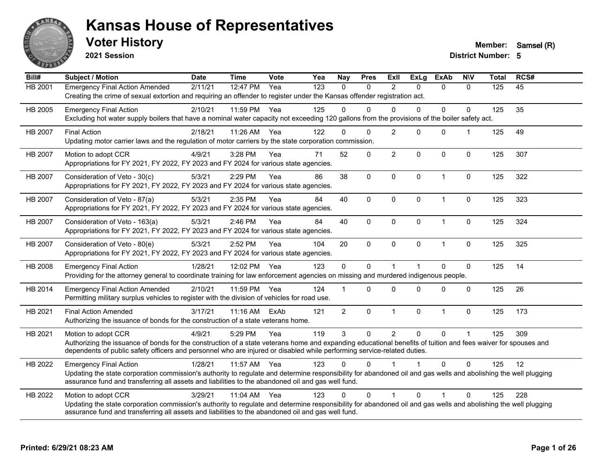

**2021 Session**

**Voter History Member:** Samsel (R)

| Bill#          | <b>Subject / Motion</b>                                                                                                                                                                                                                                                                                         | <b>Date</b> | <b>Time</b>  | Vote | Yea | <b>Nay</b>     | <b>Pres</b> | ExII           | <b>ExLg</b>  | <b>ExAb</b>  | <b>NIV</b>           | <b>Total</b> | RCS# |
|----------------|-----------------------------------------------------------------------------------------------------------------------------------------------------------------------------------------------------------------------------------------------------------------------------------------------------------------|-------------|--------------|------|-----|----------------|-------------|----------------|--------------|--------------|----------------------|--------------|------|
| <b>HB 2001</b> | <b>Emergency Final Action Amended</b><br>Creating the crime of sexual extortion and requiring an offender to register under the Kansas offender registration act.                                                                                                                                               | 2/11/21     | 12:47 PM     | Yea  | 123 | $\mathbf{0}$   | 0           | 2              | $\Omega$     | $\mathbf{0}$ | $\mathbf{0}$         | 125          | 45   |
| HB 2005        | <b>Emergency Final Action</b><br>Excluding hot water supply boilers that have a nominal water capacity not exceeding 120 gallons from the provisions of the boiler safety act.                                                                                                                                  | 2/10/21     | 11:59 PM     | Yea  | 125 | $\Omega$       | $\Omega$    | $\Omega$       | $\Omega$     | 0            | $\Omega$             | 125          | 35   |
| HB 2007        | <b>Final Action</b><br>Updating motor carrier laws and the regulation of motor carriers by the state corporation commission.                                                                                                                                                                                    | 2/18/21     | 11:26 AM     | Yea  | 122 | 0              | $\Omega$    | 2              | $\mathbf{0}$ | $\mathbf{0}$ | $\blacktriangleleft$ | 125          | 49   |
| HB 2007        | Motion to adopt CCR<br>Appropriations for FY 2021, FY 2022, FY 2023 and FY 2024 for various state agencies.                                                                                                                                                                                                     | 4/9/21      | 3:28 PM      | Yea  | 71  | 52             | 0           | $\overline{2}$ | $\Omega$     | 0            | 0                    | 125          | 307  |
| <b>HB 2007</b> | Consideration of Veto - 30(c)<br>Appropriations for FY 2021, FY 2022, FY 2023 and FY 2024 for various state agencies.                                                                                                                                                                                           | 5/3/21      | 2:29 PM      | Yea  | 86  | 38             | $\mathbf 0$ | $\mathbf{0}$   | $\mathbf{0}$ | $\mathbf{1}$ | $\Omega$             | 125          | 322  |
| HB 2007        | Consideration of Veto - 87(a)<br>Appropriations for FY 2021, FY 2022, FY 2023 and FY 2024 for various state agencies.                                                                                                                                                                                           | 5/3/21      | 2:35 PM      | Yea  | 84  | 40             | 0           | $\mathbf{0}$   | $\Omega$     | $\mathbf{1}$ | $\mathbf 0$          | 125          | 323  |
| HB 2007        | Consideration of Veto - 163(a)<br>Appropriations for FY 2021, FY 2022, FY 2023 and FY 2024 for various state agencies.                                                                                                                                                                                          | 5/3/21      | 2:46 PM      | Yea  | 84  | 40             | 0           | $\mathbf{0}$   | $\mathbf{0}$ | $\mathbf{1}$ | 0                    | 125          | 324  |
| HB 2007        | Consideration of Veto - 80(e)<br>Appropriations for FY 2021, FY 2022, FY 2023 and FY 2024 for various state agencies.                                                                                                                                                                                           | 5/3/21      | 2:52 PM      | Yea  | 104 | 20             | 0           | $\mathbf 0$    | $\mathbf{0}$ | $\mathbf{1}$ | $\mathbf 0$          | 125          | 325  |
| HB 2008        | <b>Emergency Final Action</b><br>Providing for the attorney general to coordinate training for law enforcement agencies on missing and murdered indigenous people.                                                                                                                                              | 1/28/21     | 12:02 PM     | Yea  | 123 | $\mathbf 0$    | 0           |                |              | $\Omega$     | $\mathbf 0$          | 125          | 14   |
| HB 2014        | <b>Emergency Final Action Amended</b><br>Permitting military surplus vehicles to register with the division of vehicles for road use.                                                                                                                                                                           | 2/10/21     | 11:59 PM     | Yea  | 124 |                | 0           | $\Omega$       | $\Omega$     | $\Omega$     | $\mathbf 0$          | 125          | 26   |
| HB 2021        | <b>Final Action Amended</b><br>Authorizing the issuance of bonds for the construction of a state veterans home.                                                                                                                                                                                                 | 3/17/21     | $11:16$ AM   | ExAb | 121 | $\overline{2}$ | 0           | $\mathbf{1}$   | $\mathbf 0$  | $\mathbf{1}$ | 0                    | 125          | 173  |
| HB 2021        | Motion to adopt CCR<br>Authorizing the issuance of bonds for the construction of a state veterans home and expanding educational benefits of tuition and fees waiver for spouses and<br>dependents of public safety officers and personnel who are injured or disabled while performing service-related duties. | 4/9/21      | 5:29 PM      | Yea  | 119 | 3              | $\Omega$    | $\overline{2}$ | $\Omega$     | $\Omega$     | $\mathbf{1}$         | 125          | 309  |
| HB 2022        | <b>Emergency Final Action</b><br>Updating the state corporation commission's authority to regulate and determine responsibility for abandoned oil and gas wells and abolishing the well plugging<br>assurance fund and transferring all assets and liabilities to the abandoned oil and gas well fund.          | 1/28/21     | 11:57 AM Yea |      | 123 | 0              | U           |                |              | $\Omega$     | $\Omega$             | 125          | 12   |
| HB 2022        | Motion to adopt CCR<br>Updating the state corporation commission's authority to regulate and determine responsibility for abandoned oil and gas wells and abolishing the well plugging<br>assurance fund and transferring all assets and liabilities to the abandoned oil and gas well fund.                    | 3/29/21     | 11:04 AM     | Yea  | 123 | $\Omega$       | $\Omega$    | $\overline{1}$ | $\Omega$     |              | $\Omega$             | 125          | 228  |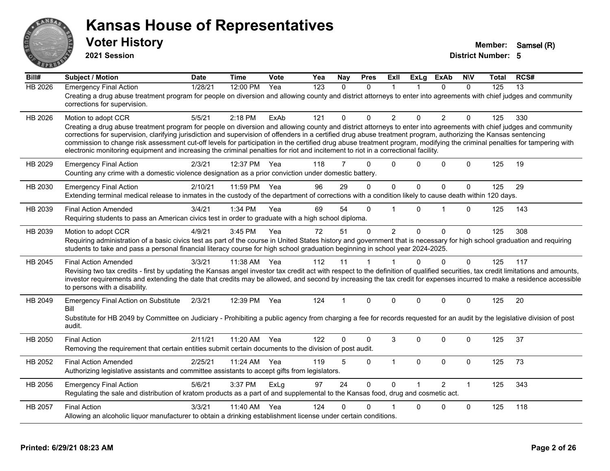

**2021 Session**

| Bill#          | <b>Subject / Motion</b>                                                                                                                                                                                                                                                                                                                                                                                                                                                                                                                                                                                                                                  | <b>Date</b> | <b>Time</b> | Vote | Yea | <b>Nay</b>     | <b>Pres</b> | ExII           | <b>ExLg</b>  | <b>ExAb</b>    | <b>NIV</b>   | Total | RCS# |
|----------------|----------------------------------------------------------------------------------------------------------------------------------------------------------------------------------------------------------------------------------------------------------------------------------------------------------------------------------------------------------------------------------------------------------------------------------------------------------------------------------------------------------------------------------------------------------------------------------------------------------------------------------------------------------|-------------|-------------|------|-----|----------------|-------------|----------------|--------------|----------------|--------------|-------|------|
| <b>HB 2026</b> | <b>Emergency Final Action</b>                                                                                                                                                                                                                                                                                                                                                                                                                                                                                                                                                                                                                            | 1/28/21     | 12:00 PM    | Yea  | 123 | $\Omega$       | $\Omega$    | $\mathbf 1$    |              | 0              | $\Omega$     | 125   | 13   |
|                | Creating a drug abuse treatment program for people on diversion and allowing county and district attorneys to enter into agreements with chief judges and community<br>corrections for supervision.                                                                                                                                                                                                                                                                                                                                                                                                                                                      |             |             |      |     |                |             |                |              |                |              |       |      |
| HB 2026        | Motion to adopt CCR                                                                                                                                                                                                                                                                                                                                                                                                                                                                                                                                                                                                                                      | 5/5/21      | 2:18 PM     | ExAb | 121 | 0              | $\Omega$    | $\overline{2}$ | $\Omega$     | $\overline{2}$ | $\Omega$     | 125   | 330  |
|                | Creating a drug abuse treatment program for people on diversion and allowing county and district attorneys to enter into agreements with chief judges and community<br>corrections for supervision, clarifying jurisdiction and supervision of offenders in a certified drug abuse treatment program, authorizing the Kansas sentencing<br>commission to change risk assessment cut-off levels for participation in the certified drug abuse treatment program, modifying the criminal penalties for tampering with<br>electronic monitoring equipment and increasing the criminal penalties for riot and incitement to riot in a correctional facility. |             |             |      |     |                |             |                |              |                |              |       |      |
|                |                                                                                                                                                                                                                                                                                                                                                                                                                                                                                                                                                                                                                                                          |             |             |      |     |                |             |                |              |                |              |       |      |
| HB 2029        | <b>Emergency Final Action</b><br>Counting any crime with a domestic violence designation as a prior conviction under domestic battery.                                                                                                                                                                                                                                                                                                                                                                                                                                                                                                                   | 2/3/21      | 12:37 PM    | Yea  | 118 | $\overline{7}$ | $\Omega$    | $\Omega$       | 0            | $\mathbf{0}$   | $\Omega$     | 125   | 19   |
| HB 2030        | <b>Emergency Final Action</b>                                                                                                                                                                                                                                                                                                                                                                                                                                                                                                                                                                                                                            | 2/10/21     | 11:59 PM    | Yea  | 96  | 29             | $\Omega$    | $\mathbf 0$    | $\mathbf{0}$ | 0              | $\mathbf{0}$ | 125   | 29   |
|                | Extending terminal medical release to inmates in the custody of the department of corrections with a condition likely to cause death within 120 days.                                                                                                                                                                                                                                                                                                                                                                                                                                                                                                    |             |             |      |     |                |             |                |              |                |              |       |      |
| HB 2039        | <b>Final Action Amended</b>                                                                                                                                                                                                                                                                                                                                                                                                                                                                                                                                                                                                                              | 3/4/21      | 1:34 PM     | Yea  | 69  | 54             | $\Omega$    |                | $\Omega$     | 1              | $\Omega$     | 125   | 143  |
|                | Requiring students to pass an American civics test in order to graduate with a high school diploma.                                                                                                                                                                                                                                                                                                                                                                                                                                                                                                                                                      |             |             |      |     |                |             |                |              |                |              |       |      |
| HB 2039        | Motion to adopt CCR                                                                                                                                                                                                                                                                                                                                                                                                                                                                                                                                                                                                                                      | 4/9/21      | 3:45 PM     | Yea  | 72  | 51             | $\Omega$    | 2              | $\mathbf{0}$ | $\mathbf{0}$   | $\Omega$     | 125   | 308  |
|                | Requiring administration of a basic civics test as part of the course in United States history and government that is necessary for high school graduation and requiring<br>students to take and pass a personal financial literacy course for high school graduation beginning in school year 2024-2025.                                                                                                                                                                                                                                                                                                                                                |             |             |      |     |                |             |                |              |                |              |       |      |
| HB 2045        | <b>Final Action Amended</b>                                                                                                                                                                                                                                                                                                                                                                                                                                                                                                                                                                                                                              | 3/3/21      | 11:38 AM    | Yea  | 112 | 11             | 1           |                | $\Omega$     | $\Omega$       | $\mathbf{0}$ | 125   | 117  |
|                | Revising two tax credits - first by updating the Kansas angel investor tax credit act with respect to the definition of qualified securities, tax credit limitations and amounts,<br>investor requirements and extending the date that credits may be allowed, and second by increasing the tax credit for expenses incurred to make a residence accessible<br>to persons with a disability.                                                                                                                                                                                                                                                             |             |             |      |     |                |             |                |              |                |              |       |      |
| HB 2049        | <b>Emergency Final Action on Substitute</b><br>Bill                                                                                                                                                                                                                                                                                                                                                                                                                                                                                                                                                                                                      | 2/3/21      | 12:39 PM    | Yea  | 124 | 1              | $\Omega$    | $\Omega$       | $\Omega$     | $\mathbf 0$    | $\mathbf{0}$ | 125   | 20   |
|                | Substitute for HB 2049 by Committee on Judiciary - Prohibiting a public agency from charging a fee for records requested for an audit by the legislative division of post<br>audit.                                                                                                                                                                                                                                                                                                                                                                                                                                                                      |             |             |      |     |                |             |                |              |                |              |       |      |
| HB 2050        | <b>Final Action</b>                                                                                                                                                                                                                                                                                                                                                                                                                                                                                                                                                                                                                                      | 2/11/21     | 11:20 AM    | Yea  | 122 | $\Omega$       | $\Omega$    | 3              | $\Omega$     | 0              | $\mathbf{0}$ | 125   | 37   |
|                | Removing the requirement that certain entities submit certain documents to the division of post audit.                                                                                                                                                                                                                                                                                                                                                                                                                                                                                                                                                   |             |             |      |     |                |             |                |              |                |              |       |      |
| HB 2052        | <b>Final Action Amended</b>                                                                                                                                                                                                                                                                                                                                                                                                                                                                                                                                                                                                                              | 2/25/21     | 11:24 AM    | Yea  | 119 | 5              | $\mathbf 0$ | $\mathbf{1}$   | 0            | 0              | $\mathbf 0$  | 125   | 73   |
|                | Authorizing legislative assistants and committee assistants to accept gifts from legislators.                                                                                                                                                                                                                                                                                                                                                                                                                                                                                                                                                            |             |             |      |     |                |             |                |              |                |              |       |      |
| HB 2056        | <b>Emergency Final Action</b>                                                                                                                                                                                                                                                                                                                                                                                                                                                                                                                                                                                                                            | 5/6/21      | 3:37 PM     | ExLg | 97  | 24             | $\Omega$    | $\Omega$       |              | $\overline{2}$ | $\mathbf{1}$ | 125   | 343  |
|                | Regulating the sale and distribution of kratom products as a part of and supplemental to the Kansas food, drug and cosmetic act.                                                                                                                                                                                                                                                                                                                                                                                                                                                                                                                         |             |             |      |     |                |             |                |              |                |              |       |      |
| HB 2057        | <b>Final Action</b>                                                                                                                                                                                                                                                                                                                                                                                                                                                                                                                                                                                                                                      | 3/3/21      | 11:40 AM    | Yea  | 124 | 0              | $\Omega$    |                | $\Omega$     | $\Omega$       | $\Omega$     | 125   | 118  |
|                | Allowing an alcoholic liquor manufacturer to obtain a drinking establishment license under certain conditions.                                                                                                                                                                                                                                                                                                                                                                                                                                                                                                                                           |             |             |      |     |                |             |                |              |                |              |       |      |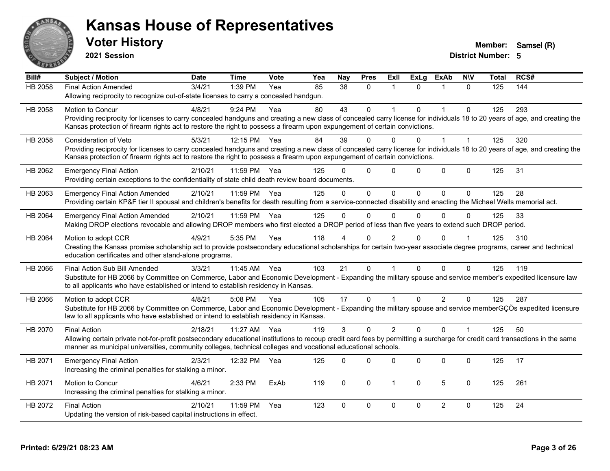

**2021 Session**

| Bill#   | <b>Subject / Motion</b>                                                                                                                                                      | <b>Date</b> | <b>Time</b> | <b>Vote</b> | Yea | <b>Nay</b> | <b>Pres</b>  | <b>Exll</b>    | <b>ExLg</b> | <b>ExAb</b>    | <b>NIV</b>           | Total | RCS# |
|---------|------------------------------------------------------------------------------------------------------------------------------------------------------------------------------|-------------|-------------|-------------|-----|------------|--------------|----------------|-------------|----------------|----------------------|-------|------|
| HB 2058 | <b>Final Action Amended</b>                                                                                                                                                  | 3/4/21      | 1:39 PM     | Yea         | 85  | 38         | $\Omega$     | 1              | $\Omega$    | 1              | $\Omega$             | 125   | 144  |
|         | Allowing reciprocity to recognize out-of-state licenses to carry a concealed handgun.                                                                                        |             |             |             |     |            |              |                |             |                |                      |       |      |
| HB 2058 | Motion to Concur                                                                                                                                                             | 4/8/21      | 9:24 PM     | Yea         | 80  | 43         | $\Omega$     | 1              | $\Omega$    |                | $\Omega$             | 125   | 293  |
|         | Providing reciprocity for licenses to carry concealed handguns and creating a new class of concealed carry license for individuals 18 to 20 years of age, and creating the   |             |             |             |     |            |              |                |             |                |                      |       |      |
|         | Kansas protection of firearm rights act to restore the right to possess a firearm upon expungement of certain convictions.                                                   |             |             |             |     |            |              |                |             |                |                      |       |      |
| HB 2058 | <b>Consideration of Veto</b>                                                                                                                                                 | 5/3/21      | 12:15 PM    | Yea         | 84  | 39         | $\Omega$     | 0              | 0           |                | $\overline{1}$       | 125   | 320  |
|         | Providing reciprocity for licenses to carry concealed handguns and creating a new class of concealed carry license for individuals 18 to 20 years of age, and creating the   |             |             |             |     |            |              |                |             |                |                      |       |      |
|         | Kansas protection of firearm rights act to restore the right to possess a firearm upon expungement of certain convictions.                                                   |             |             |             |     |            |              |                |             |                |                      |       |      |
| HB 2062 | <b>Emergency Final Action</b>                                                                                                                                                | 2/10/21     | 11:59 PM    | Yea         | 125 | U          | $\Omega$     | 0              | $\Omega$    | $\mathbf{0}$   | $\mathbf 0$          | 125   | 31   |
|         | Providing certain exceptions to the confidentiality of state child death review board documents.                                                                             |             |             |             |     |            |              |                |             |                |                      |       |      |
| HB 2063 | <b>Emergency Final Action Amended</b>                                                                                                                                        | 2/10/21     | 11:59 PM    | Yea         | 125 | $\Omega$   | $\Omega$     | 0              | $\Omega$    | $\Omega$       | $\Omega$             | 125   | 28   |
|         | Providing certain KP&F tier II spousal and children's benefits for death resulting from a service-connected disability and enacting the Michael Wells memorial act.          |             |             |             |     |            |              |                |             |                |                      |       |      |
| HB 2064 | <b>Emergency Final Action Amended</b>                                                                                                                                        | 2/10/21     | 11:59 PM    | Yea         | 125 | $\Omega$   | $\Omega$     | $\Omega$       | $\Omega$    | $\Omega$       | $\Omega$             | 125   | 33   |
|         | Making DROP elections revocable and allowing DROP members who first elected a DROP period of less than five years to extend such DROP period.                                |             |             |             |     |            |              |                |             |                |                      |       |      |
| HB 2064 | Motion to adopt CCR                                                                                                                                                          | 4/9/21      | 5:35 PM     | Yea         | 118 |            | $\Omega$     | 2              |             | $\Omega$       |                      | 125   | 310  |
|         | Creating the Kansas promise scholarship act to provide postsecondary educational scholarships for certain two-year associate degree programs, career and technical           |             |             |             |     |            |              |                |             |                |                      |       |      |
|         | education certificates and other stand-alone programs.                                                                                                                       |             |             |             |     |            |              |                |             |                |                      |       |      |
| HB 2066 | Final Action Sub Bill Amended                                                                                                                                                | 3/3/21      | 11:45 AM    | Yea         | 103 | 21         | $\Omega$     |                | $\Omega$    | $\Omega$       | $\Omega$             | 125   | 119  |
|         | Substitute for HB 2066 by Committee on Commerce, Labor and Economic Development - Expanding the military spouse and service member's expedited licensure law                 |             |             |             |     |            |              |                |             |                |                      |       |      |
|         | to all applicants who have established or intend to establish residency in Kansas.                                                                                           |             |             |             |     |            |              |                |             |                |                      |       |      |
| HB 2066 | Motion to adopt CCR                                                                                                                                                          | 4/8/21      | 5:08 PM     | Yea         | 105 | 17         | $\Omega$     | 1              | $\Omega$    | $\overline{2}$ | $\Omega$             | 125   | 287  |
|         | Substitute for HB 2066 by Committee on Commerce, Labor and Economic Development - Expanding the military spouse and service memberGÇÖs expedited licensure                   |             |             |             |     |            |              |                |             |                |                      |       |      |
|         | law to all applicants who have established or intend to establish residency in Kansas.                                                                                       |             |             |             |     |            |              |                |             |                |                      |       |      |
| HB 2070 | <b>Final Action</b>                                                                                                                                                          | 2/18/21     | 11:27 AM    | Yea         | 119 | 3          | $\Omega$     | $\overline{2}$ | $\Omega$    | $\Omega$       | $\blacktriangleleft$ | 125   | 50   |
|         | Allowing certain private not-for-profit postsecondary educational institutions to recoup credit card fees by permitting a surcharge for credit card transactions in the same |             |             |             |     |            |              |                |             |                |                      |       |      |
|         | manner as municipal universities, community colleges, technical colleges and vocational educational schools.                                                                 |             |             |             |     |            |              |                |             |                |                      |       |      |
| HB 2071 | <b>Emergency Final Action</b>                                                                                                                                                | 2/3/21      | 12:32 PM    | Yea         | 125 | $\Omega$   | $\Omega$     | 0              | $\Omega$    | $\mathbf 0$    | $\Omega$             | 125   | 17   |
|         | Increasing the criminal penalties for stalking a minor.                                                                                                                      |             |             |             |     |            |              |                |             |                |                      |       |      |
| HB 2071 | <b>Motion to Concur</b>                                                                                                                                                      | 4/6/21      | 2:33 PM     | ExAb        | 119 | $\Omega$   | $\mathbf{0}$ | 1              | 0           | 5              | $\Omega$             | 125   | 261  |
|         | Increasing the criminal penalties for stalking a minor.                                                                                                                      |             |             |             |     |            |              |                |             |                |                      |       |      |
|         |                                                                                                                                                                              |             |             |             |     |            |              |                |             |                |                      |       |      |
| HB 2072 | <b>Final Action</b>                                                                                                                                                          | 2/10/21     | 11:59 PM    | Yea         | 123 | $\Omega$   | 0            | 0              | $\Omega$    | $\overline{2}$ | $\mathbf 0$          | 125   | 24   |
|         | Updating the version of risk-based capital instructions in effect.                                                                                                           |             |             |             |     |            |              |                |             |                |                      |       |      |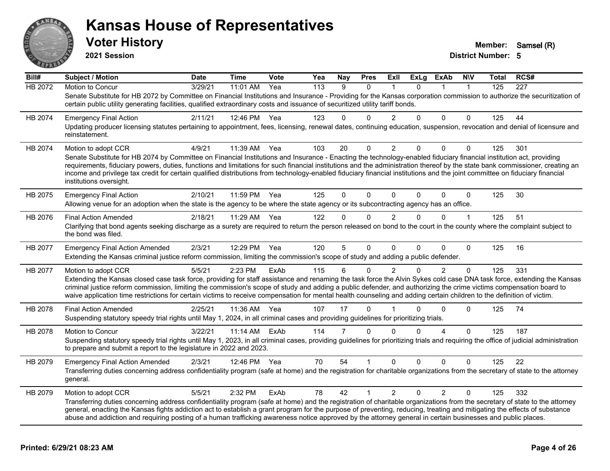

**2021 Session**

| Bill#          | <b>Subject / Motion</b>                                                                                                                                                                                                                                                                                                                                                                                                                                                                                                                                       | <b>Date</b> | <b>Time</b>  | Vote | Yea | <b>Nay</b> | <b>Pres</b> | ExII           | <b>ExLg</b>  | <b>ExAb</b>    | <b>NIV</b>   | Total | RCS#             |
|----------------|---------------------------------------------------------------------------------------------------------------------------------------------------------------------------------------------------------------------------------------------------------------------------------------------------------------------------------------------------------------------------------------------------------------------------------------------------------------------------------------------------------------------------------------------------------------|-------------|--------------|------|-----|------------|-------------|----------------|--------------|----------------|--------------|-------|------------------|
| <b>HB 2072</b> | Motion to Concur                                                                                                                                                                                                                                                                                                                                                                                                                                                                                                                                              | 3/29/21     | 11:01 AM     | Yea  | 113 | 9          | $\Omega$    |                | $\Omega$     |                | $\mathbf{1}$ | 125   | $\overline{227}$ |
|                | Senate Substitute for HB 2072 by Committee on Financial Institutions and Insurance - Providing for the Kansas corporation commission to authorize the securitization of<br>certain public utility generating facilities, qualified extraordinary costs and issuance of securitized utility tariff bonds.                                                                                                                                                                                                                                                      |             |              |      |     |            |             |                |              |                |              |       |                  |
| HB 2074        | <b>Emergency Final Action</b>                                                                                                                                                                                                                                                                                                                                                                                                                                                                                                                                 | 2/11/21     | 12:46 PM Yea |      | 123 | 0          | $\Omega$    | $\overline{2}$ | $\Omega$     | 0              | 0            | 125   | 44               |
|                | Updating producer licensing statutes pertaining to appointment, fees, licensing, renewal dates, continuing education, suspension, revocation and denial of licensure and<br>reinstatement.                                                                                                                                                                                                                                                                                                                                                                    |             |              |      |     |            |             |                |              |                |              |       |                  |
| HB 2074        | Motion to adopt CCR                                                                                                                                                                                                                                                                                                                                                                                                                                                                                                                                           | 4/9/21      | 11:39 AM     | Yea  | 103 | 20         | $\Omega$    | 2              | $\Omega$     | $\Omega$       | $\Omega$     | 125   | 301              |
|                | Senate Substitute for HB 2074 by Committee on Financial Institutions and Insurance - Enacting the technology-enabled fiduciary financial institution act, providing<br>requirements, fiduciary powers, duties, functions and limitations for such financial institutions and the administration thereof by the state bank commissioner, creating an<br>income and privilege tax credit for certain qualified distributions from technology-enabled fiduciary financial institutions and the joint committee on fiduciary financial<br>institutions oversight. |             |              |      |     |            |             |                |              |                |              |       |                  |
| HB 2075        | <b>Emergency Final Action</b><br>Allowing venue for an adoption when the state is the agency to be where the state agency or its subcontracting agency has an office.                                                                                                                                                                                                                                                                                                                                                                                         | 2/10/21     | 11:59 PM     | Yea  | 125 | 0          | $\Omega$    | $\Omega$       | $\Omega$     | 0              | $\mathbf 0$  | 125   | 30               |
| HB 2076        | <b>Final Action Amended</b>                                                                                                                                                                                                                                                                                                                                                                                                                                                                                                                                   | 2/18/21     | 11:29 AM     | Yea  | 122 | 0          | $\Omega$    | 2              | $\mathbf{0}$ | $\Omega$       | $\mathbf 1$  | 125   | 51               |
|                | Clarifying that bond agents seeking discharge as a surety are required to return the person released on bond to the court in the county where the complaint subject to<br>the bond was filed.                                                                                                                                                                                                                                                                                                                                                                 |             |              |      |     |            |             |                |              |                |              |       |                  |
| HB 2077        | <b>Emergency Final Action Amended</b>                                                                                                                                                                                                                                                                                                                                                                                                                                                                                                                         | 2/3/21      | 12:29 PM     | Yea  | 120 | 5          | 0           | $\Omega$       | $\Omega$     | 0              | $\Omega$     | 125   | 16               |
|                | Extending the Kansas criminal justice reform commission, limiting the commission's scope of study and adding a public defender.                                                                                                                                                                                                                                                                                                                                                                                                                               |             |              |      |     |            |             |                |              |                |              |       |                  |
| HB 2077        | Motion to adopt CCR                                                                                                                                                                                                                                                                                                                                                                                                                                                                                                                                           | 5/5/21      | 2:23 PM      | ExAb | 115 | 6          | $\Omega$    | 2              | $\Omega$     | $\overline{2}$ | $\Omega$     | 125   | 331              |
|                | Extending the Kansas closed case task force, providing for staff assistance and renaming the task force the Alvin Sykes cold case DNA task force, extending the Kansas<br>criminal justice reform commission, limiting the commission's scope of study and adding a public defender, and authorizing the crime victims compensation board to<br>waive application time restrictions for certain victims to receive compensation for mental health counseling and adding certain children to the definition of victim.                                         |             |              |      |     |            |             |                |              |                |              |       |                  |
| HB 2078        | <b>Final Action Amended</b>                                                                                                                                                                                                                                                                                                                                                                                                                                                                                                                                   | 2/25/21     | 11:36 AM     | Yea  | 107 | 17         | $\Omega$    |                | 0            | 0              | $\Omega$     | 125   | 74               |
|                | Suspending statutory speedy trial rights until May 1, 2024, in all criminal cases and providing guidelines for prioritizing trials.                                                                                                                                                                                                                                                                                                                                                                                                                           |             |              |      |     |            |             |                |              |                |              |       |                  |
| HB 2078        | Motion to Concur                                                                                                                                                                                                                                                                                                                                                                                                                                                                                                                                              | 3/22/21     | 11:14 AM     | ExAb | 114 | 7          | $\Omega$    | $\Omega$       | $\Omega$     | 4              | $\Omega$     | 125   | 187              |
|                | Suspending statutory speedy trial rights until May 1, 2023, in all criminal cases, providing guidelines for prioritizing trials and requiring the office of judicial administration<br>to prepare and submit a report to the legislature in 2022 and 2023.                                                                                                                                                                                                                                                                                                    |             |              |      |     |            |             |                |              |                |              |       |                  |
| HB 2079        | <b>Emergency Final Action Amended</b>                                                                                                                                                                                                                                                                                                                                                                                                                                                                                                                         | 2/3/21      | 12:46 PM     | Yea  | 70  | 54         |             | $\mathbf{0}$   | $\Omega$     | 0              | 0            | 125   | 22               |
|                | Transferring duties concerning address confidentiality program (safe at home) and the registration for charitable organizations from the secretary of state to the attorney<br>general.                                                                                                                                                                                                                                                                                                                                                                       |             |              |      |     |            |             |                |              |                |              |       |                  |
| HB 2079        | Motion to adopt CCR                                                                                                                                                                                                                                                                                                                                                                                                                                                                                                                                           | 5/5/21      | 2:32 PM      | ExAb | 78  | 42         | 1           | $\overline{2}$ | $\Omega$     | $\overline{2}$ | $\Omega$     | 125   | 332              |
|                | Transferring duties concerning address confidentiality program (safe at home) and the registration of charitable organizations from the secretary of state to the attorney<br>general, enacting the Kansas fights addiction act to establish a grant program for the purpose of preventing, reducing, treating and mitigating the effects of substance<br>abuse and addiction and requiring posting of a human trafficking awareness notice approved by the attorney general in certain businesses and public places.                                         |             |              |      |     |            |             |                |              |                |              |       |                  |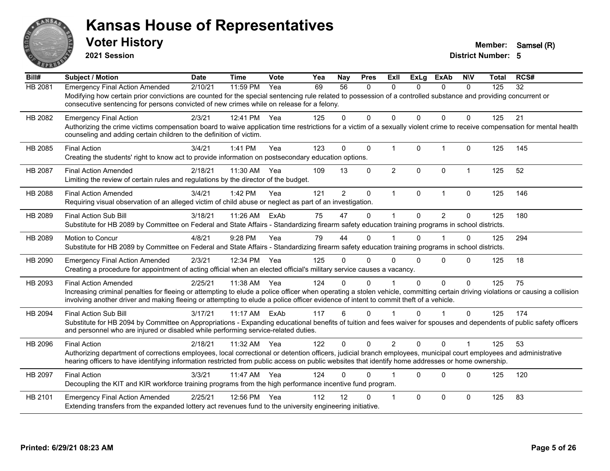

**2021 Session**

| Bill#   | <b>Subject / Motion</b>                                                                                                                                                         | <b>Date</b> | <b>Time</b> | Vote | Yea | <b>Nay</b>     | <b>Pres</b>  | ExII           | <b>ExLg</b>  | <b>ExAb</b>    | <b>NIV</b>   | Total | RCS# |
|---------|---------------------------------------------------------------------------------------------------------------------------------------------------------------------------------|-------------|-------------|------|-----|----------------|--------------|----------------|--------------|----------------|--------------|-------|------|
| HB 2081 | <b>Emergency Final Action Amended</b>                                                                                                                                           | 2/10/21     | 11:59 PM    | Yea  | 69  | 56             | 0            | $\Omega$       | 0            | $\mathbf{0}$   | $\Omega$     | 125   | 32   |
|         | Modifying how certain prior convictions are counted for the special sentencing rule related to possession of a controlled substance and providing concurrent or                 |             |             |      |     |                |              |                |              |                |              |       |      |
|         | consecutive sentencing for persons convicted of new crimes while on release for a felony.                                                                                       |             |             |      |     |                |              |                |              |                |              |       |      |
| HB 2082 | <b>Emergency Final Action</b>                                                                                                                                                   | 2/3/21      | 12:41 PM    | Yea  | 125 | 0              | $\Omega$     | $\Omega$       | $\Omega$     | $\Omega$       | $\Omega$     | 125   | 21   |
|         | Authorizing the crime victims compensation board to waive application time restrictions for a victim of a sexually violent crime to receive compensation for mental health      |             |             |      |     |                |              |                |              |                |              |       |      |
|         | counseling and adding certain children to the definition of victim.                                                                                                             |             |             |      |     |                |              |                |              |                |              |       |      |
| HB 2085 | <b>Final Action</b>                                                                                                                                                             | 3/4/21      | 1:41 PM     | Yea  | 123 | $\Omega$       | $\mathbf{0}$ | $\mathbf{1}$   | $\mathbf{0}$ | $\mathbf{1}$   | $\mathbf 0$  | 125   | 145  |
|         | Creating the students' right to know act to provide information on postsecondary education options.                                                                             |             |             |      |     |                |              |                |              |                |              |       |      |
| HB 2087 | <b>Final Action Amended</b>                                                                                                                                                     | 2/18/21     | 11:30 AM    | Yea  | 109 | 13             | 0            | $\overline{2}$ | $\Omega$     | $\mathbf 0$    | $\mathbf{1}$ | 125   | 52   |
|         | Limiting the review of certain rules and regulations by the director of the budget.                                                                                             |             |             |      |     |                |              |                |              |                |              |       |      |
| HB 2088 | <b>Final Action Amended</b>                                                                                                                                                     | 3/4/21      | 1:42 PM     | Yea  | 121 | $\overline{2}$ | $\mathbf 0$  | $\mathbf{1}$   | $\mathbf{0}$ | $\mathbf{1}$   | $\mathbf 0$  | 125   | 146  |
|         | Requiring visual observation of an alleged victim of child abuse or neglect as part of an investigation.                                                                        |             |             |      |     |                |              |                |              |                |              |       |      |
|         | Final Action Sub Bill                                                                                                                                                           | 3/18/21     | 11:26 AM    | ExAb | 75  | 47             | 0            |                | $\Omega$     | $\overline{2}$ | $\mathbf 0$  | 125   | 180  |
| HB 2089 | Substitute for HB 2089 by Committee on Federal and State Affairs - Standardizing firearm safety education training programs in school districts.                                |             |             |      |     |                |              |                |              |                |              |       |      |
|         |                                                                                                                                                                                 |             |             |      |     |                |              |                |              |                |              |       |      |
| HB 2089 | Motion to Concur                                                                                                                                                                | 4/8/21      | 9:28 PM     | Yea  | 79  | 44             | $\Omega$     |                | $\Omega$     | 1              | 0            | 125   | 294  |
|         | Substitute for HB 2089 by Committee on Federal and State Affairs - Standardizing firearm safety education training programs in school districts.                                |             |             |      |     |                |              |                |              |                |              |       |      |
| HB 2090 | <b>Emergency Final Action Amended</b>                                                                                                                                           | 2/3/21      | 12:34 PM    | Yea  | 125 | 0              | $\Omega$     | $\Omega$       | $\Omega$     | $\Omega$       | $\Omega$     | 125   | 18   |
|         | Creating a procedure for appointment of acting official when an elected official's military service causes a vacancy.                                                           |             |             |      |     |                |              |                |              |                |              |       |      |
| HB 2093 | <b>Final Action Amended</b>                                                                                                                                                     | 2/25/21     | 11:38 AM    | Yea  | 124 | 0              | $\Omega$     |                | 0            | $\Omega$       | $\mathbf{0}$ | 125   | 75   |
|         | Increasing criminal penalties for fleeing or attempting to elude a police officer when operating a stolen vehicle, committing certain driving violations or causing a collision |             |             |      |     |                |              |                |              |                |              |       |      |
|         | involving another driver and making fleeing or attempting to elude a police officer evidence of intent to commit theft of a vehicle.                                            |             |             |      |     |                |              |                |              |                |              |       |      |
| HB 2094 | <b>Final Action Sub Bill</b>                                                                                                                                                    | 3/17/21     | $11:17$ AM  | ExAb | 117 | 6              | $\mathbf{0}$ |                | $\Omega$     | $\overline{1}$ | $\Omega$     | 125   | 174  |
|         | Substitute for HB 2094 by Committee on Appropriations - Expanding educational benefits of tuition and fees waiver for spouses and dependents of public safety officers          |             |             |      |     |                |              |                |              |                |              |       |      |
|         | and personnel who are injured or disabled while performing service-related duties.                                                                                              |             |             |      |     |                |              |                |              |                |              |       |      |
| HB 2096 | <b>Final Action</b>                                                                                                                                                             | 2/18/21     | 11:32 AM    | Yea  | 122 | $\Omega$       | $\Omega$     | $\overline{2}$ | $\Omega$     | $\Omega$       | $\mathbf 1$  | 125   | 53   |
|         | Authorizing department of corrections employees, local correctional or detention officers, judicial branch employees, municipal court employees and administrative              |             |             |      |     |                |              |                |              |                |              |       |      |
|         | hearing officers to have identifying information restricted from public access on public websites that identify home addresses or home ownership.                               |             |             |      |     |                |              |                |              |                |              |       |      |
| HB 2097 | <b>Final Action</b>                                                                                                                                                             | 3/3/21      | 11:47 AM    | Yea  | 124 | U              | $\Omega$     |                | $\Omega$     | $\Omega$       | $\mathbf{0}$ | 125   | 120  |
|         | Decoupling the KIT and KIR workforce training programs from the high performance incentive fund program.                                                                        |             |             |      |     |                |              |                |              |                |              |       |      |
| HB 2101 | <b>Emergency Final Action Amended</b>                                                                                                                                           | 2/25/21     | 12:56 PM    | Yea  | 112 | 12             | $\Omega$     |                | $\Omega$     | $\Omega$       | $\mathbf{0}$ | 125   | 83   |
|         | Extending transfers from the expanded lottery act revenues fund to the university engineering initiative.                                                                       |             |             |      |     |                |              |                |              |                |              |       |      |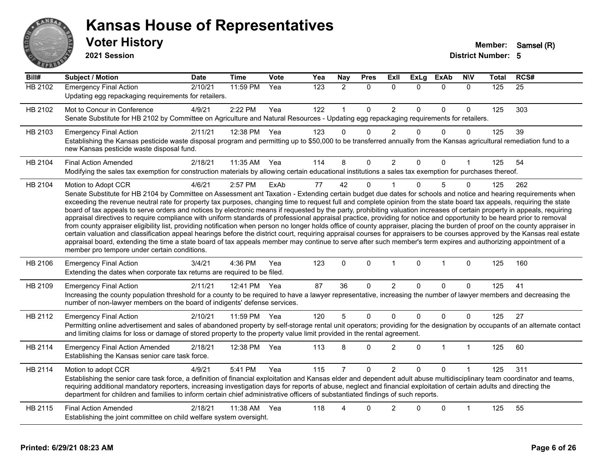

#### **Voter History Member:** Samsel (R) **Kansas House of Representatives**

**2021 Session**

| Bill#          | <b>Subject / Motion</b>                                                                                                                                                                                                                                                                                                                                                                                                                                                                                                                                                                                                                                                                                                                                                                                                                                                                                                                                                                                                                                                                                                                                                                                                                                                                                     | <b>Date</b> | <b>Time</b>  | Vote | Yea | Nay            | <b>Pres</b>  | ExII           | <b>ExLg</b> | <b>ExAb</b>  | <b>NIV</b>           | Total | RCS# |
|----------------|-------------------------------------------------------------------------------------------------------------------------------------------------------------------------------------------------------------------------------------------------------------------------------------------------------------------------------------------------------------------------------------------------------------------------------------------------------------------------------------------------------------------------------------------------------------------------------------------------------------------------------------------------------------------------------------------------------------------------------------------------------------------------------------------------------------------------------------------------------------------------------------------------------------------------------------------------------------------------------------------------------------------------------------------------------------------------------------------------------------------------------------------------------------------------------------------------------------------------------------------------------------------------------------------------------------|-------------|--------------|------|-----|----------------|--------------|----------------|-------------|--------------|----------------------|-------|------|
| <b>HB 2102</b> | <b>Emergency Final Action</b><br>Updating egg repackaging requirements for retailers.                                                                                                                                                                                                                                                                                                                                                                                                                                                                                                                                                                                                                                                                                                                                                                                                                                                                                                                                                                                                                                                                                                                                                                                                                       | 2/10/21     | 11:59 PM     | Yea  | 123 | 2              | 0            | $\mathbf{0}$   | $\Omega$    | $\Omega$     | $\Omega$             | 125   | 25   |
| HB 2102        | Mot to Concur in Conference<br>Senate Substitute for HB 2102 by Committee on Agriculture and Natural Resources - Updating egg repackaging requirements for retailers.                                                                                                                                                                                                                                                                                                                                                                                                                                                                                                                                                                                                                                                                                                                                                                                                                                                                                                                                                                                                                                                                                                                                       | 4/9/21      | 2:22 PM      | Yea  | 122 |                | 0            | $\overline{2}$ | $\Omega$    | $\Omega$     | $\Omega$             | 125   | 303  |
| HB 2103        | <b>Emergency Final Action</b><br>Establishing the Kansas pesticide waste disposal program and permitting up to \$50,000 to be transferred annually from the Kansas agricultural remediation fund to a<br>new Kansas pesticide waste disposal fund.                                                                                                                                                                                                                                                                                                                                                                                                                                                                                                                                                                                                                                                                                                                                                                                                                                                                                                                                                                                                                                                          | 2/11/21     | 12:38 PM     | Yea  | 123 | $\Omega$       | $\Omega$     | 2              | $\Omega$    | $\Omega$     | $\Omega$             | 125   | 39   |
| HB 2104        | <b>Final Action Amended</b><br>Modifying the sales tax exemption for construction materials by allowing certain educational institutions a sales tax exemption for purchases thereof.                                                                                                                                                                                                                                                                                                                                                                                                                                                                                                                                                                                                                                                                                                                                                                                                                                                                                                                                                                                                                                                                                                                       | 2/18/21     | 11:35 AM     | Yea  | 114 | 8              | 0            | $\overline{2}$ | $\Omega$    | $\Omega$     |                      | 125   | 54   |
| HB 2104        | Motion to Adopt CCR<br>Senate Substitute for HB 2104 by Committee on Assessment ant Taxation - Extending certain budget due dates for schools and notice and hearing requirements when<br>exceeding the revenue neutral rate for property tax purposes, changing time to request full and complete opinion from the state board tax appeals, requiring the state<br>board of tax appeals to serve orders and notices by electronic means if requested by the party, prohibiting valuation increases of certain property in appeals, requiring<br>appraisal directives to require compliance with uniform standards of professional appraisal practice, providing for notice and opportunity to be heard prior to removal<br>from county appraiser eligibility list, providing notification when person no longer holds office of county appraiser, placing the burden of proof on the county appraiser in<br>certain valuation and classification appeal hearings before the district court, requiring appraisal courses for appraisers to be courses approved by the Kansas real estate<br>appraisal board, extending the time a state board of tax appeals member may continue to serve after such member's term expires and authorizing appointment of a<br>member pro tempore under certain conditions. | 4/6/21      | 2:57 PM      | ExAb | 77  | 42             | $\Omega$     |                | $\Omega$    | 5            | $\Omega$             | 125   | 262  |
| HB 2106        | <b>Emergency Final Action</b><br>Extending the dates when corporate tax returns are required to be filed.                                                                                                                                                                                                                                                                                                                                                                                                                                                                                                                                                                                                                                                                                                                                                                                                                                                                                                                                                                                                                                                                                                                                                                                                   | 3/4/21      | 4:36 PM      | Yea  | 123 | $\Omega$       | $\mathbf{0}$ | $\mathbf 1$    | $\Omega$    | $\mathbf{1}$ | $\mathbf{0}$         | 125   | 160  |
| HB 2109        | <b>Emergency Final Action</b><br>Increasing the county population threshold for a county to be required to have a lawyer representative, increasing the number of lawyer members and decreasing the<br>number of non-lawyer members on the board of indigents' defense services.                                                                                                                                                                                                                                                                                                                                                                                                                                                                                                                                                                                                                                                                                                                                                                                                                                                                                                                                                                                                                            | 2/11/21     | 12:41 PM Yea |      | 87  | 36             | 0            | $\overline{2}$ | $\Omega$    | $\Omega$     | $\Omega$             | 125   | 41   |
| HB 2112        | <b>Emergency Final Action</b><br>Permitting online advertisement and sales of abandoned property by self-storage rental unit operators; providing for the designation by occupants of an alternate contact<br>and limiting claims for loss or damage of stored property to the property value limit provided in the rental agreement.                                                                                                                                                                                                                                                                                                                                                                                                                                                                                                                                                                                                                                                                                                                                                                                                                                                                                                                                                                       | 2/10/21     | 11:59 PM Yea |      | 120 | 5              | 0            | $\mathbf 0$    | $\mathbf 0$ | $\mathbf 0$  | $\mathbf 0$          | 125   | 27   |
| HB 2114        | <b>Emergency Final Action Amended</b><br>Establishing the Kansas senior care task force.                                                                                                                                                                                                                                                                                                                                                                                                                                                                                                                                                                                                                                                                                                                                                                                                                                                                                                                                                                                                                                                                                                                                                                                                                    | 2/18/21     | 12:38 PM     | Yea  | 113 | 8              | $\mathbf 0$  | $\overline{2}$ | $\Omega$    | $\mathbf{1}$ | $\mathbf{1}$         | 125   | 60   |
| HB 2114        | Motion to adopt CCR<br>Establishing the senior care task force, a definition of financial exploitation and Kansas elder and dependent adult abuse multidisciplinary team coordinator and teams,<br>requiring additional mandatory reporters, increasing investigation days for reports of abuse, neglect and financial exploitation of certain adults and directing the<br>department for children and families to inform certain chief administrative officers of substantiated findings of such reports.                                                                                                                                                                                                                                                                                                                                                                                                                                                                                                                                                                                                                                                                                                                                                                                                  | 4/9/21      | 5:41 PM      | Yea  | 115 | $\overline{7}$ | 0            | $\overline{2}$ | $\mathbf 0$ | $\Omega$     | $\blacktriangleleft$ | 125   | 311  |
| HB 2115        | <b>Final Action Amended</b><br>Establishing the joint committee on child welfare system oversight.                                                                                                                                                                                                                                                                                                                                                                                                                                                                                                                                                                                                                                                                                                                                                                                                                                                                                                                                                                                                                                                                                                                                                                                                          | 2/18/21     | 11:38 AM     | Yea  | 118 |                | $\Omega$     | 2              | U           | $\Omega$     |                      | 125   | 55   |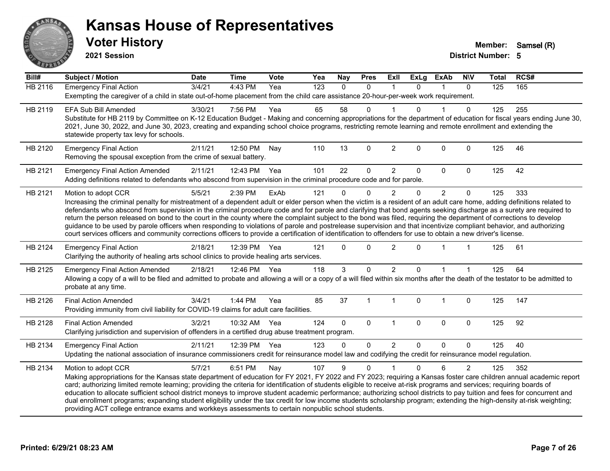

**2021 Session**

| Bill#          | <b>Subject / Motion</b>                                                                                                                                                                                                                                                                                                                                                                                                                                                                                                                                                                                                                                                                                                                                                                                                                                                                | <b>Date</b> | <b>Time</b>  | <b>Vote</b> | Yea | <b>Nay</b> | <b>Pres</b>  | Exll           | <b>ExLg</b>    | <b>ExAb</b>    | <b>NIV</b>     | <b>Total</b> | RCS# |
|----------------|----------------------------------------------------------------------------------------------------------------------------------------------------------------------------------------------------------------------------------------------------------------------------------------------------------------------------------------------------------------------------------------------------------------------------------------------------------------------------------------------------------------------------------------------------------------------------------------------------------------------------------------------------------------------------------------------------------------------------------------------------------------------------------------------------------------------------------------------------------------------------------------|-------------|--------------|-------------|-----|------------|--------------|----------------|----------------|----------------|----------------|--------------|------|
| <b>HB 2116</b> | <b>Emergency Final Action</b><br>Exempting the caregiver of a child in state out-of-home placement from the child care assistance 20-hour-per-week work requirement.                                                                                                                                                                                                                                                                                                                                                                                                                                                                                                                                                                                                                                                                                                                   | 3/4/21      | 4:43 PM      | Yea         | 123 | $\Omega$   | 0            | $\mathbf 1$    | $\Omega$       | $\mathbf{1}$   | $\mathbf{0}$   | 125          | 165  |
| HB 2119        | <b>EFA Sub Bill Amended</b><br>Substitute for HB 2119 by Committee on K-12 Education Budget - Making and concerning appropriations for the department of education for fiscal years ending June 30,<br>2021, June 30, 2022, and June 30, 2023, creating and expanding school choice programs, restricting remote learning and remote enrollment and extending the<br>statewide property tax levy for schools.                                                                                                                                                                                                                                                                                                                                                                                                                                                                          | 3/30/21     | 7:56 PM      | Yea         | 65  | 58         | $\Omega$     |                | U              |                | 0              | 125          | 255  |
| HB 2120        | <b>Emergency Final Action</b><br>Removing the spousal exception from the crime of sexual battery.                                                                                                                                                                                                                                                                                                                                                                                                                                                                                                                                                                                                                                                                                                                                                                                      | 2/11/21     | 12:50 PM     | Nay         | 110 | 13         | $\Omega$     | $\overline{2}$ | $\Omega$       | $\mathbf{0}$   | $\Omega$       | 125          | 46   |
| HB 2121        | <b>Emergency Final Action Amended</b><br>Adding definitions related to defendants who abscond from supervision in the criminal procedure code and for parole.                                                                                                                                                                                                                                                                                                                                                                                                                                                                                                                                                                                                                                                                                                                          | 2/11/21     | 12:43 PM     | Yea         | 101 | 22         | 0            | $\overline{2}$ | 0              | 0              | $\mathbf{0}$   | 125          | 42   |
| HB 2121        | Motion to adopt CCR<br>Increasing the criminal penalty for mistreatment of a dependent adult or elder person when the victim is a resident of an adult care home, adding definitions related to<br>defendants who abscond from supervision in the criminal procedure code and for parole and clarifying that bond agents seeking discharge as a surety are required to<br>return the person released on bond to the court in the county where the complaint subject to the bond was filed, requiring the department of corrections to develop<br>guidance to be used by parole officers when responding to violations of parole and postrelease supervision and that incentivize compliant behavior, and authorizing<br>court services officers and community corrections officers to provide a certification of identification to offenders for use to obtain a new driver's license. | 5/5/21      | 2:39 PM      | ExAb        | 121 | $\Omega$   | $\Omega$     | $\overline{2}$ | $\Omega$       | $\overline{2}$ | $\mathbf{0}$   | 125          | 333  |
| HB 2124        | <b>Emergency Final Action</b><br>Clarifying the authority of healing arts school clinics to provide healing arts services.                                                                                                                                                                                                                                                                                                                                                                                                                                                                                                                                                                                                                                                                                                                                                             | 2/18/21     | 12:39 PM     | Yea         | 121 | $\Omega$   | $\Omega$     | $\overline{2}$ | $\Omega$       |                |                | 125          | 61   |
| HB 2125        | <b>Emergency Final Action Amended</b><br>Allowing a copy of a will to be filed and admitted to probate and allowing a will or a copy of a will filed within six months after the death of the testator to be admitted to<br>probate at any time.                                                                                                                                                                                                                                                                                                                                                                                                                                                                                                                                                                                                                                       | 2/18/21     | 12:46 PM Yea |             | 118 | 3          | $\Omega$     | $\overline{2}$ | $\Omega$       |                |                | 125          | 64   |
| HB 2126        | <b>Final Action Amended</b><br>Providing immunity from civil liability for COVID-19 claims for adult care facilities.                                                                                                                                                                                                                                                                                                                                                                                                                                                                                                                                                                                                                                                                                                                                                                  | 3/4/21      | 1:44 PM      | Yea         | 85  | 37         | $\mathbf 1$  | $\overline{1}$ | $\mathbf{0}$   | $\overline{1}$ | $\mathbf 0$    | 125          | 147  |
| HB 2128        | <b>Final Action Amended</b><br>Clarifying jurisdiction and supervision of offenders in a certified drug abuse treatment program.                                                                                                                                                                                                                                                                                                                                                                                                                                                                                                                                                                                                                                                                                                                                                       | 3/2/21      | 10:32 AM Yea |             | 124 | $\Omega$   | $\mathbf 0$  | $\mathbf{1}$   | $\mathbf{0}$   | 0              | 0              | 125          | 92   |
| HB 2134        | <b>Emergency Final Action</b><br>Updating the national association of insurance commissioners credit for reinsurance model law and codifying the credit for reinsurance model regulation.                                                                                                                                                                                                                                                                                                                                                                                                                                                                                                                                                                                                                                                                                              | 2/11/21     | 12:39 PM     | Yea         | 123 | 0          | $\mathbf{0}$ | $\overline{2}$ | $\Omega$       | $\Omega$       | $\Omega$       | 125          | 40   |
| HB 2134        | Motion to adopt CCR<br>Making appropriations for the Kansas state department of education for FY 2021, FY 2022 and FY 2023; requiring a Kansas foster care children annual academic report<br>card; authorizing limited remote learning; providing the criteria for identification of students eligible to receive at-risk programs and services; requiring boards of<br>education to allocate sufficient school district moneys to improve student academic performance; authorizing school districts to pay tuition and fees for concurrent and<br>dual enrollment programs; expanding student eligibility under the tax credit for low income students scholarship program; extending the high-density at-risk weighting;<br>providing ACT college entrance exams and workkeys assessments to certain nonpublic school students.                                                    | 5/7/21      | 6:51 PM      | Nay         | 107 | 9          | $\Omega$     |                | $\overline{0}$ | 6              | $\overline{2}$ | 125          | 352  |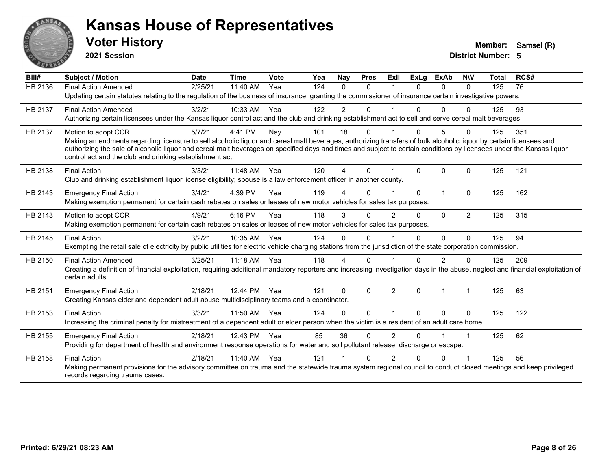

**2021 Session**

| Bill#          | <b>Subject / Motion</b>                                                                                                                                                                                                           | <b>Date</b> | <b>Time</b> | Vote | Yea | Nay            | <b>Pres</b>  | ExII           | <b>ExLg</b>  | <b>ExAb</b> | <b>N\V</b>           | <b>Total</b> | RCS# |
|----------------|-----------------------------------------------------------------------------------------------------------------------------------------------------------------------------------------------------------------------------------|-------------|-------------|------|-----|----------------|--------------|----------------|--------------|-------------|----------------------|--------------|------|
| <b>HB 2136</b> | <b>Final Action Amended</b>                                                                                                                                                                                                       | 2/25/21     | 11:40 AM    | Yea  | 124 | $\Omega$       | $\Omega$     |                | $\Omega$     | $\Omega$    | $\Omega$             | 125          | 76   |
|                | Updating certain statutes relating to the regulation of the business of insurance; granting the commissioner of insurance certain investigative powers.                                                                           |             |             |      |     |                |              |                |              |             |                      |              |      |
| HB 2137        | <b>Final Action Amended</b>                                                                                                                                                                                                       | 3/2/21      | 10:33 AM    | Yea  | 122 | $\overline{2}$ | 0            |                | 0            | $\Omega$    | $\Omega$             | 125          | 93   |
|                | Authorizing certain licensees under the Kansas liquor control act and the club and drinking establishment act to sell and serve cereal malt beverages.                                                                            |             |             |      |     |                |              |                |              |             |                      |              |      |
| HB 2137        | Motion to adopt CCR                                                                                                                                                                                                               | 5/7/21      | 4:41 PM     | Nay  | 101 | 18             | $\Omega$     |                | $\Omega$     | 5           | $\Omega$             | 125          | 351  |
|                | Making amendments regarding licensure to sell alcoholic liquor and cereal malt beverages, authorizing transfers of bulk alcoholic liquor by certain licensees and                                                                 |             |             |      |     |                |              |                |              |             |                      |              |      |
|                | authorizing the sale of alcoholic liquor and cereal malt beverages on specified days and times and subject to certain conditions by licensees under the Kansas liquor<br>control act and the club and drinking establishment act. |             |             |      |     |                |              |                |              |             |                      |              |      |
|                |                                                                                                                                                                                                                                   |             |             |      |     |                |              |                |              |             |                      |              |      |
| HB 2138        | <b>Final Action</b>                                                                                                                                                                                                               | 3/3/21      | 11:48 AM    | Yea  | 120 | 4              | $\Omega$     |                | $\Omega$     | $\Omega$    | $\mathbf{0}$         | 125          | 121  |
|                | Club and drinking establishment liquor license eligibility; spouse is a law enforcement officer in another county.                                                                                                                |             |             |      |     |                |              |                |              |             |                      |              |      |
| HB 2143        | <b>Emergency Final Action</b>                                                                                                                                                                                                     | 3/4/21      | 4:39 PM     | Yea  | 119 |                | $\Omega$     |                | $\Omega$     | 1           | $\Omega$             | 125          | 162  |
|                | Making exemption permanent for certain cash rebates on sales or leases of new motor vehicles for sales tax purposes.                                                                                                              |             |             |      |     |                |              |                |              |             |                      |              |      |
| HB 2143        | Motion to adopt CCR                                                                                                                                                                                                               | 4/9/21      | 6:16 PM     | Yea  | 118 | 3              | $\Omega$     | $\overline{2}$ | $\Omega$     | $\Omega$    | $\overline{2}$       | 125          | 315  |
|                | Making exemption permanent for certain cash rebates on sales or leases of new motor vehicles for sales tax purposes.                                                                                                              |             |             |      |     |                |              |                |              |             |                      |              |      |
| HB 2145        | <b>Final Action</b>                                                                                                                                                                                                               | 3/2/21      | 10:35 AM    | Yea  | 124 | $\Omega$       | $\Omega$     |                | 0            | $\Omega$    | $\Omega$             | 125          | 94   |
|                | Exempting the retail sale of electricity by public utilities for electric vehicle charging stations from the jurisdiction of the state corporation commission.                                                                    |             |             |      |     |                |              |                |              |             |                      |              |      |
| HB 2150        | <b>Final Action Amended</b>                                                                                                                                                                                                       | 3/25/21     | $11:18$ AM  | Yea  | 118 | 4              | $\Omega$     |                | 0            | 2           | $\Omega$             | 125          | 209  |
|                | Creating a definition of financial exploitation, requiring additional mandatory reporters and increasing investigation days in the abuse, neglect and financial exploitation of                                                   |             |             |      |     |                |              |                |              |             |                      |              |      |
|                | certain adults.                                                                                                                                                                                                                   |             |             |      |     |                |              |                |              |             |                      |              |      |
| HB 2151        | <b>Emergency Final Action</b>                                                                                                                                                                                                     | 2/18/21     | 12:44 PM    | Yea  | 121 | $\Omega$       | $\mathbf{0}$ | 2              | $\mathbf{0}$ | 1           | $\blacktriangleleft$ | 125          | 63   |
|                | Creating Kansas elder and dependent adult abuse multidisciplinary teams and a coordinator.                                                                                                                                        |             |             |      |     |                |              |                |              |             |                      |              |      |
| HB 2153        | <b>Final Action</b>                                                                                                                                                                                                               | 3/3/21      | 11:50 AM    | Yea  | 124 | 0              | $\Omega$     |                | $\Omega$     | $\Omega$    | $\mathbf{0}$         | 125          | 122  |
|                | Increasing the criminal penalty for mistreatment of a dependent adult or elder person when the victim is a resident of an adult care home.                                                                                        |             |             |      |     |                |              |                |              |             |                      |              |      |
| HB 2155        | <b>Emergency Final Action</b>                                                                                                                                                                                                     | 2/18/21     | 12:43 PM    | Yea  | 85  | 36             | $\Omega$     | $\overline{2}$ | $\Omega$     |             | $\blacktriangleleft$ | 125          | 62   |
|                | Providing for department of health and environment response operations for water and soil pollutant release, discharge or escape.                                                                                                 |             |             |      |     |                |              |                |              |             |                      |              |      |
| HB 2158        | <b>Final Action</b>                                                                                                                                                                                                               | 2/18/21     | 11:40 AM    | Yea  | 121 |                | $\Omega$     | 2              | U            | $\Omega$    |                      | 125          | 56   |
|                | Making permanent provisions for the advisory committee on trauma and the statewide trauma system regional council to conduct closed meetings and keep privileged                                                                  |             |             |      |     |                |              |                |              |             |                      |              |      |
|                | records regarding trauma cases.                                                                                                                                                                                                   |             |             |      |     |                |              |                |              |             |                      |              |      |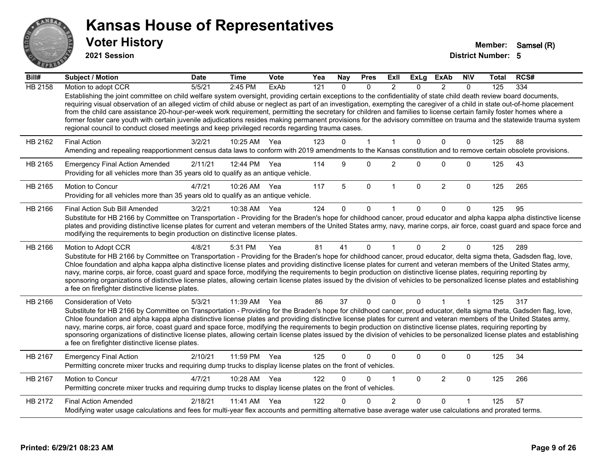

**2021 Session**

| Bill#          | Subject / Motion                                                                                                                                                                                                                                                                                                                                                                                                                                                                                                                                                                                                                                                                                                                                                                                      | <b>Date</b> | <b>Time</b> | <b>Vote</b> | Yea | <b>Nay</b>   | <b>Pres</b>  | Exll           | <b>ExLg</b>  | ExAb           | <b>NIV</b>     | Total | RCS# |
|----------------|-------------------------------------------------------------------------------------------------------------------------------------------------------------------------------------------------------------------------------------------------------------------------------------------------------------------------------------------------------------------------------------------------------------------------------------------------------------------------------------------------------------------------------------------------------------------------------------------------------------------------------------------------------------------------------------------------------------------------------------------------------------------------------------------------------|-------------|-------------|-------------|-----|--------------|--------------|----------------|--------------|----------------|----------------|-------|------|
| <b>HB 2158</b> | Motion to adopt CCR                                                                                                                                                                                                                                                                                                                                                                                                                                                                                                                                                                                                                                                                                                                                                                                   | 5/5/21      | 2:45 PM     | ExAb        | 121 | $\mathbf{0}$ | $\mathbf{0}$ | 2              | $\Omega$     | $\overline{2}$ | $\mathbf{0}$   | 125   | 334  |
|                | Establishing the joint committee on child welfare system oversight, providing certain exceptions to the confidentiality of state child death review board documents,<br>requiring visual observation of an alleged victim of child abuse or neglect as part of an investigation, exempting the caregiver of a child in state out-of-home placement<br>from the child care assistance 20-hour-per-week work requirement, permitting the secretary for children and families to license certain family foster homes where a<br>former foster care youth with certain juvenile adjudications resides making permanent provisions for the advisory committee on trauma and the statewide trauma system<br>regional council to conduct closed meetings and keep privileged records regarding trauma cases. |             |             |             |     |              |              |                |              |                |                |       |      |
| HB 2162        | <b>Final Action</b>                                                                                                                                                                                                                                                                                                                                                                                                                                                                                                                                                                                                                                                                                                                                                                                   | 3/2/21      | 10:25 AM    | Yea         | 123 | $\Omega$     | $\mathbf 1$  | 1              | $\Omega$     | $\Omega$       | $\mathbf{0}$   | 125   | 88   |
|                | Amending and repealing reapportionment census data laws to conform with 2019 amendments to the Kansas constitution and to remove certain obsolete provisions.                                                                                                                                                                                                                                                                                                                                                                                                                                                                                                                                                                                                                                         |             |             |             |     |              |              |                |              |                |                |       |      |
| HB 2165        | <b>Emergency Final Action Amended</b><br>Providing for all vehicles more than 35 years old to qualify as an antique vehicle.                                                                                                                                                                                                                                                                                                                                                                                                                                                                                                                                                                                                                                                                          | 2/11/21     | 12:44 PM    | Yea         | 114 | 9            | $\Omega$     | $\overline{2}$ | $\Omega$     | $\Omega$       | $\mathbf{0}$   | 125   | 43   |
| HB 2165        | Motion to Concur<br>Providing for all vehicles more than 35 years old to qualify as an antique vehicle.                                                                                                                                                                                                                                                                                                                                                                                                                                                                                                                                                                                                                                                                                               | 4/7/21      | 10:26 AM    | Yea         | 117 | 5            | $\mathbf{0}$ | $\mathbf{1}$   | $\mathbf{0}$ | $\overline{2}$ | $\mathbf{0}$   | 125   | 265  |
| HB 2166        | Final Action Sub Bill Amended                                                                                                                                                                                                                                                                                                                                                                                                                                                                                                                                                                                                                                                                                                                                                                         | 3/2/21      | 10:38 AM    | Yea         | 124 | $\Omega$     | $\Omega$     | 1              | $\mathbf{0}$ | $\Omega$       | $\Omega$       | 125   | 95   |
|                | Substitute for HB 2166 by Committee on Transportation - Providing for the Braden's hope for childhood cancer, proud educator and alpha kappa alpha distinctive license<br>plates and providing distinctive license plates for current and veteran members of the United States army, navy, marine corps, air force, coast guard and space force and<br>modifying the requirements to begin production on distinctive license plates.                                                                                                                                                                                                                                                                                                                                                                  |             |             |             |     |              |              |                |              |                |                |       |      |
| HB 2166        | Motion to Adopt CCR<br>Substitute for HB 2166 by Committee on Transportation - Providing for the Braden's hope for childhood cancer, proud educator, delta sigma theta, Gadsden flag, love,<br>Chloe foundation and alpha kappa alpha distinctive license plates and providing distinctive license plates for current and veteran members of the United States army,<br>navy, marine corps, air force, coast guard and space force, modifying the requirements to begin production on distinctive license plates, requiring reporting by<br>sponsoring organizations of distinctive license plates, allowing certain license plates issued by the division of vehicles to be personalized license plates and establishing<br>a fee on firefighter distinctive license plates.                         | 4/8/21      | 5:31 PM     | Yea         | 81  | 41           | $\mathbf{0}$ | 1              | $\Omega$     | $\overline{2}$ | $\Omega$       | 125   | 289  |
| HB 2166        | Consideration of Veto                                                                                                                                                                                                                                                                                                                                                                                                                                                                                                                                                                                                                                                                                                                                                                                 | 5/3/21      | 11:39 AM    | Yea         | 86  | 37           | $\Omega$     | $\Omega$       | $\Omega$     | $\overline{1}$ | $\overline{1}$ | 125   | 317  |
|                | Substitute for HB 2166 by Committee on Transportation - Providing for the Braden's hope for childhood cancer, proud educator, delta sigma theta, Gadsden flag, love,<br>Chloe foundation and alpha kappa alpha distinctive license plates and providing distinctive license plates for current and veteran members of the United States army,<br>navy, marine corps, air force, coast guard and space force, modifying the requirements to begin production on distinctive license plates, requiring reporting by<br>sponsoring organizations of distinctive license plates, allowing certain license plates issued by the division of vehicles to be personalized license plates and establishing<br>a fee on firefighter distinctive license plates.                                                |             |             |             |     |              |              |                |              |                |                |       |      |
| HB 2167        | <b>Emergency Final Action</b><br>Permitting concrete mixer trucks and requiring dump trucks to display license plates on the front of vehicles.                                                                                                                                                                                                                                                                                                                                                                                                                                                                                                                                                                                                                                                       | 2/10/21     | 11:59 PM    | Yea         | 125 | $\Omega$     | $\Omega$     | 0              | $\mathbf{0}$ | $\Omega$       | $\mathbf 0$    | 125   | 34   |
| HB 2167        | Motion to Concur<br>Permitting concrete mixer trucks and requiring dump trucks to display license plates on the front of vehicles.                                                                                                                                                                                                                                                                                                                                                                                                                                                                                                                                                                                                                                                                    | 4/7/21      | 10:28 AM    | Yea         | 122 | $\Omega$     | $\Omega$     | 1              | $\Omega$     | $\overline{2}$ | $\mathbf{0}$   | 125   | 266  |
| HB 2172        | <b>Final Action Amended</b>                                                                                                                                                                                                                                                                                                                                                                                                                                                                                                                                                                                                                                                                                                                                                                           | 2/18/21     | 11:41 AM    | Yea         | 122 | <sup>n</sup> | <sup>n</sup> | 2              | $\Omega$     | $\Omega$       |                | 125   | 57   |
|                | Modifying water usage calculations and fees for multi-year flex accounts and permitting alternative base average water use calculations and prorated terms.                                                                                                                                                                                                                                                                                                                                                                                                                                                                                                                                                                                                                                           |             |             |             |     |              |              |                |              |                |                |       |      |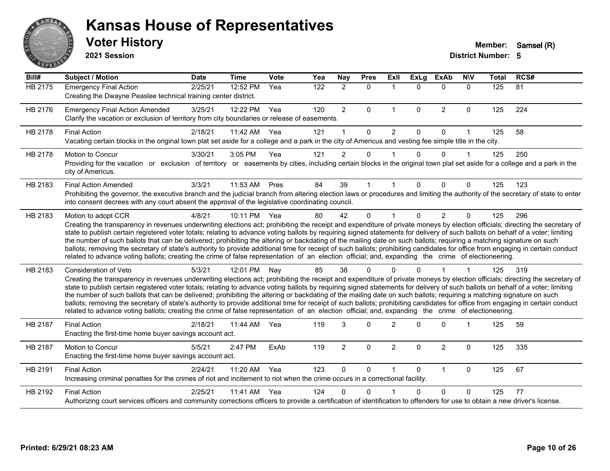

**2021 Session**

| Bill#   | <b>Subject / Motion</b>                                                                                                                                                                                                                                                                                                                                                                                                                                                                                                                                                                                                                                                                                                                                                                                                                                                                                           | <b>Date</b> | <b>Time</b> | Vote | Yea              | Nay            | <b>Pres</b> | ExIl           | <b>ExLg</b>  | <b>ExAb</b>    | <b>NIV</b>           | <b>Total</b> | RCS# |
|---------|-------------------------------------------------------------------------------------------------------------------------------------------------------------------------------------------------------------------------------------------------------------------------------------------------------------------------------------------------------------------------------------------------------------------------------------------------------------------------------------------------------------------------------------------------------------------------------------------------------------------------------------------------------------------------------------------------------------------------------------------------------------------------------------------------------------------------------------------------------------------------------------------------------------------|-------------|-------------|------|------------------|----------------|-------------|----------------|--------------|----------------|----------------------|--------------|------|
| HB 2175 | <b>Emergency Final Action</b><br>Creating the Dwayne Peaslee technical training center district.                                                                                                                                                                                                                                                                                                                                                                                                                                                                                                                                                                                                                                                                                                                                                                                                                  | 2/25/21     | 12:52 PM    | Yea  | $\overline{122}$ | $\overline{2}$ | $\mathbf 0$ |                | $\Omega$     | $\mathbf{0}$   | $\mathbf 0$          | 125          | 81   |
| HB 2176 | <b>Emergency Final Action Amended</b><br>Clarify the vacation or exclusion of territory from city boundaries or release of easements.                                                                                                                                                                                                                                                                                                                                                                                                                                                                                                                                                                                                                                                                                                                                                                             | 3/25/21     | 12:22 PM    | Yea  | 120              | $\overline{2}$ | $\Omega$    | $\mathbf{1}$   | $\mathbf{0}$ | $\overline{2}$ | $\mathbf{0}$         | 125          | 224  |
| HB 2178 | <b>Final Action</b><br>Vacating certain blocks in the original town plat set aside for a college and a park in the city of Americus and vesting fee simple title in the city.                                                                                                                                                                                                                                                                                                                                                                                                                                                                                                                                                                                                                                                                                                                                     | 2/18/21     | 11:42 AM    | Yea  | 121              |                | $\Omega$    | 2              | $\Omega$     | $\Omega$       | $\blacktriangleleft$ | 125          | 58   |
| HB 2178 | Motion to Concur<br>Providing for the vacation or exclusion of territory or easements by cities, including certain blocks in the original town plat set aside for a college and a park in the<br>city of Americus.                                                                                                                                                                                                                                                                                                                                                                                                                                                                                                                                                                                                                                                                                                | 3/30/21     | 3:05 PM     | Yea  | 121              | $\overline{2}$ | $\Omega$    |                | 0            | $\Omega$       | $\overline{1}$       | 125          | 250  |
| HB 2183 | <b>Final Action Amended</b><br>Prohibiting the governor, the executive branch and the judicial branch from altering election laws or procedures and limiting the authority of the secretary of state to enter<br>into consent decrees with any court absent the approval of the legislative coordinating council.                                                                                                                                                                                                                                                                                                                                                                                                                                                                                                                                                                                                 | 3/3/21      | 11:53 AM    | Pres | 84               | 39             |             |                | 0            | $\Omega$       | $\Omega$             | 125          | 123  |
| HB 2183 | Motion to adopt CCR<br>Creating the transparency in revenues underwriting elections act; prohibiting the receipt and expenditure of private moneys by election officials; directing the secretary of<br>state to publish certain registered voter totals; relating to advance voting ballots by requiring signed statements for delivery of such ballots on behalf of a voter; limiting<br>the number of such ballots that can be delivered; prohibiting the altering or backdating of the mailing date on such ballots; requiring a matching signature on such<br>ballots; removing the secretary of state's authority to provide additional time for receipt of such ballots; prohibiting candidates for office from engaging in certain conduct<br>related to advance voting ballots; creating the crime of false representation of an election official; and, expanding the crime of electioneering.          | 4/8/21      | 10:11 PM    | Yea  | 80               | 42             | $\Omega$    |                | 0            | 2              | $\Omega$             | 125          | 296  |
| HB 2183 | <b>Consideration of Veto</b><br>Creating the transparency in revenues underwriting elections act; prohibiting the receipt and expenditure of private moneys by election officials; directing the secretary of<br>state to publish certain registered voter totals; relating to advance voting ballots by requiring signed statements for delivery of such ballots on behalf of a voter; limiting<br>the number of such ballots that can be delivered; prohibiting the altering or backdating of the mailing date on such ballots; requiring a matching signature on such<br>ballots; removing the secretary of state's authority to provide additional time for receipt of such ballots; prohibiting candidates for office from engaging in certain conduct<br>related to advance voting ballots; creating the crime of false representation of an election official; and, expanding the crime of electioneering. | 5/3/21      | 12:01 PM    | Nay  | 85               | 38             | $\Omega$    |                | n            |                |                      | 125          | 319  |
| HB 2187 | <b>Final Action</b><br>Enacting the first-time home buyer savings account act.                                                                                                                                                                                                                                                                                                                                                                                                                                                                                                                                                                                                                                                                                                                                                                                                                                    | 2/18/21     | 11:44 AM    | Yea  | 119              | 3              | $\Omega$    | $\mathcal{P}$  | $\Omega$     | $\Omega$       |                      | 125          | 59   |
| HB 2187 | Motion to Concur<br>Enacting the first-time home buyer savings account act.                                                                                                                                                                                                                                                                                                                                                                                                                                                                                                                                                                                                                                                                                                                                                                                                                                       | 5/5/21      | 2:47 PM     | ExAb | 119              | $\overline{2}$ | $\Omega$    | $\overline{2}$ | $\Omega$     | 2              | $\Omega$             | 125          | 335  |
| HB 2191 | <b>Final Action</b><br>Increasing criminal penalties for the crimes of riot and incitement to riot when the crime occurs in a correctional facility.                                                                                                                                                                                                                                                                                                                                                                                                                                                                                                                                                                                                                                                                                                                                                              | 2/24/21     | 11:20 AM    | Yea  | 123              | $\Omega$       | $\Omega$    |                | $\Omega$     | $\mathbf{1}$   | $\mathbf{0}$         | 125          | 67   |
| HB 2192 | <b>Final Action</b><br>Authorizing court services officers and community corrections officers to provide a certification of identification to offenders for use to obtain a new driver's license.                                                                                                                                                                                                                                                                                                                                                                                                                                                                                                                                                                                                                                                                                                                 | 2/25/21     | 11:41 AM    | Yea  | 124              | $\Omega$       | $\Omega$    |                | $\Omega$     | $\Omega$       | $\Omega$             | 125          | 77   |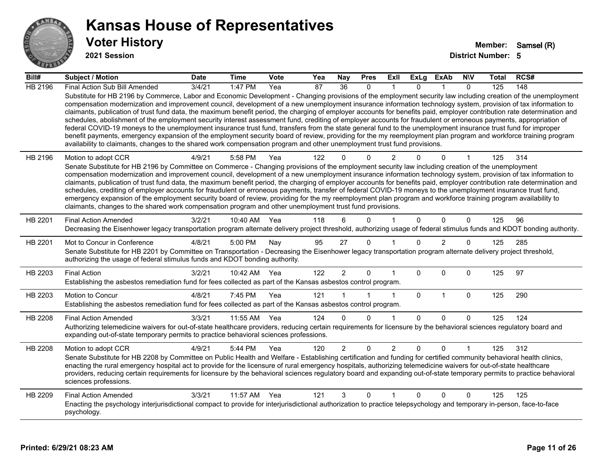

**2021 Session**

| Bill#          | Subject / Motion                                                                                                                                                                                                                                                                                                                                                                                                                                                                                                                                                                                                                                                                                                                                                                                                                                                                                                                                                                                                                                                                                                                                  | <b>Date</b> | <b>Time</b>  | Vote | Yea | <b>Nay</b>      | <b>Pres</b>  | Exll           | ExLg        | <b>ExAb</b>    | <b>NIV</b>   | <b>Total</b> | RCS# |
|----------------|---------------------------------------------------------------------------------------------------------------------------------------------------------------------------------------------------------------------------------------------------------------------------------------------------------------------------------------------------------------------------------------------------------------------------------------------------------------------------------------------------------------------------------------------------------------------------------------------------------------------------------------------------------------------------------------------------------------------------------------------------------------------------------------------------------------------------------------------------------------------------------------------------------------------------------------------------------------------------------------------------------------------------------------------------------------------------------------------------------------------------------------------------|-------------|--------------|------|-----|-----------------|--------------|----------------|-------------|----------------|--------------|--------------|------|
| <b>HB 2196</b> | Final Action Sub Bill Amended                                                                                                                                                                                                                                                                                                                                                                                                                                                                                                                                                                                                                                                                                                                                                                                                                                                                                                                                                                                                                                                                                                                     | 3/4/21      | 1:47 PM      | Yea  | 87  | $\overline{36}$ | $\mathbf{0}$ |                | $\Omega$    |                | $\Omega$     | 125          | 148  |
|                | Substitute for HB 2196 by Commerce, Labor and Economic Development - Changing provisions of the employment security law including creation of the unemployment<br>compensation modernization and improvement council, development of a new unemployment insurance information technology system, provision of tax information to<br>claimants, publication of trust fund data, the maximum benefit period, the charging of employer accounts for benefits paid, employer contribution rate determination and<br>schedules, abolishment of the employment security interest assessment fund, crediting of employer accounts for fraudulent or erroneous payments, appropriation of<br>federal COVID-19 moneys to the unemployment insurance trust fund, transfers from the state general fund to the unemployment insurance trust fund for improper<br>benefit payments, emergency expansion of the employment security board of review, providing for the my reemployment plan program and workforce training program<br>availability to claimants, changes to the shared work compensation program and other unemployment trust fund provisions. |             |              |      |     |                 |              |                |             |                |              |              |      |
| HB 2196        | Motion to adopt CCR                                                                                                                                                                                                                                                                                                                                                                                                                                                                                                                                                                                                                                                                                                                                                                                                                                                                                                                                                                                                                                                                                                                               | 4/9/21      | 5:58 PM      | Yea  | 122 |                 | 0            | 2              |             | O              |              | 125          | 314  |
|                | Senate Substitute for HB 2196 by Committee on Commerce - Changing provisions of the employment security law including creation of the unemployment<br>compensation modernization and improvement council, development of a new unemployment insurance information technology system, provision of tax information to<br>claimants, publication of trust fund data, the maximum benefit period, the charging of employer accounts for benefits paid, employer contribution rate determination and<br>schedules, crediting of employer accounts for fraudulent or erroneous payments, transfer of federal COVID-19 moneys to the unemployment insurance trust fund,<br>emergency expansion of the employment security board of review, providing for the my reemployment plan program and workforce training program availability to<br>claimants, changes to the shared work compensation program and other unemployment trust fund provisions.                                                                                                                                                                                                    |             |              |      |     |                 |              |                |             |                |              |              |      |
| HB 2201        | <b>Final Action Amended</b><br>Decreasing the Eisenhower legacy transportation program alternate delivery project threshold, authorizing usage of federal stimulus funds and KDOT bonding authority.                                                                                                                                                                                                                                                                                                                                                                                                                                                                                                                                                                                                                                                                                                                                                                                                                                                                                                                                              | 3/2/21      | 10:40 AM     | Yea  | 118 | 6               | $\Omega$     |                | $\Omega$    | $\Omega$       | $\mathbf{0}$ | 125          | 96   |
| HB 2201        | Mot to Concur in Conference<br>Senate Substitute for HB 2201 by Committee on Transportation - Decreasing the Eisenhower legacy transportation program alternate delivery project threshold,<br>authorizing the usage of federal stimulus funds and KDOT bonding authority.                                                                                                                                                                                                                                                                                                                                                                                                                                                                                                                                                                                                                                                                                                                                                                                                                                                                        | 4/8/21      | 5:00 PM      | Nay  | 95  | 27              | $\mathbf{0}$ |                | $\Omega$    | $\overline{2}$ | $\Omega$     | 125          | 285  |
| HB 2203        | <b>Final Action</b><br>Establishing the asbestos remediation fund for fees collected as part of the Kansas asbestos control program.                                                                                                                                                                                                                                                                                                                                                                                                                                                                                                                                                                                                                                                                                                                                                                                                                                                                                                                                                                                                              | 3/2/21      | 10:42 AM Yea |      | 122 | $\overline{2}$  | $\Omega$     |                | $\Omega$    | $\Omega$       | $\Omega$     | 125          | 97   |
| HB 2203        | Motion to Concur<br>Establishing the asbestos remediation fund for fees collected as part of the Kansas asbestos control program.                                                                                                                                                                                                                                                                                                                                                                                                                                                                                                                                                                                                                                                                                                                                                                                                                                                                                                                                                                                                                 | 4/8/21      | 7:45 PM      | Yea  | 121 |                 |              | 1              | $\mathbf 0$ | $\mathbf{1}$   | $\mathbf 0$  | 125          | 290  |
| HB 2208        | <b>Final Action Amended</b>                                                                                                                                                                                                                                                                                                                                                                                                                                                                                                                                                                                                                                                                                                                                                                                                                                                                                                                                                                                                                                                                                                                       | 3/3/21      | 11:55 AM     | Yea  | 124 | 0               | $\Omega$     |                | $\Omega$    | $\Omega$       | $\mathbf{0}$ | 125          | 124  |
|                | Authorizing telemedicine waivers for out-of-state healthcare providers, reducing certain requirements for licensure by the behavioral sciences regulatory board and<br>expanding out-of-state temporary permits to practice behavioral sciences professions.                                                                                                                                                                                                                                                                                                                                                                                                                                                                                                                                                                                                                                                                                                                                                                                                                                                                                      |             |              |      |     |                 |              |                |             |                |              |              |      |
| <b>HB 2208</b> | Motion to adopt CCR<br>Senate Substitute for HB 2208 by Committee on Public Health and Welfare - Establishing certification and funding for certified community behavioral health clinics,<br>enacting the rural emergency hospital act to provide for the licensure of rural emergency hospitals, authorizing telemedicine waivers for out-of-state healthcare<br>providers, reducing certain requirements for licensure by the behavioral sciences regulatory board and expanding out-of-state temporary permits to practice behavioral<br>sciences professions.                                                                                                                                                                                                                                                                                                                                                                                                                                                                                                                                                                                | 4/9/21      | 5:44 PM      | Yea  | 120 | $\overline{2}$  | $\mathbf 0$  | $\overline{2}$ | 0           | $\Omega$       |              | 125          | 312  |
| HB 2209        | <b>Final Action Amended</b><br>Enacting the psychology interjurisdictional compact to provide for interjurisdictional authorization to practice telepsychology and temporary in-person, face-to-face<br>psychology.                                                                                                                                                                                                                                                                                                                                                                                                                                                                                                                                                                                                                                                                                                                                                                                                                                                                                                                               | 3/3/21      | 11:57 AM     | Yea  | 121 | 3               | $\mathbf{0}$ | 1              | $\Omega$    | $\Omega$       | $\mathbf{0}$ | 125          | 125  |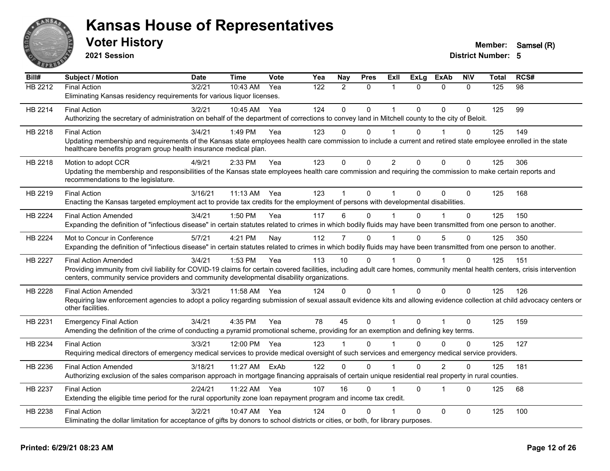

**2021 Session**

| Bill#          | Subject / Motion                                                                                                                                                                                                                                                           | <b>Date</b> | <b>Time</b> | <b>Vote</b> | Yea | <b>Nay</b>     | <b>Pres</b>  | ExIl                 | <b>ExLg</b>  | <b>ExAb</b>    | <b>N\V</b>   | <b>Total</b> | RCS# |
|----------------|----------------------------------------------------------------------------------------------------------------------------------------------------------------------------------------------------------------------------------------------------------------------------|-------------|-------------|-------------|-----|----------------|--------------|----------------------|--------------|----------------|--------------|--------------|------|
| <b>HB 2212</b> | <b>Final Action</b><br>Eliminating Kansas residency requirements for various liquor licenses.                                                                                                                                                                              | 3/2/21      | 10:43 AM    | Yea         | 122 | $\overline{2}$ | $\Omega$     | 1                    | $\Omega$     | $\mathbf{0}$   | $\mathbf{0}$ | 125          | 98   |
|                |                                                                                                                                                                                                                                                                            |             |             |             |     |                |              |                      |              |                |              |              |      |
| HB 2214        | <b>Final Action</b><br>Authorizing the secretary of administration on behalf of the department of corrections to convey land in Mitchell county to the city of Beloit.                                                                                                     | 3/2/21      | 10:45 AM    | Yea         | 124 | $\Omega$       | $\mathbf{0}$ | $\overline{1}$       | $\Omega$     | $\Omega$       | $\Omega$     | 125          | 99   |
|                |                                                                                                                                                                                                                                                                            |             |             |             |     |                |              |                      |              |                |              |              |      |
| HB 2218        | <b>Final Action</b><br>Updating membership and requirements of the Kansas state employees health care commission to include a current and retired state employee enrolled in the state                                                                                     | 3/4/21      | 1:49 PM     | Yea         | 123 | $\Omega$       | $\mathbf{0}$ | 1                    | $\Omega$     | 1              | $\Omega$     | 125          | 149  |
|                | healthcare benefits program group health insurance medical plan.                                                                                                                                                                                                           |             |             |             |     |                |              |                      |              |                |              |              |      |
| HB 2218        | Motion to adopt CCR                                                                                                                                                                                                                                                        | 4/9/21      | 2:33 PM     | Yea         | 123 | $\mathbf{0}$   | $\mathbf{0}$ | $\overline{2}$       | $\Omega$     | $\mathbf 0$    | $\mathbf{0}$ | 125          | 306  |
|                | Updating the membership and responsibilities of the Kansas state employees health care commission and requiring the commission to make certain reports and<br>recommendations to the legislature.                                                                          |             |             |             |     |                |              |                      |              |                |              |              |      |
| HB 2219        | <b>Final Action</b>                                                                                                                                                                                                                                                        | 3/16/21     | $11:13$ AM  | Yea         | 123 |                | $\mathbf{0}$ | 1                    | $\Omega$     | $\Omega$       | $\Omega$     | 125          | 168  |
|                | Enacting the Kansas targeted employment act to provide tax credits for the employment of persons with developmental disabilities.                                                                                                                                          |             |             |             |     |                |              |                      |              |                |              |              |      |
| HB 2224        | <b>Final Action Amended</b>                                                                                                                                                                                                                                                | 3/4/21      | 1:50 PM     | Yea         | 117 | 6              | $\mathbf{0}$ |                      | $\Omega$     |                | $\Omega$     | 125          | 150  |
|                | Expanding the definition of "infectious disease" in certain statutes related to crimes in which bodily fluids may have been transmitted from one person to another.                                                                                                        |             |             |             |     |                |              |                      |              |                |              |              |      |
| <b>HB 2224</b> | Mot to Concur in Conference                                                                                                                                                                                                                                                | 5/7/21      | 4:21 PM     | Nay         | 112 | $\overline{7}$ | $\Omega$     | $\blacktriangleleft$ | $\Omega$     | 5              | $\Omega$     | 125          | 350  |
|                | Expanding the definition of "infectious disease" in certain statutes related to crimes in which bodily fluids may have been transmitted from one person to another.                                                                                                        |             |             |             |     |                |              |                      |              |                |              |              |      |
| <b>HB 2227</b> | <b>Final Action Amended</b>                                                                                                                                                                                                                                                | 3/4/21      | 1:53 PM     | Yea         | 113 | 10             | $\mathbf{0}$ |                      | $\Omega$     |                | $\Omega$     | 125          | 151  |
|                | Providing immunity from civil liability for COVID-19 claims for certain covered facilities, including adult care homes, community mental health centers, crisis intervention<br>centers, community service providers and community developmental disability organizations. |             |             |             |     |                |              |                      |              |                |              |              |      |
| HB 2228        | <b>Final Action Amended</b>                                                                                                                                                                                                                                                | 3/3/21      | 11:58 AM    | Yea         | 124 | $\Omega$       | $\mathbf{0}$ | 1                    | $\Omega$     | $\Omega$       | $\Omega$     | 125          | 126  |
|                | Requiring law enforcement agencies to adopt a policy regarding submission of sexual assault evidence kits and allowing evidence collection at child advocacy centers or<br>other facilities.                                                                               |             |             |             |     |                |              |                      |              |                |              |              |      |
| HB 2231        | <b>Emergency Final Action</b>                                                                                                                                                                                                                                              | 3/4/21      | 4:35 PM     | Yea         | 78  | 45             | $\mathbf{0}$ | $\overline{1}$       | $\mathbf{0}$ | 1              | $\mathbf 0$  | 125          | 159  |
|                | Amending the definition of the crime of conducting a pyramid promotional scheme, providing for an exemption and defining key terms.                                                                                                                                        |             |             |             |     |                |              |                      |              |                |              |              |      |
| HB 2234        | <b>Final Action</b>                                                                                                                                                                                                                                                        | 3/3/21      | 12:00 PM    | Yea         | 123 |                | $\mathbf{0}$ |                      | $\Omega$     | $\Omega$       | $\Omega$     | 125          | 127  |
|                | Requiring medical directors of emergency medical services to provide medical oversight of such services and emergency medical service providers.                                                                                                                           |             |             |             |     |                |              |                      |              |                |              |              |      |
| HB 2236        | <b>Final Action Amended</b>                                                                                                                                                                                                                                                | 3/18/21     | 11:27 AM    | ExAb        | 122 | $\Omega$       | $\Omega$     | 1                    | $\Omega$     | $\overline{2}$ | $\Omega$     | 125          | 181  |
|                | Authorizing exclusion of the sales comparison approach in mortgage financing appraisals of certain unique residential real property in rural counties.                                                                                                                     |             |             |             |     |                |              |                      |              |                |              |              |      |
| HB 2237        | <b>Final Action</b>                                                                                                                                                                                                                                                        | 2/24/21     | 11:22 AM    | Yea         | 107 | 16             | $\mathbf{0}$ | 1                    | $\Omega$     | $\mathbf{1}$   | $\Omega$     | 125          | 68   |
|                | Extending the eligible time period for the rural opportunity zone loan repayment program and income tax credit.                                                                                                                                                            |             |             |             |     |                |              |                      |              |                |              |              |      |
| HB 2238        | <b>Final Action</b>                                                                                                                                                                                                                                                        | 3/2/21      | 10:47 AM    | Yea         | 124 | U              | $\Omega$     |                      | $\Omega$     | $\Omega$       | $\mathbf 0$  | 125          | 100  |
|                | Eliminating the dollar limitation for acceptance of gifts by donors to school districts or cities, or both, for library purposes.                                                                                                                                          |             |             |             |     |                |              |                      |              |                |              |              |      |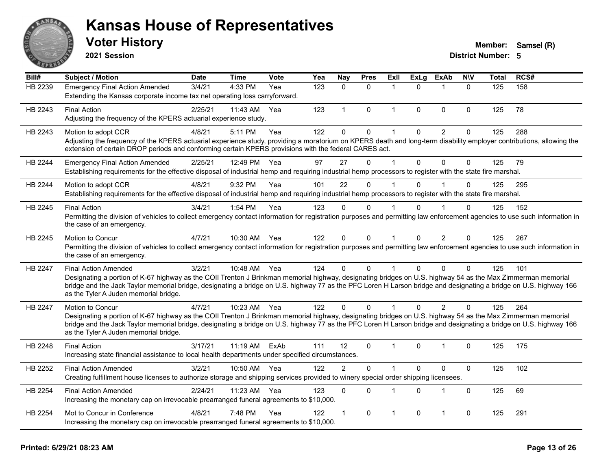

**2021 Session**

#### **Voter History Member:** Samsel (R)

| Bill#          | Subject / Motion                                                                                                                                                                                                                                                                                                                                                                                         | <b>Date</b> | Time         | Vote | Yea | Nay            | <b>Pres</b>  | <b>ExII</b>    | <b>ExLg</b>  | <b>ExAb</b>    | <b>NIV</b>   | Total | RCS# |
|----------------|----------------------------------------------------------------------------------------------------------------------------------------------------------------------------------------------------------------------------------------------------------------------------------------------------------------------------------------------------------------------------------------------------------|-------------|--------------|------|-----|----------------|--------------|----------------|--------------|----------------|--------------|-------|------|
| HB 2239        | <b>Emergency Final Action Amended</b><br>Extending the Kansas corporate income tax net operating loss carryforward.                                                                                                                                                                                                                                                                                      | 3/4/21      | 4:33 PM      | Yea  | 123 | $\mathbf{0}$   | $\mathbf{0}$ | $\mathbf 1$    | $\Omega$     | 1              | $\mathbf{0}$ | 125   | 158  |
| HB 2243        | <b>Final Action</b><br>Adjusting the frequency of the KPERS actuarial experience study.                                                                                                                                                                                                                                                                                                                  | 2/25/21     | 11:43 AM     | Yea  | 123 | $\mathbf{1}$   | $\mathbf{0}$ | $\mathbf{1}$   | $\Omega$     | 0              | $\Omega$     | 125   | 78   |
| HB 2243        | Motion to adopt CCR<br>Adjusting the frequency of the KPERS actuarial experience study, providing a moratorium on KPERS death and long-term disability employer contributions, allowing the<br>extension of certain DROP periods and conforming certain KPERS provisions with the federal CARES act.                                                                                                     | 4/8/21      | 5:11 PM      | Yea  | 122 | $\Omega$       | $\pmb{0}$    | 1              | $\mathbf 0$  | $\overline{c}$ | $\mathbf 0$  | 125   | 288  |
| HB 2244        | <b>Emergency Final Action Amended</b><br>Establishing requirements for the effective disposal of industrial hemp and requiring industrial hemp processors to register with the state fire marshal.                                                                                                                                                                                                       | 2/25/21     | 12:49 PM     | Yea  | 97  | 27             | $\mathbf 0$  | $\mathbf 1$    | $\mathbf{0}$ | $\mathbf 0$    | $\mathbf{0}$ | 125   | 79   |
| HB 2244        | Motion to adopt CCR<br>Establishing requirements for the effective disposal of industrial hemp and requiring industrial hemp processors to register with the state fire marshal.                                                                                                                                                                                                                         | 4/8/21      | 9:32 PM      | Yea  | 101 | 22             | $\Omega$     |                | 0            |                | $\Omega$     | 125   | 295  |
| HB 2245        | <b>Final Action</b><br>Permitting the division of vehicles to collect emergency contact information for registration purposes and permitting law enforcement agencies to use such information in<br>the case of an emergency.                                                                                                                                                                            | 3/4/21      | 1:54 PM      | Yea  | 123 | $\Omega$       | $\Omega$     | 1              | $\Omega$     |                | $\Omega$     | 125   | 152  |
| HB 2245        | Motion to Concur<br>Permitting the division of vehicles to collect emergency contact information for registration purposes and permitting law enforcement agencies to use such information in<br>the case of an emergency.                                                                                                                                                                               | 4/7/21      | 10:30 AM     | Yea  | 122 | $\Omega$       | $\mathbf 0$  | $\overline{1}$ | $\mathbf{0}$ | $\overline{2}$ | 0            | 125   | 267  |
| HB 2247        | <b>Final Action Amended</b><br>Designating a portion of K-67 highway as the COII Trenton J Brinkman memorial highway, designating bridges on U.S. highway 54 as the Max Zimmerman memorial<br>bridge and the Jack Taylor memorial bridge, designating a bridge on U.S. highway 77 as the PFC Loren H Larson bridge and designating a bridge on U.S. highway 166<br>as the Tyler A Juden memorial bridge. | 3/2/21      | 10:48 AM     | Yea  | 124 | $\Omega$       | $\Omega$     | $\mathbf{1}$   | $\Omega$     | $\Omega$       | $\Omega$     | 125   | 101  |
| <b>HB 2247</b> | Motion to Concur<br>Designating a portion of K-67 highway as the COII Trenton J Brinkman memorial highway, designating bridges on U.S. highway 54 as the Max Zimmerman memorial<br>bridge and the Jack Taylor memorial bridge, designating a bridge on U.S. highway 77 as the PFC Loren H Larson bridge and designating a bridge on U.S. highway 166<br>as the Tyler A Juden memorial bridge.            | 4/7/21      | 10:23 AM Yea |      | 122 | $\Omega$       | $\Omega$     | $\mathbf{1}$   | $\Omega$     | $\overline{2}$ | $\Omega$     | 125   | 264  |
| HB 2248        | <b>Final Action</b><br>Increasing state financial assistance to local health departments under specified circumstances.                                                                                                                                                                                                                                                                                  | 3/17/21     | 11:19 AM     | ExAb | 111 | 12             | $\mathbf 0$  | $\mathbf 1$    | $\Omega$     | $\mathbf 1$    | $\mathbf 0$  | 125   | 175  |
| HB 2252        | <b>Final Action Amended</b><br>Creating fulfillment house licenses to authorize storage and shipping services provided to winery special order shipping licensees.                                                                                                                                                                                                                                       | 3/2/21      | 10:50 AM     | Yea  | 122 | $\overline{2}$ | $\mathbf{0}$ | 1              | $\Omega$     | $\Omega$       | $\mathbf{0}$ | 125   | 102  |
| HB 2254        | <b>Final Action Amended</b><br>Increasing the monetary cap on irrevocable prearranged funeral agreements to \$10,000.                                                                                                                                                                                                                                                                                    | 2/24/21     | 11:23 AM     | Yea  | 123 | $\Omega$       | $\mathbf{0}$ | 1              | $\Omega$     | 1              | $\mathbf{0}$ | 125   | 69   |
| HB 2254        | Mot to Concur in Conference<br>Increasing the monetary cap on irrevocable prearranged funeral agreements to \$10,000.                                                                                                                                                                                                                                                                                    | 4/8/21      | 7:48 PM      | Yea  | 122 | $\mathbf 1$    | $\mathbf 0$  | 1              | $\Omega$     | $\overline{1}$ | $\mathbf 0$  | 125   | 291  |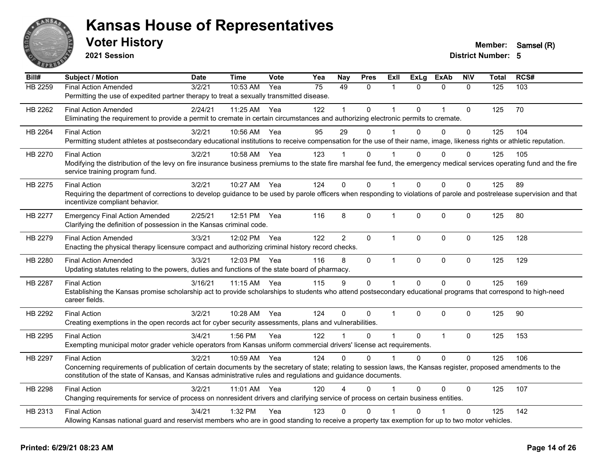

**2021 Session**

| Bill#   | <b>Subject / Motion</b>                                                                                                                                                                                                                                                                                 | <b>Date</b> | <b>Time</b>  | Vote | Yea | Nay                  | <b>Pres</b>  | <b>ExII</b>          | <b>ExLg</b>  | <b>ExAb</b>    | <b>NIV</b>  | <b>Total</b> | RCS# |
|---------|---------------------------------------------------------------------------------------------------------------------------------------------------------------------------------------------------------------------------------------------------------------------------------------------------------|-------------|--------------|------|-----|----------------------|--------------|----------------------|--------------|----------------|-------------|--------------|------|
| HB 2259 | <b>Final Action Amended</b><br>Permitting the use of expedited partner therapy to treat a sexually transmitted disease.                                                                                                                                                                                 | 3/2/21      | 10:53 AM     | Yea  | 75  | 49                   | $\mathbf{0}$ | $\mathbf{1}$         | $\Omega$     | $\mathbf{0}$   | $\Omega$    | 125          | 103  |
| HB 2262 | <b>Final Action Amended</b><br>Eliminating the requirement to provide a permit to cremate in certain circumstances and authorizing electronic permits to cremate.                                                                                                                                       | 2/24/21     | 11:25 AM Yea |      | 122 |                      | $\mathbf 0$  | 1                    | $\Omega$     | $\overline{1}$ | $\mathbf 0$ | 125          | 70   |
| HB 2264 | <b>Final Action</b><br>Permitting student athletes at postsecondary educational institutions to receive compensation for the use of their name, image, likeness rights or athletic reputation.                                                                                                          | 3/2/21      | 10:56 AM     | Yea  | 95  | 29                   | 0            | $\mathbf 1$          | $\Omega$     | $\mathbf 0$    | 0           | 125          | 104  |
| HB 2270 | <b>Final Action</b><br>Modifying the distribution of the levy on fire insurance business premiums to the state fire marshal fee fund, the emergency medical services operating fund and the fire<br>service training program fund.                                                                      | 3/2/21      | 10:58 AM Yea |      | 123 |                      | 0            |                      | $\Omega$     | $\mathbf{0}$   | 0           | 125          | 105  |
| HB 2275 | <b>Final Action</b><br>Requiring the department of corrections to develop guidance to be used by parole officers when responding to violations of parole and postrelease supervision and that<br>incentivize compliant behavior.                                                                        | 3/2/21      | 10:27 AM     | Yea  | 124 | $\Omega$             | $\Omega$     | $\mathbf 1$          | $\Omega$     | $\Omega$       | 0           | 125          | 89   |
| HB 2277 | <b>Emergency Final Action Amended</b><br>Clarifying the definition of possession in the Kansas criminal code.                                                                                                                                                                                           | 2/25/21     | 12:51 PM     | Yea  | 116 | 8                    | 0            | $\mathbf{1}$         | $\mathbf 0$  | 0              | 0           | 125          | 80   |
| HB 2279 | <b>Final Action Amended</b><br>Enacting the physical therapy licensure compact and authorizing criminal history record checks.                                                                                                                                                                          | 3/3/21      | 12:02 PM     | Yea  | 122 | $\overline{2}$       | $\Omega$     | 1                    | $\Omega$     | $\Omega$       | 0           | 125          | 128  |
| HB 2280 | <b>Final Action Amended</b><br>Updating statutes relating to the powers, duties and functions of the state board of pharmacy.                                                                                                                                                                           | 3/3/21      | 12:03 PM Yea |      | 116 | 8                    | $\mathbf 0$  | $\mathbf{1}$         | $\mathbf{0}$ | $\mathbf 0$    | 0           | 125          | 129  |
| HB 2287 | <b>Final Action</b><br>Establishing the Kansas promise scholarship act to provide scholarships to students who attend postsecondary educational programs that correspond to high-need<br>career fields.                                                                                                 | 3/16/21     | 11:15 AM     | Yea  | 115 | 9                    | $\mathbf 0$  | $\mathbf{1}$         | $\Omega$     | $\Omega$       | $\Omega$    | 125          | 169  |
| HB 2292 | <b>Final Action</b><br>Creating exemptions in the open records act for cyber security assessments, plans and vulnerabilities.                                                                                                                                                                           | 3/2/21      | 10:28 AM     | Yea  | 124 | $\Omega$             | 0            | $\mathbf{1}$         | $\Omega$     | $\Omega$       | 0           | 125          | 90   |
| HB 2295 | <b>Final Action</b><br>Exempting municipal motor grader vehicle operators from Kansas uniform commercial drivers' license act requirements.                                                                                                                                                             | 3/4/21      | 1:56 PM      | Yea  | 122 | $\blacktriangleleft$ | $\mathbf 0$  | $\mathbf{1}$         | $\Omega$     | $\overline{1}$ | 0           | 125          | 153  |
| HB 2297 | <b>Final Action</b><br>Concerning requirements of publication of certain documents by the secretary of state; relating to session laws, the Kansas register, proposed amendments to the<br>constitution of the state of Kansas, and Kansas administrative rules and regulations and guidance documents. | 3/2/21      | 10:59 AM     | Yea  | 124 | $\Omega$             | $\Omega$     | 1                    | $\Omega$     | $\Omega$       | $\Omega$    | 125          | 106  |
| HB 2298 | <b>Final Action</b><br>Changing requirements for service of process on nonresident drivers and clarifying service of process on certain business entities.                                                                                                                                              | 3/2/21      | 11:01 AM Yea |      | 120 | 4                    | $\Omega$     | $\blacktriangleleft$ | $\Omega$     | 0              | 0           | 125          | 107  |
| HB 2313 | <b>Final Action</b><br>Allowing Kansas national guard and reservist members who are in good standing to receive a property tax exemption for up to two motor vehicles.                                                                                                                                  | 3/4/21      | 1:32 PM      | Yea  | 123 | $\Omega$             | $\Omega$     |                      |              |                | $\Omega$    | 125          | 142  |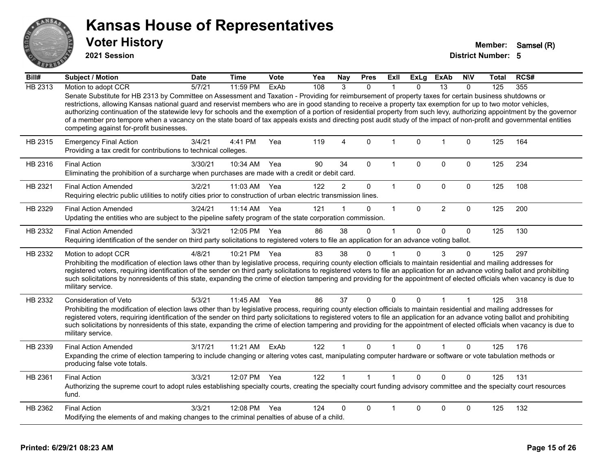

**2021 Session**

| Bill#   | <b>Subject / Motion</b>                                                                                                                                                                                                                                                                                                                                                                                                                                                                                                                                                                                                                                                                                                                          | <b>Date</b> | <b>Time</b>  | <b>Vote</b> | Yea | Nay            | <b>Pres</b>  | ExII         | <b>ExLg</b>  | <b>ExAb</b>    | <b>NIV</b>   | Total | RCS# |
|---------|--------------------------------------------------------------------------------------------------------------------------------------------------------------------------------------------------------------------------------------------------------------------------------------------------------------------------------------------------------------------------------------------------------------------------------------------------------------------------------------------------------------------------------------------------------------------------------------------------------------------------------------------------------------------------------------------------------------------------------------------------|-------------|--------------|-------------|-----|----------------|--------------|--------------|--------------|----------------|--------------|-------|------|
| HB 2313 | Motion to adopt CCR<br>Senate Substitute for HB 2313 by Committee on Assessment and Taxation - Providing for reimbursement of property taxes for certain business shutdowns or<br>restrictions, allowing Kansas national guard and reservist members who are in good standing to receive a property tax exemption for up to two motor vehicles,<br>authorizing continuation of the statewide levy for schools and the exemption of a portion of residential property from such levy, authorizing appointment by the governor<br>of a member pro tempore when a vacancy on the state board of tax appeals exists and directing post audit study of the impact of non-profit and governmental entities<br>competing against for-profit businesses. | 5/7/21      | 11:59 PM     | ExAb        | 108 | 3              | $\mathbf{0}$ | 1            | 0            | 13             | $\mathbf{0}$ | 125   | 355  |
| HB 2315 | <b>Emergency Final Action</b><br>Providing a tax credit for contributions to technical colleges.                                                                                                                                                                                                                                                                                                                                                                                                                                                                                                                                                                                                                                                 | 3/4/21      | 4:41 PM      | Yea         | 119 | 4              | $\Omega$     | $\mathbf 1$  | $\Omega$     | $\mathbf{1}$   | $\mathbf 0$  | 125   | 164  |
| HB 2316 | <b>Final Action</b><br>Eliminating the prohibition of a surcharge when purchases are made with a credit or debit card.                                                                                                                                                                                                                                                                                                                                                                                                                                                                                                                                                                                                                           | 3/30/21     | 10:34 AM     | Yea         | 90  | 34             | 0            | $\mathbf{1}$ | $\mathbf 0$  | $\mathbf 0$    | $\mathbf 0$  | 125   | 234  |
| HB 2321 | <b>Final Action Amended</b><br>Requiring electric public utilities to notify cities prior to construction of urban electric transmission lines.                                                                                                                                                                                                                                                                                                                                                                                                                                                                                                                                                                                                  | 3/2/21      | 11:03 AM     | Yea         | 122 | $\overline{2}$ | 0            | $\mathbf{1}$ | $\mathbf 0$  | $\mathbf 0$    | $\mathbf 0$  | 125   | 108  |
| HB 2329 | <b>Final Action Amended</b><br>Updating the entities who are subject to the pipeline safety program of the state corporation commission.                                                                                                                                                                                                                                                                                                                                                                                                                                                                                                                                                                                                         | 3/24/21     | 11:14 AM     | Yea         | 121 |                | 0            | 1            | $\Omega$     | $\overline{2}$ | $\Omega$     | 125   | 200  |
| HB 2332 | <b>Final Action Amended</b><br>Requiring identification of the sender on third party solicitations to registered voters to file an application for an advance voting ballot.                                                                                                                                                                                                                                                                                                                                                                                                                                                                                                                                                                     | 3/3/21      | 12:05 PM Yea |             | 86  | 38             | $\mathbf 0$  | 1            | $\Omega$     | $\mathbf 0$    | $\mathbf 0$  | 125   | 130  |
| HB 2332 | Motion to adopt CCR<br>Prohibiting the modification of election laws other than by legislative process, requiring county election officials to maintain residential and mailing addresses for<br>registered voters, requiring identification of the sender on third party solicitations to registered voters to file an application for an advance voting ballot and prohibiting<br>such solicitations by nonresidents of this state, expanding the crime of election tampering and providing for the appointment of elected officials when vacancy is due to<br>military service.                                                                                                                                                               | 4/8/21      | 10:21 PM     | Yea         | 83  | 38             | 0            | 1            | $\mathbf{0}$ | 3              | 0            | 125   | 297  |
| HB 2332 | <b>Consideration of Veto</b><br>Prohibiting the modification of election laws other than by legislative process, requiring county election officials to maintain residential and mailing addresses for<br>registered voters, requiring identification of the sender on third party solicitations to registered voters to file an application for an advance voting ballot and prohibiting<br>such solicitations by nonresidents of this state, expanding the crime of election tampering and providing for the appointment of elected officials when vacancy is due to<br>military service.                                                                                                                                                      | 5/3/21      | 11:45 AM     | Yea         | 86  | 37             | 0            | $\mathbf{0}$ | $\mathbf{0}$ | 1              | $\mathbf 1$  | 125   | 318  |
| HB 2339 | <b>Final Action Amended</b><br>Expanding the crime of election tampering to include changing or altering votes cast, manipulating computer hardware or software or vote tabulation methods or<br>producing false vote totals.                                                                                                                                                                                                                                                                                                                                                                                                                                                                                                                    | 3/17/21     | 11:21 AM     | ExAb        | 122 |                | $\Omega$     | $\mathbf 1$  | $\Omega$     | 1              | $\Omega$     | 125   | 176  |
| HB 2361 | <b>Final Action</b><br>Authorizing the supreme court to adopt rules establishing specialty courts, creating the specialty court funding advisory committee and the specialty court resources<br>fund.                                                                                                                                                                                                                                                                                                                                                                                                                                                                                                                                            | 3/3/21      | 12:07 PM Yea |             | 122 |                | $\mathbf{1}$ | 1            | $\Omega$     | $\Omega$       | $\Omega$     | 125   | 131  |
| HB 2362 | <b>Final Action</b><br>Modifying the elements of and making changes to the criminal penalties of abuse of a child.                                                                                                                                                                                                                                                                                                                                                                                                                                                                                                                                                                                                                               | 3/3/21      | 12:08 PM     | Yea         | 124 | 0              | $\Omega$     |              | $\Omega$     | $\Omega$       | $\Omega$     | 125   | 132  |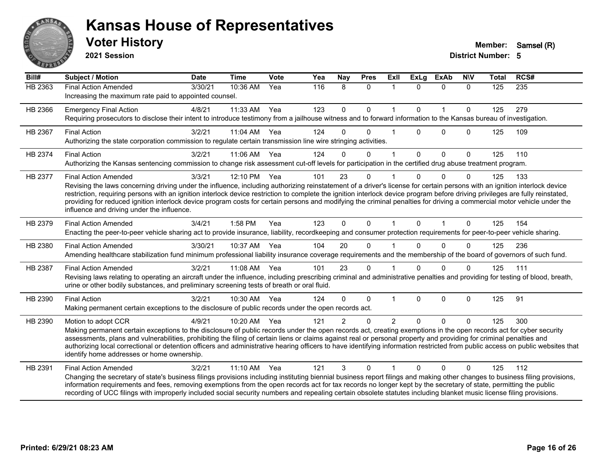

**2021 Session**

| Bill#   | <b>Subject / Motion</b>                                                                                                                                                                                                                                                                                                                                                                                                                                                                                                                                                                                             | <b>Date</b> | <b>Time</b> | Vote | Yea | Nay            | <b>Pres</b> | <b>ExII</b>    | <b>ExLg</b>  | <b>ExAb</b>  | <b>NIV</b>   | <b>Total</b> | RCS# |
|---------|---------------------------------------------------------------------------------------------------------------------------------------------------------------------------------------------------------------------------------------------------------------------------------------------------------------------------------------------------------------------------------------------------------------------------------------------------------------------------------------------------------------------------------------------------------------------------------------------------------------------|-------------|-------------|------|-----|----------------|-------------|----------------|--------------|--------------|--------------|--------------|------|
| HB 2363 | <b>Final Action Amended</b><br>Increasing the maximum rate paid to appointed counsel.                                                                                                                                                                                                                                                                                                                                                                                                                                                                                                                               | 3/30/21     | 10:36 AM    | Yea  | 116 | 8              | $\Omega$    | $\mathbf{1}$   | $\Omega$     | $\Omega$     | $\Omega$     | 125          | 235  |
| HB 2366 | <b>Emergency Final Action</b><br>Requiring prosecutors to disclose their intent to introduce testimony from a jailhouse witness and to forward information to the Kansas bureau of investigation.                                                                                                                                                                                                                                                                                                                                                                                                                   | 4/8/21      | 11:33 AM    | Yea  | 123 | $\mathbf{0}$   | $\mathbf 0$ | $\overline{1}$ | $\mathbf 0$  | $\mathbf{1}$ | $\mathbf 0$  | 125          | 279  |
| HB 2367 | <b>Final Action</b><br>Authorizing the state corporation commission to regulate certain transmission line wire stringing activities.                                                                                                                                                                                                                                                                                                                                                                                                                                                                                | 3/2/21      | 11:04 AM    | Yea  | 124 | $\Omega$       | $\Omega$    |                | $\Omega$     | $\Omega$     | $\Omega$     | 125          | 109  |
| HB 2374 | <b>Final Action</b><br>Authorizing the Kansas sentencing commission to change risk assessment cut-off levels for participation in the certified drug abuse treatment program.                                                                                                                                                                                                                                                                                                                                                                                                                                       | 3/2/21      | 11:06 AM    | Yea  | 124 | 0              | $\Omega$    | $\overline{1}$ | $\mathbf{0}$ | $\Omega$     | $\mathbf{0}$ | 125          | 110  |
| HB 2377 | <b>Final Action Amended</b><br>Revising the laws concerning driving under the influence, including authorizing reinstatement of a driver's license for certain persons with an ignition interlock device<br>restriction, requiring persons with an ignition interlock device restriction to complete the ignition interlock device program before driving privileges are fully reinstated,<br>providing for reduced ignition interlock device program costs for certain persons and modifying the criminal penalties for driving a commercial motor vehicle under the<br>influence and driving under the influence. | 3/3/21      | 12:10 PM    | Yea  | 101 | 23             | $\Omega$    |                | $\Omega$     | $\Omega$     | $\Omega$     | 125          | 133  |
| HB 2379 | <b>Final Action Amended</b><br>Enacting the peer-to-peer vehicle sharing act to provide insurance, liability, recordkeeping and consumer protection requirements for peer-to-peer vehicle sharing.                                                                                                                                                                                                                                                                                                                                                                                                                  | 3/4/21      | 1:58 PM     | Yea  | 123 | $\Omega$       | $\Omega$    |                | $\mathbf{0}$ | 1            | $\mathbf{0}$ | 125          | 154  |
| HB 2380 | <b>Final Action Amended</b><br>Amending healthcare stabilization fund minimum professional liability insurance coverage requirements and the membership of the board of governors of such fund.                                                                                                                                                                                                                                                                                                                                                                                                                     | 3/30/21     | 10:37 AM    | Yea  | 104 | 20             | $\Omega$    |                | $\Omega$     | $\Omega$     | $\Omega$     | 125          | 236  |
| HB 2387 | <b>Final Action Amended</b><br>Revising laws relating to operating an aircraft under the influence, including prescribing criminal and administrative penalties and providing for testing of blood, breath,<br>urine or other bodily substances, and preliminary screening tests of breath or oral fluid.                                                                                                                                                                                                                                                                                                           | 3/2/21      | 11:08 AM    | Yea  | 101 | 23             | $\Omega$    |                | $\Omega$     | $\Omega$     | $\Omega$     | 125          | 111  |
| HB 2390 | <b>Final Action</b><br>Making permanent certain exceptions to the disclosure of public records under the open records act.                                                                                                                                                                                                                                                                                                                                                                                                                                                                                          | 3/2/21      | 10:30 AM    | Yea  | 124 | $\Omega$       | $\Omega$    | $\mathbf{1}$   | $\mathbf{0}$ | $\mathbf{0}$ | $\Omega$     | 125          | 91   |
| HB 2390 | Motion to adopt CCR<br>Making permanent certain exceptions to the disclosure of public records under the open records act, creating exemptions in the open records act for cyber security<br>assessments, plans and vulnerabilities, prohibiting the filing of certain liens or claims against real or personal property and providing for criminal penalties and<br>authorizing local correctional or detention officers and administrative hearing officers to have identifying information restricted from public access on public websites that<br>identify home addresses or home ownership.                   | 4/9/21      | 10:20 AM    | Yea  | 121 | $\overline{2}$ | $\Omega$    | 2              | $\Omega$     | $\Omega$     | $\Omega$     | 125          | 300  |
| HB 2391 | <b>Final Action Amended</b><br>Changing the secretary of state's business filings provisions including instituting biennial business report filings and making other changes to business filing provisions,<br>information requirements and fees, removing exemptions from the open records act for tax records no longer kept by the secretary of state, permitting the public<br>recording of UCC filings with improperly included social security numbers and repealing certain obsolete statutes including blanket music license filing provisions.                                                             | 3/2/21      | 11:10 AM    | Yea  | 121 | 3              | $\Omega$    |                | U            | $\Omega$     | $\Omega$     | 125          | 112  |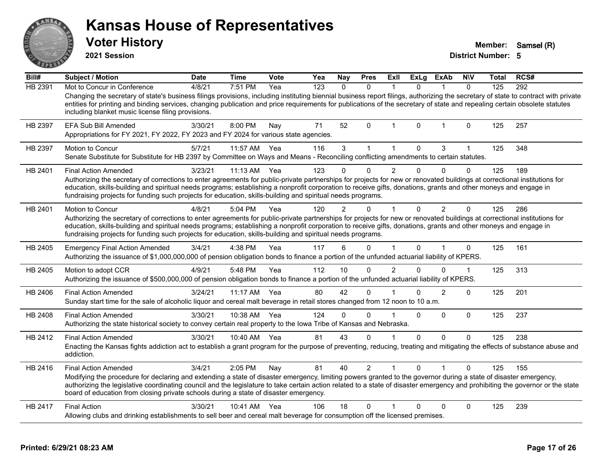|         | <b>Voter History</b><br>2021 Session                                                                                                                                                                                                                                                                                                                                                                                                                                                        |             |              |      |     |               |                |                |              |                |              | Member:<br><b>District Number: 5</b> | Samsel (R) |
|---------|---------------------------------------------------------------------------------------------------------------------------------------------------------------------------------------------------------------------------------------------------------------------------------------------------------------------------------------------------------------------------------------------------------------------------------------------------------------------------------------------|-------------|--------------|------|-----|---------------|----------------|----------------|--------------|----------------|--------------|--------------------------------------|------------|
| Bill#   | <b>Subject / Motion</b>                                                                                                                                                                                                                                                                                                                                                                                                                                                                     | <b>Date</b> | <b>Time</b>  | Vote | Yea | <b>Nay</b>    | <b>Pres</b>    | Exll           | <b>ExLg</b>  | <b>ExAb</b>    | <b>NIV</b>   | Total                                | RCS#       |
| HB 2391 | Mot to Concur in Conference<br>Changing the secretary of state's business filings provisions, including instituting biennial business report filings, authorizing the secretary of state to contract with private<br>entities for printing and binding services, changing publication and price requirements for publications of the secretary of state and repealing certain obsolete statutes<br>including blanket music license filing provisions.                                       | 4/8/21      | 7:51 PM      | Yea  | 123 | $\mathbf{0}$  | $\mathbf{0}$   | $\mathbf{1}$   | $\mathbf{0}$ | $\overline{1}$ | $\mathbf{0}$ | 125                                  | 292        |
| HB 2397 | EFA Sub Bill Amended<br>Appropriations for FY 2021, FY 2022, FY 2023 and FY 2024 for various state agencies.                                                                                                                                                                                                                                                                                                                                                                                | 3/30/21     | 8:00 PM      | Nay  | 71  | 52            | 0              | $\overline{1}$ | $\mathbf 0$  | $\overline{1}$ | 0            | 125                                  | 257        |
| HB 2397 | <b>Motion to Concur</b><br>Senate Substitute for Substitute for HB 2397 by Committee on Ways and Means - Reconciling conflicting amendments to certain statutes.                                                                                                                                                                                                                                                                                                                            | 5/7/21      | 11:57 AM     | Yea  | 116 | $\mathbf{3}$  | $\mathbf{1}$   | $\mathbf{1}$   | $\mathbf 0$  | 3              | $\mathbf{1}$ | 125                                  | 348        |
| HB 2401 | <b>Final Action Amended</b><br>Authorizing the secretary of corrections to enter agreements for public-private partnerships for projects for new or renovated buildings at correctional institutions for<br>education, skills-building and spiritual needs programs; establishing a nonprofit corporation to receive gifts, donations, grants and other moneys and engage in<br>fundraising projects for funding such projects for education, skills-building and spiritual needs programs. | 3/23/21     | $11:13$ AM   | Yea  | 123 | 0             | $\Omega$       | $\overline{2}$ | $\Omega$     | 0              | $\Omega$     | 125                                  | 189        |
| HB 2401 | <b>Motion to Concur</b><br>Authorizing the secretary of corrections to enter agreements for public-private partnerships for projects for new or renovated buildings at correctional institutions for<br>education, skills-building and spiritual needs programs; establishing a nonprofit corporation to receive gifts, donations, grants and other moneys and engage in<br>fundraising projects for funding such projects for education, skills-building and spiritual needs programs.     | 4/8/21      | 5:04 PM      | Yea  | 120 | $\mathcal{P}$ | $\Omega$       | $\overline{1}$ | $\mathbf 0$  | $\overline{2}$ | 0            | 125                                  | 286        |
| HB 2405 | <b>Emergency Final Action Amended</b><br>Authorizing the issuance of \$1,000,000,000 of pension obligation bonds to finance a portion of the unfunded actuarial liability of KPERS.                                                                                                                                                                                                                                                                                                         | 3/4/21      | 4:38 PM      | Yea  | 117 | 6             | $\Omega$       | $\mathbf{1}$   | $\Omega$     | $\mathbf{1}$   | $\Omega$     | 125                                  | 161        |
| HB 2405 | Motion to adopt CCR<br>Authorizing the issuance of \$500,000,000 of pension obligation bonds to finance a portion of the unfunded actuarial liability of KPERS.                                                                                                                                                                                                                                                                                                                             | 4/9/21      | 5:48 PM      | Yea  | 112 | 10            | $\Omega$       | $\mathfrak{p}$ | $\Omega$     | O.             | 1            | 125                                  | 313        |
| HB 2406 | <b>Final Action Amended</b><br>Sunday start time for the sale of alcoholic liquor and cereal malt beverage in retail stores changed from 12 noon to 10 a.m.                                                                                                                                                                                                                                                                                                                                 | 3/24/21     | 11:17 AM Yea |      | 80  | 42            | 0              |                | 0            | 2              | 0            | 125                                  | 201        |
| HB 2408 | <b>Final Action Amended</b><br>Authorizing the state historical society to convey certain real property to the Iowa Tribe of Kansas and Nebraska.                                                                                                                                                                                                                                                                                                                                           | 3/30/21     | 10:38 AM Yea |      | 124 | $\Omega$      | $\Omega$       | 1              | $\Omega$     | $\Omega$       | 0            | 125                                  | 237        |
| HB 2412 | <b>Final Action Amended</b><br>Enacting the Kansas fights addiction act to establish a grant program for the purpose of preventing, reducing, treating and mitigating the effects of substance abuse and<br>addiction.                                                                                                                                                                                                                                                                      | 3/30/21     | 10:40 AM     | Yea  | 81  | 43            | 0              | $\overline{1}$ | 0            | $\Omega$       | $\Omega$     | 125                                  | 238        |
|         | <b>Final Action Amended</b>                                                                                                                                                                                                                                                                                                                                                                                                                                                                 | 3/4/21      | 2:05 PM      | Nav  | 81  | 40            | $\overline{2}$ |                | $\Omega$     |                | 0            | 125                                  | 155        |
| HB 2416 | Modifying the procedure for declaring and extending a state of disaster emergency, limiting powers granted to the governor during a state of disaster emergency,<br>authorizing the legislative coordinating council and the legislature to take certain action related to a state of disaster emergency and prohibiting the governor or the state<br>board of education from closing private schools during a state of disaster emergency.                                                 |             |              |      |     |               |                |                |              |                |              |                                      |            |

#### **Printed: 6/29/21 08:23 AM Page 17 of 26**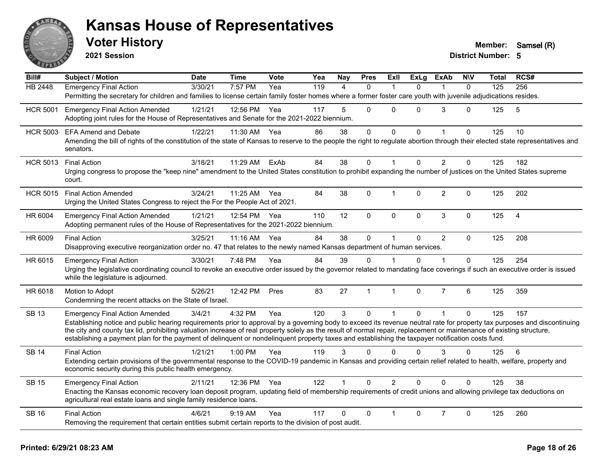

**2021 Session**

| <b>HB 2448</b><br>7:57 PM<br>119<br>125<br>256<br><b>Emergency Final Action</b><br>3/30/21<br>Yea<br>$\Omega$<br>$\mathbf{0}$<br>4<br>$\Omega$<br>1<br>Permitting the secretary for children and families to license certain family foster homes where a former foster care youth with juvenile adjudications resides.<br>5<br>$\Omega$<br>3<br>1/21/21<br>12:56 PM<br>117<br>0<br>$\Omega$<br>$\Omega$<br>125<br>5<br><b>HCR 5001</b><br><b>Emergency Final Action Amended</b><br>Yea<br>Adopting joint rules for the House of Representatives and Senate for the 2021-2022 biennium.<br>86<br>$\mathbf{0}$<br>0<br>$\overline{0}$<br>$\Omega$<br>125<br>1/22/21<br>11:30 AM<br>Yea<br>38<br>$\overline{1}$<br>10<br><b>HCR 5003</b><br><b>EFA Amend and Debate</b><br>Amending the bill of rights of the constitution of the state of Kansas to reserve to the people the right to regulate abortion through their elected state representatives and<br>senators.<br>$\overline{2}$<br>84<br>38<br>$\Omega$<br>$\Omega$<br>182<br><b>Final Action</b><br>3/18/21<br>11:29 AM<br>ExAb<br>$\mathbf 1$<br>$\Omega$<br>125<br><b>HCR 5013</b><br>Urging congress to propose the "keep nine" amendment to the United States constitution to prohibit expanding the number of justices on the United States supreme<br>court.<br>$\overline{2}$<br>38<br>$\Omega$<br>$\Omega$<br>125<br>202<br><b>HCR 5015</b><br><b>Final Action Amended</b><br>3/24/21<br>11:25 AM Yea<br>84<br>$\mathbf 1$<br>$\Omega$<br>Urging the United States Congress to reject the For the People Act of 2021.<br>$\mathbf{3}$<br>$\mathbf 0$<br>0<br>$\pmb{0}$<br>12<br>$\mathbf 0$<br>125<br>$\overline{4}$<br>HR 6004<br><b>Emergency Final Action Amended</b><br>1/21/21<br>12:54 PM Yea<br>110<br>Adopting permanent rules of the House of Representatives for the 2021-2022 biennium.<br>38<br>$\overline{2}$<br>84<br>$\mathbf 0$<br><b>Final Action</b><br>3/25/21<br>11:16 AM<br>Yea<br>$\mathbf{1}$<br>$\mathbf{0}$<br>$\mathbf{0}$<br>125<br>208<br>HR 6009<br>Disapproving executive reorganization order no. 47 that relates to the newly named Kansas department of human services.<br>HR 6015<br>3/30/21<br>7:48 PM<br>Yea<br>84<br>39<br>0<br>$\Omega$<br>125<br>254<br><b>Emergency Final Action</b><br>$\Omega$<br>Urging the legislative coordinating council to revoke an executive order issued by the governor related to mandating face coverings if such an executive order is issued<br>while the legislature is adjourned.<br>83<br>27<br>$\overline{7}$<br>6<br>125<br>359<br>HR 6018<br>5/26/21<br>12:42 PM<br>Pres<br>$\mathbf{1}$<br>$\mathbf{1}$<br>$\Omega$<br>Motion to Adopt<br>Condemning the recent attacks on the State of Israel.<br>$\overline{3}$<br>120<br>$\mathbf 0$<br>$\overline{0}$<br>$\Omega$<br>125<br><b>SB 13</b><br>3/4/21<br>4:32 PM<br>Yea<br>$\mathbf{1}$<br>$\mathbf{1}$<br>157<br><b>Emergency Final Action Amended</b><br>Establishing notice and public hearing requirements prior to approval by a governing body to exceed its revenue neutral rate for property tax purposes and discontinuing<br>the city and county tax lid, prohibiting valuation increase of real property solely as the result of normal repair, replacement or maintenance of existing structure,<br>establishing a payment plan for the payment of delinquent or nondelinquent property taxes and establishing the taxpayer notification costs fund.<br>3<br><b>SB 14</b><br><b>Final Action</b><br>Yea<br>119<br>3<br>$\Omega$<br>0<br>$\Omega$<br>6<br>1/21/21<br>$1:00$ PM<br>$\Omega$<br>125<br>Extending certain provisions of the governmental response to the COVID-19 pandemic in Kansas and providing certain relief related to health, welfare, property and<br>economic security during this public health emergency.<br>12:36 PM<br>122<br>$\Omega$<br>$\overline{2}$<br>$\Omega$<br>$\Omega$<br>38<br><b>SB 15</b><br>2/11/21<br>Yea<br>$\Omega$<br>125<br><b>Emergency Final Action</b><br>Enacting the Kansas economic recovery loan deposit program, updating field of membership requirements of credit unions and allowing privilege tax deductions on<br>agricultural real estate loans and single family residence loans.<br>$\overline{7}$<br><b>Final Action</b><br>$\Omega$<br>$\Omega$<br>125<br>260<br><b>SB 16</b><br>4/6/21<br>$9:19$ AM<br>Yea<br>117<br>$\Omega$<br>0<br>1<br>Removing the requirement that certain entities submit certain reports to the division of post audit. | Bill# | <b>Subject / Motion</b> | <b>Date</b> | <b>Time</b> | <b>Vote</b> | Yea | <b>Nay</b> | <b>Pres</b> | <b>Exll</b> | <b>ExLg</b> | <b>ExAb</b> | <b>NIV</b> | <b>Total</b> | RCS# |
|----------------------------------------------------------------------------------------------------------------------------------------------------------------------------------------------------------------------------------------------------------------------------------------------------------------------------------------------------------------------------------------------------------------------------------------------------------------------------------------------------------------------------------------------------------------------------------------------------------------------------------------------------------------------------------------------------------------------------------------------------------------------------------------------------------------------------------------------------------------------------------------------------------------------------------------------------------------------------------------------------------------------------------------------------------------------------------------------------------------------------------------------------------------------------------------------------------------------------------------------------------------------------------------------------------------------------------------------------------------------------------------------------------------------------------------------------------------------------------------------------------------------------------------------------------------------------------------------------------------------------------------------------------------------------------------------------------------------------------------------------------------------------------------------------------------------------------------------------------------------------------------------------------------------------------------------------------------------------------------------------------------------------------------------------------------------------------------------------------------------------------------------------------------------------------------------------------------------------------------------------------------------------------------------------------------------------------------------------------------------------------------------------------------------------------------------------------------------------------------------------------------------------------------------------------------------------------------------------------------------------------------------------------------------------------------------------------------------------------------------------------------------------------------------------------------------------------------------------------------------------------------------------------------------------------------------------------------------------------------------------------------------------------------------------------------------------------------------------------------------------------------------------------------------------------------------------------------------------------------------------------------------------------------------------------------------------------------------------------------------------------------------------------------------------------------------------------------------------------------------------------------------------------------------------------------------------------------------------------------------------------------------------------------------------------------------------------------------------------------------------------------------------------------------------------------------------------------------------------------------------------------------------------------------------------------------------------------------------------------------------------------------------------------------------------------------------------------------------------------------------------------------------------------------------------------------------------------------------------------------------------------------------------------------------------------------------------------------------------------------------------------------------------------------------------------------------------------------------------------------------------------------------|-------|-------------------------|-------------|-------------|-------------|-----|------------|-------------|-------------|-------------|-------------|------------|--------------|------|
|                                                                                                                                                                                                                                                                                                                                                                                                                                                                                                                                                                                                                                                                                                                                                                                                                                                                                                                                                                                                                                                                                                                                                                                                                                                                                                                                                                                                                                                                                                                                                                                                                                                                                                                                                                                                                                                                                                                                                                                                                                                                                                                                                                                                                                                                                                                                                                                                                                                                                                                                                                                                                                                                                                                                                                                                                                                                                                                                                                                                                                                                                                                                                                                                                                                                                                                                                                                                                                                                                                                                                                                                                                                                                                                                                                                                                                                                                                                                                                                                                                                                                                                                                                                                                                                                                                                                                                                                                                                                                                                            |       |                         |             |             |             |     |            |             |             |             |             |            |              |      |
|                                                                                                                                                                                                                                                                                                                                                                                                                                                                                                                                                                                                                                                                                                                                                                                                                                                                                                                                                                                                                                                                                                                                                                                                                                                                                                                                                                                                                                                                                                                                                                                                                                                                                                                                                                                                                                                                                                                                                                                                                                                                                                                                                                                                                                                                                                                                                                                                                                                                                                                                                                                                                                                                                                                                                                                                                                                                                                                                                                                                                                                                                                                                                                                                                                                                                                                                                                                                                                                                                                                                                                                                                                                                                                                                                                                                                                                                                                                                                                                                                                                                                                                                                                                                                                                                                                                                                                                                                                                                                                                            |       |                         |             |             |             |     |            |             |             |             |             |            |              |      |
|                                                                                                                                                                                                                                                                                                                                                                                                                                                                                                                                                                                                                                                                                                                                                                                                                                                                                                                                                                                                                                                                                                                                                                                                                                                                                                                                                                                                                                                                                                                                                                                                                                                                                                                                                                                                                                                                                                                                                                                                                                                                                                                                                                                                                                                                                                                                                                                                                                                                                                                                                                                                                                                                                                                                                                                                                                                                                                                                                                                                                                                                                                                                                                                                                                                                                                                                                                                                                                                                                                                                                                                                                                                                                                                                                                                                                                                                                                                                                                                                                                                                                                                                                                                                                                                                                                                                                                                                                                                                                                                            |       |                         |             |             |             |     |            |             |             |             |             |            |              |      |
|                                                                                                                                                                                                                                                                                                                                                                                                                                                                                                                                                                                                                                                                                                                                                                                                                                                                                                                                                                                                                                                                                                                                                                                                                                                                                                                                                                                                                                                                                                                                                                                                                                                                                                                                                                                                                                                                                                                                                                                                                                                                                                                                                                                                                                                                                                                                                                                                                                                                                                                                                                                                                                                                                                                                                                                                                                                                                                                                                                                                                                                                                                                                                                                                                                                                                                                                                                                                                                                                                                                                                                                                                                                                                                                                                                                                                                                                                                                                                                                                                                                                                                                                                                                                                                                                                                                                                                                                                                                                                                                            |       |                         |             |             |             |     |            |             |             |             |             |            |              |      |
|                                                                                                                                                                                                                                                                                                                                                                                                                                                                                                                                                                                                                                                                                                                                                                                                                                                                                                                                                                                                                                                                                                                                                                                                                                                                                                                                                                                                                                                                                                                                                                                                                                                                                                                                                                                                                                                                                                                                                                                                                                                                                                                                                                                                                                                                                                                                                                                                                                                                                                                                                                                                                                                                                                                                                                                                                                                                                                                                                                                                                                                                                                                                                                                                                                                                                                                                                                                                                                                                                                                                                                                                                                                                                                                                                                                                                                                                                                                                                                                                                                                                                                                                                                                                                                                                                                                                                                                                                                                                                                                            |       |                         |             |             |             |     |            |             |             |             |             |            |              |      |
|                                                                                                                                                                                                                                                                                                                                                                                                                                                                                                                                                                                                                                                                                                                                                                                                                                                                                                                                                                                                                                                                                                                                                                                                                                                                                                                                                                                                                                                                                                                                                                                                                                                                                                                                                                                                                                                                                                                                                                                                                                                                                                                                                                                                                                                                                                                                                                                                                                                                                                                                                                                                                                                                                                                                                                                                                                                                                                                                                                                                                                                                                                                                                                                                                                                                                                                                                                                                                                                                                                                                                                                                                                                                                                                                                                                                                                                                                                                                                                                                                                                                                                                                                                                                                                                                                                                                                                                                                                                                                                                            |       |                         |             |             |             |     |            |             |             |             |             |            |              |      |
|                                                                                                                                                                                                                                                                                                                                                                                                                                                                                                                                                                                                                                                                                                                                                                                                                                                                                                                                                                                                                                                                                                                                                                                                                                                                                                                                                                                                                                                                                                                                                                                                                                                                                                                                                                                                                                                                                                                                                                                                                                                                                                                                                                                                                                                                                                                                                                                                                                                                                                                                                                                                                                                                                                                                                                                                                                                                                                                                                                                                                                                                                                                                                                                                                                                                                                                                                                                                                                                                                                                                                                                                                                                                                                                                                                                                                                                                                                                                                                                                                                                                                                                                                                                                                                                                                                                                                                                                                                                                                                                            |       |                         |             |             |             |     |            |             |             |             |             |            |              |      |
|                                                                                                                                                                                                                                                                                                                                                                                                                                                                                                                                                                                                                                                                                                                                                                                                                                                                                                                                                                                                                                                                                                                                                                                                                                                                                                                                                                                                                                                                                                                                                                                                                                                                                                                                                                                                                                                                                                                                                                                                                                                                                                                                                                                                                                                                                                                                                                                                                                                                                                                                                                                                                                                                                                                                                                                                                                                                                                                                                                                                                                                                                                                                                                                                                                                                                                                                                                                                                                                                                                                                                                                                                                                                                                                                                                                                                                                                                                                                                                                                                                                                                                                                                                                                                                                                                                                                                                                                                                                                                                                            |       |                         |             |             |             |     |            |             |             |             |             |            |              |      |
|                                                                                                                                                                                                                                                                                                                                                                                                                                                                                                                                                                                                                                                                                                                                                                                                                                                                                                                                                                                                                                                                                                                                                                                                                                                                                                                                                                                                                                                                                                                                                                                                                                                                                                                                                                                                                                                                                                                                                                                                                                                                                                                                                                                                                                                                                                                                                                                                                                                                                                                                                                                                                                                                                                                                                                                                                                                                                                                                                                                                                                                                                                                                                                                                                                                                                                                                                                                                                                                                                                                                                                                                                                                                                                                                                                                                                                                                                                                                                                                                                                                                                                                                                                                                                                                                                                                                                                                                                                                                                                                            |       |                         |             |             |             |     |            |             |             |             |             |            |              |      |
|                                                                                                                                                                                                                                                                                                                                                                                                                                                                                                                                                                                                                                                                                                                                                                                                                                                                                                                                                                                                                                                                                                                                                                                                                                                                                                                                                                                                                                                                                                                                                                                                                                                                                                                                                                                                                                                                                                                                                                                                                                                                                                                                                                                                                                                                                                                                                                                                                                                                                                                                                                                                                                                                                                                                                                                                                                                                                                                                                                                                                                                                                                                                                                                                                                                                                                                                                                                                                                                                                                                                                                                                                                                                                                                                                                                                                                                                                                                                                                                                                                                                                                                                                                                                                                                                                                                                                                                                                                                                                                                            |       |                         |             |             |             |     |            |             |             |             |             |            |              |      |
|                                                                                                                                                                                                                                                                                                                                                                                                                                                                                                                                                                                                                                                                                                                                                                                                                                                                                                                                                                                                                                                                                                                                                                                                                                                                                                                                                                                                                                                                                                                                                                                                                                                                                                                                                                                                                                                                                                                                                                                                                                                                                                                                                                                                                                                                                                                                                                                                                                                                                                                                                                                                                                                                                                                                                                                                                                                                                                                                                                                                                                                                                                                                                                                                                                                                                                                                                                                                                                                                                                                                                                                                                                                                                                                                                                                                                                                                                                                                                                                                                                                                                                                                                                                                                                                                                                                                                                                                                                                                                                                            |       |                         |             |             |             |     |            |             |             |             |             |            |              |      |
|                                                                                                                                                                                                                                                                                                                                                                                                                                                                                                                                                                                                                                                                                                                                                                                                                                                                                                                                                                                                                                                                                                                                                                                                                                                                                                                                                                                                                                                                                                                                                                                                                                                                                                                                                                                                                                                                                                                                                                                                                                                                                                                                                                                                                                                                                                                                                                                                                                                                                                                                                                                                                                                                                                                                                                                                                                                                                                                                                                                                                                                                                                                                                                                                                                                                                                                                                                                                                                                                                                                                                                                                                                                                                                                                                                                                                                                                                                                                                                                                                                                                                                                                                                                                                                                                                                                                                                                                                                                                                                                            |       |                         |             |             |             |     |            |             |             |             |             |            |              |      |
|                                                                                                                                                                                                                                                                                                                                                                                                                                                                                                                                                                                                                                                                                                                                                                                                                                                                                                                                                                                                                                                                                                                                                                                                                                                                                                                                                                                                                                                                                                                                                                                                                                                                                                                                                                                                                                                                                                                                                                                                                                                                                                                                                                                                                                                                                                                                                                                                                                                                                                                                                                                                                                                                                                                                                                                                                                                                                                                                                                                                                                                                                                                                                                                                                                                                                                                                                                                                                                                                                                                                                                                                                                                                                                                                                                                                                                                                                                                                                                                                                                                                                                                                                                                                                                                                                                                                                                                                                                                                                                                            |       |                         |             |             |             |     |            |             |             |             |             |            |              |      |
|                                                                                                                                                                                                                                                                                                                                                                                                                                                                                                                                                                                                                                                                                                                                                                                                                                                                                                                                                                                                                                                                                                                                                                                                                                                                                                                                                                                                                                                                                                                                                                                                                                                                                                                                                                                                                                                                                                                                                                                                                                                                                                                                                                                                                                                                                                                                                                                                                                                                                                                                                                                                                                                                                                                                                                                                                                                                                                                                                                                                                                                                                                                                                                                                                                                                                                                                                                                                                                                                                                                                                                                                                                                                                                                                                                                                                                                                                                                                                                                                                                                                                                                                                                                                                                                                                                                                                                                                                                                                                                                            |       |                         |             |             |             |     |            |             |             |             |             |            |              |      |
|                                                                                                                                                                                                                                                                                                                                                                                                                                                                                                                                                                                                                                                                                                                                                                                                                                                                                                                                                                                                                                                                                                                                                                                                                                                                                                                                                                                                                                                                                                                                                                                                                                                                                                                                                                                                                                                                                                                                                                                                                                                                                                                                                                                                                                                                                                                                                                                                                                                                                                                                                                                                                                                                                                                                                                                                                                                                                                                                                                                                                                                                                                                                                                                                                                                                                                                                                                                                                                                                                                                                                                                                                                                                                                                                                                                                                                                                                                                                                                                                                                                                                                                                                                                                                                                                                                                                                                                                                                                                                                                            |       |                         |             |             |             |     |            |             |             |             |             |            |              |      |
|                                                                                                                                                                                                                                                                                                                                                                                                                                                                                                                                                                                                                                                                                                                                                                                                                                                                                                                                                                                                                                                                                                                                                                                                                                                                                                                                                                                                                                                                                                                                                                                                                                                                                                                                                                                                                                                                                                                                                                                                                                                                                                                                                                                                                                                                                                                                                                                                                                                                                                                                                                                                                                                                                                                                                                                                                                                                                                                                                                                                                                                                                                                                                                                                                                                                                                                                                                                                                                                                                                                                                                                                                                                                                                                                                                                                                                                                                                                                                                                                                                                                                                                                                                                                                                                                                                                                                                                                                                                                                                                            |       |                         |             |             |             |     |            |             |             |             |             |            |              |      |
|                                                                                                                                                                                                                                                                                                                                                                                                                                                                                                                                                                                                                                                                                                                                                                                                                                                                                                                                                                                                                                                                                                                                                                                                                                                                                                                                                                                                                                                                                                                                                                                                                                                                                                                                                                                                                                                                                                                                                                                                                                                                                                                                                                                                                                                                                                                                                                                                                                                                                                                                                                                                                                                                                                                                                                                                                                                                                                                                                                                                                                                                                                                                                                                                                                                                                                                                                                                                                                                                                                                                                                                                                                                                                                                                                                                                                                                                                                                                                                                                                                                                                                                                                                                                                                                                                                                                                                                                                                                                                                                            |       |                         |             |             |             |     |            |             |             |             |             |            |              |      |
|                                                                                                                                                                                                                                                                                                                                                                                                                                                                                                                                                                                                                                                                                                                                                                                                                                                                                                                                                                                                                                                                                                                                                                                                                                                                                                                                                                                                                                                                                                                                                                                                                                                                                                                                                                                                                                                                                                                                                                                                                                                                                                                                                                                                                                                                                                                                                                                                                                                                                                                                                                                                                                                                                                                                                                                                                                                                                                                                                                                                                                                                                                                                                                                                                                                                                                                                                                                                                                                                                                                                                                                                                                                                                                                                                                                                                                                                                                                                                                                                                                                                                                                                                                                                                                                                                                                                                                                                                                                                                                                            |       |                         |             |             |             |     |            |             |             |             |             |            |              |      |
|                                                                                                                                                                                                                                                                                                                                                                                                                                                                                                                                                                                                                                                                                                                                                                                                                                                                                                                                                                                                                                                                                                                                                                                                                                                                                                                                                                                                                                                                                                                                                                                                                                                                                                                                                                                                                                                                                                                                                                                                                                                                                                                                                                                                                                                                                                                                                                                                                                                                                                                                                                                                                                                                                                                                                                                                                                                                                                                                                                                                                                                                                                                                                                                                                                                                                                                                                                                                                                                                                                                                                                                                                                                                                                                                                                                                                                                                                                                                                                                                                                                                                                                                                                                                                                                                                                                                                                                                                                                                                                                            |       |                         |             |             |             |     |            |             |             |             |             |            |              |      |
|                                                                                                                                                                                                                                                                                                                                                                                                                                                                                                                                                                                                                                                                                                                                                                                                                                                                                                                                                                                                                                                                                                                                                                                                                                                                                                                                                                                                                                                                                                                                                                                                                                                                                                                                                                                                                                                                                                                                                                                                                                                                                                                                                                                                                                                                                                                                                                                                                                                                                                                                                                                                                                                                                                                                                                                                                                                                                                                                                                                                                                                                                                                                                                                                                                                                                                                                                                                                                                                                                                                                                                                                                                                                                                                                                                                                                                                                                                                                                                                                                                                                                                                                                                                                                                                                                                                                                                                                                                                                                                                            |       |                         |             |             |             |     |            |             |             |             |             |            |              |      |
|                                                                                                                                                                                                                                                                                                                                                                                                                                                                                                                                                                                                                                                                                                                                                                                                                                                                                                                                                                                                                                                                                                                                                                                                                                                                                                                                                                                                                                                                                                                                                                                                                                                                                                                                                                                                                                                                                                                                                                                                                                                                                                                                                                                                                                                                                                                                                                                                                                                                                                                                                                                                                                                                                                                                                                                                                                                                                                                                                                                                                                                                                                                                                                                                                                                                                                                                                                                                                                                                                                                                                                                                                                                                                                                                                                                                                                                                                                                                                                                                                                                                                                                                                                                                                                                                                                                                                                                                                                                                                                                            |       |                         |             |             |             |     |            |             |             |             |             |            |              |      |
|                                                                                                                                                                                                                                                                                                                                                                                                                                                                                                                                                                                                                                                                                                                                                                                                                                                                                                                                                                                                                                                                                                                                                                                                                                                                                                                                                                                                                                                                                                                                                                                                                                                                                                                                                                                                                                                                                                                                                                                                                                                                                                                                                                                                                                                                                                                                                                                                                                                                                                                                                                                                                                                                                                                                                                                                                                                                                                                                                                                                                                                                                                                                                                                                                                                                                                                                                                                                                                                                                                                                                                                                                                                                                                                                                                                                                                                                                                                                                                                                                                                                                                                                                                                                                                                                                                                                                                                                                                                                                                                            |       |                         |             |             |             |     |            |             |             |             |             |            |              |      |
|                                                                                                                                                                                                                                                                                                                                                                                                                                                                                                                                                                                                                                                                                                                                                                                                                                                                                                                                                                                                                                                                                                                                                                                                                                                                                                                                                                                                                                                                                                                                                                                                                                                                                                                                                                                                                                                                                                                                                                                                                                                                                                                                                                                                                                                                                                                                                                                                                                                                                                                                                                                                                                                                                                                                                                                                                                                                                                                                                                                                                                                                                                                                                                                                                                                                                                                                                                                                                                                                                                                                                                                                                                                                                                                                                                                                                                                                                                                                                                                                                                                                                                                                                                                                                                                                                                                                                                                                                                                                                                                            |       |                         |             |             |             |     |            |             |             |             |             |            |              |      |
|                                                                                                                                                                                                                                                                                                                                                                                                                                                                                                                                                                                                                                                                                                                                                                                                                                                                                                                                                                                                                                                                                                                                                                                                                                                                                                                                                                                                                                                                                                                                                                                                                                                                                                                                                                                                                                                                                                                                                                                                                                                                                                                                                                                                                                                                                                                                                                                                                                                                                                                                                                                                                                                                                                                                                                                                                                                                                                                                                                                                                                                                                                                                                                                                                                                                                                                                                                                                                                                                                                                                                                                                                                                                                                                                                                                                                                                                                                                                                                                                                                                                                                                                                                                                                                                                                                                                                                                                                                                                                                                            |       |                         |             |             |             |     |            |             |             |             |             |            |              |      |
|                                                                                                                                                                                                                                                                                                                                                                                                                                                                                                                                                                                                                                                                                                                                                                                                                                                                                                                                                                                                                                                                                                                                                                                                                                                                                                                                                                                                                                                                                                                                                                                                                                                                                                                                                                                                                                                                                                                                                                                                                                                                                                                                                                                                                                                                                                                                                                                                                                                                                                                                                                                                                                                                                                                                                                                                                                                                                                                                                                                                                                                                                                                                                                                                                                                                                                                                                                                                                                                                                                                                                                                                                                                                                                                                                                                                                                                                                                                                                                                                                                                                                                                                                                                                                                                                                                                                                                                                                                                                                                                            |       |                         |             |             |             |     |            |             |             |             |             |            |              |      |
|                                                                                                                                                                                                                                                                                                                                                                                                                                                                                                                                                                                                                                                                                                                                                                                                                                                                                                                                                                                                                                                                                                                                                                                                                                                                                                                                                                                                                                                                                                                                                                                                                                                                                                                                                                                                                                                                                                                                                                                                                                                                                                                                                                                                                                                                                                                                                                                                                                                                                                                                                                                                                                                                                                                                                                                                                                                                                                                                                                                                                                                                                                                                                                                                                                                                                                                                                                                                                                                                                                                                                                                                                                                                                                                                                                                                                                                                                                                                                                                                                                                                                                                                                                                                                                                                                                                                                                                                                                                                                                                            |       |                         |             |             |             |     |            |             |             |             |             |            |              |      |
|                                                                                                                                                                                                                                                                                                                                                                                                                                                                                                                                                                                                                                                                                                                                                                                                                                                                                                                                                                                                                                                                                                                                                                                                                                                                                                                                                                                                                                                                                                                                                                                                                                                                                                                                                                                                                                                                                                                                                                                                                                                                                                                                                                                                                                                                                                                                                                                                                                                                                                                                                                                                                                                                                                                                                                                                                                                                                                                                                                                                                                                                                                                                                                                                                                                                                                                                                                                                                                                                                                                                                                                                                                                                                                                                                                                                                                                                                                                                                                                                                                                                                                                                                                                                                                                                                                                                                                                                                                                                                                                            |       |                         |             |             |             |     |            |             |             |             |             |            |              |      |
|                                                                                                                                                                                                                                                                                                                                                                                                                                                                                                                                                                                                                                                                                                                                                                                                                                                                                                                                                                                                                                                                                                                                                                                                                                                                                                                                                                                                                                                                                                                                                                                                                                                                                                                                                                                                                                                                                                                                                                                                                                                                                                                                                                                                                                                                                                                                                                                                                                                                                                                                                                                                                                                                                                                                                                                                                                                                                                                                                                                                                                                                                                                                                                                                                                                                                                                                                                                                                                                                                                                                                                                                                                                                                                                                                                                                                                                                                                                                                                                                                                                                                                                                                                                                                                                                                                                                                                                                                                                                                                                            |       |                         |             |             |             |     |            |             |             |             |             |            |              |      |
|                                                                                                                                                                                                                                                                                                                                                                                                                                                                                                                                                                                                                                                                                                                                                                                                                                                                                                                                                                                                                                                                                                                                                                                                                                                                                                                                                                                                                                                                                                                                                                                                                                                                                                                                                                                                                                                                                                                                                                                                                                                                                                                                                                                                                                                                                                                                                                                                                                                                                                                                                                                                                                                                                                                                                                                                                                                                                                                                                                                                                                                                                                                                                                                                                                                                                                                                                                                                                                                                                                                                                                                                                                                                                                                                                                                                                                                                                                                                                                                                                                                                                                                                                                                                                                                                                                                                                                                                                                                                                                                            |       |                         |             |             |             |     |            |             |             |             |             |            |              |      |
|                                                                                                                                                                                                                                                                                                                                                                                                                                                                                                                                                                                                                                                                                                                                                                                                                                                                                                                                                                                                                                                                                                                                                                                                                                                                                                                                                                                                                                                                                                                                                                                                                                                                                                                                                                                                                                                                                                                                                                                                                                                                                                                                                                                                                                                                                                                                                                                                                                                                                                                                                                                                                                                                                                                                                                                                                                                                                                                                                                                                                                                                                                                                                                                                                                                                                                                                                                                                                                                                                                                                                                                                                                                                                                                                                                                                                                                                                                                                                                                                                                                                                                                                                                                                                                                                                                                                                                                                                                                                                                                            |       |                         |             |             |             |     |            |             |             |             |             |            |              |      |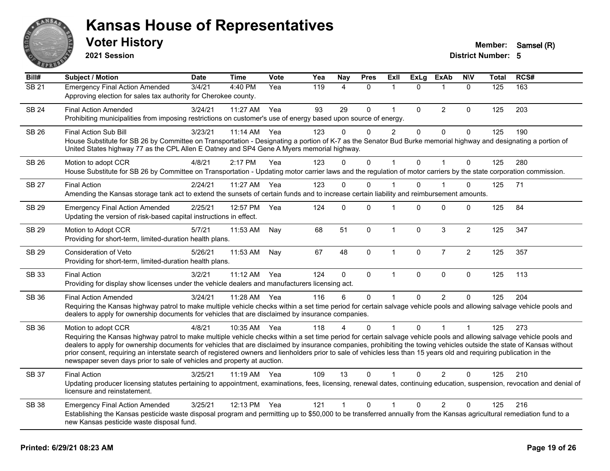

**2021 Session**

| Bill#        | Subject / Motion                                                                                                                                                                                                                                                                                                                                                                                                                                                                                                                                                                                                         | <b>Date</b> | <b>Time</b> | <b>Vote</b> | Yea | <b>Nay</b>     | <b>Pres</b> | ExII           | <b>ExLg</b>  | <b>ExAb</b>    | <b>NIV</b>     | Total | RCS# |
|--------------|--------------------------------------------------------------------------------------------------------------------------------------------------------------------------------------------------------------------------------------------------------------------------------------------------------------------------------------------------------------------------------------------------------------------------------------------------------------------------------------------------------------------------------------------------------------------------------------------------------------------------|-------------|-------------|-------------|-----|----------------|-------------|----------------|--------------|----------------|----------------|-------|------|
| <b>SB 21</b> | <b>Emergency Final Action Amended</b><br>Approving election for sales tax authority for Cherokee county.                                                                                                                                                                                                                                                                                                                                                                                                                                                                                                                 | 3/4/21      | 4:40 PM     | Yea         | 119 | $\overline{4}$ | $\Omega$    | $\overline{1}$ | $\Omega$     | $\mathbf{1}$   | $\Omega$       | 125   | 163  |
| <b>SB 24</b> | <b>Final Action Amended</b><br>Prohibiting municipalities from imposing restrictions on customer's use of energy based upon source of energy.                                                                                                                                                                                                                                                                                                                                                                                                                                                                            | 3/24/21     | $11:27$ AM  | Yea         | 93  | 29             | $\mathbf 0$ | $\overline{1}$ | $\pmb{0}$    | $\overline{2}$ | 0              | 125   | 203  |
| <b>SB 26</b> | <b>Final Action Sub Bill</b><br>House Substitute for SB 26 by Committee on Transportation - Designating a portion of K-7 as the Senator Bud Burke memorial highway and designating a portion of<br>United States highway 77 as the CPL Allen E Oatney and SP4 Gene A Myers memorial highway.                                                                                                                                                                                                                                                                                                                             | 3/23/21     | 11:14 AM    | Yea         | 123 | $\mathbf{0}$   | $\Omega$    | $\overline{2}$ | $\mathbf{0}$ | $\mathbf 0$    | 0              | 125   | 190  |
| <b>SB 26</b> | Motion to adopt CCR<br>House Substitute for SB 26 by Committee on Transportation - Updating motor carrier laws and the regulation of motor carriers by the state corporation commission.                                                                                                                                                                                                                                                                                                                                                                                                                                 | 4/8/21      | 2:17 PM     | Yea         | 123 | $\mathbf{0}$   | 0           | $\mathbf{1}$   | $\mathbf 0$  | 1              | $\mathbf 0$    | 125   | 280  |
| <b>SB 27</b> | <b>Final Action</b><br>Amending the Kansas storage tank act to extend the sunsets of certain funds and to increase certain liability and reimbursement amounts.                                                                                                                                                                                                                                                                                                                                                                                                                                                          | 2/24/21     | 11:27 AM    | Yea         | 123 | $\mathbf 0$    | 0           |                | $\Omega$     |                | 0              | 125   | 71   |
| <b>SB 29</b> | <b>Emergency Final Action Amended</b><br>Updating the version of risk-based capital instructions in effect.                                                                                                                                                                                                                                                                                                                                                                                                                                                                                                              | 2/25/21     | 12:57 PM    | Yea         | 124 | $\mathbf{0}$   | 0           | 1              | $\Omega$     | $\mathbf 0$    | 0              | 125   | 84   |
| <b>SB 29</b> | Motion to Adopt CCR<br>Providing for short-term, limited-duration health plans.                                                                                                                                                                                                                                                                                                                                                                                                                                                                                                                                          | 5/7/21      | 11:53 AM    | Nay         | 68  | 51             | $\mathbf 0$ | $\mathbf{1}$   | $\mathbf 0$  | $\mathbf{3}$   | $\overline{2}$ | 125   | 347  |
| <b>SB 29</b> | Consideration of Veto<br>Providing for short-term, limited-duration health plans.                                                                                                                                                                                                                                                                                                                                                                                                                                                                                                                                        | 5/26/21     | 11:53 AM    | Nay         | 67  | 48             | 0           | $\mathbf{1}$   | $\mathbf 0$  | $\overline{7}$ | $\overline{2}$ | 125   | 357  |
| <b>SB 33</b> | <b>Final Action</b><br>Providing for display show licenses under the vehicle dealers and manufacturers licensing act.                                                                                                                                                                                                                                                                                                                                                                                                                                                                                                    | 3/2/21      | 11:12 AM    | Yea         | 124 | $\mathbf 0$    | 0           | $\mathbf{1}$   | $\mathbf{0}$ | $\mathbf 0$    | $\mathbf 0$    | 125   | 113  |
| <b>SB 36</b> | <b>Final Action Amended</b><br>Requiring the Kansas highway patrol to make multiple vehicle checks within a set time period for certain salvage vehicle pools and allowing salvage vehicle pools and<br>dealers to apply for ownership documents for vehicles that are disclaimed by insurance companies.                                                                                                                                                                                                                                                                                                                | 3/24/21     | 11:28 AM    | Yea         | 116 | 6              | $\Omega$    |                | $\Omega$     | $\overline{2}$ | $\Omega$       | 125   | 204  |
| <b>SB 36</b> | Motion to adopt CCR<br>Requiring the Kansas highway patrol to make multiple vehicle checks within a set time period for certain salvage vehicle pools and allowing salvage vehicle pools and<br>dealers to apply for ownership documents for vehicles that are disclaimed by insurance companies, prohibiting the towing vehicles outside the state of Kansas without<br>prior consent, requiring an interstate search of registered owners and lienholders prior to sale of vehicles less than 15 years old and requiring publication in the<br>newspaper seven days prior to sale of vehicles and property at auction. | 4/8/21      | 10:35 AM    | Yea         | 118 |                | $\Omega$    |                | 0            |                |                | 125   | 273  |
| <b>SB 37</b> | <b>Final Action</b><br>Updating producer licensing statutes pertaining to appointment, examinations, fees, licensing, renewal dates, continuing education, suspension, revocation and denial of<br>licensure and reinstatement.                                                                                                                                                                                                                                                                                                                                                                                          | 3/25/21     | 11:19 AM    | Yea         | 109 | 13             | $\Omega$    | $\mathbf{1}$   | $\Omega$     | $\mathcal{P}$  | $\Omega$       | 125   | 210  |
| <b>SB 38</b> | <b>Emergency Final Action Amended</b><br>Establishing the Kansas pesticide waste disposal program and permitting up to \$50,000 to be transferred annually from the Kansas agricultural remediation fund to a<br>new Kansas pesticide waste disposal fund.                                                                                                                                                                                                                                                                                                                                                               | 3/25/21     | 12:13 PM    | Yea         | 121 |                | $\Omega$    |                | 0            | 2              | $\mathbf{0}$   | 125   | 216  |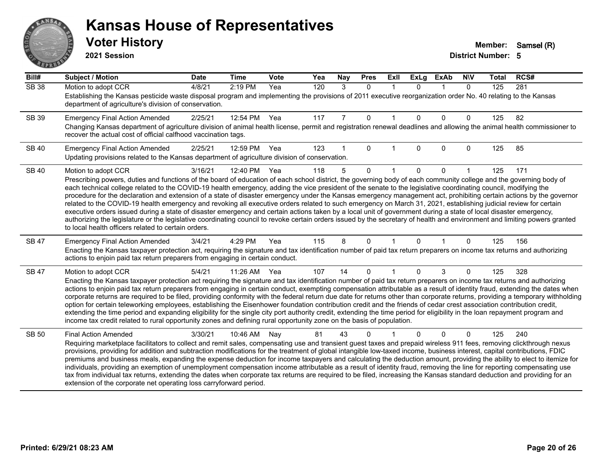# ANS **PARTIE**

#### **Kansas House of Representatives**

**2021 Session**

| Bill#        | <b>Subject / Motion</b>                                                                                                                                                                                                                                                                                                                                    | <b>Date</b> | <b>Time</b> | Vote | Yea | Nay | <b>Pres</b> | ExII        | <b>ExLg</b> | <b>ExAb</b> | <b>NIV</b>   | <b>Total</b> | RCS# |
|--------------|------------------------------------------------------------------------------------------------------------------------------------------------------------------------------------------------------------------------------------------------------------------------------------------------------------------------------------------------------------|-------------|-------------|------|-----|-----|-------------|-------------|-------------|-------------|--------------|--------------|------|
| <b>SB 38</b> | Motion to adopt CCR                                                                                                                                                                                                                                                                                                                                        | 4/8/21      | 2:19 PM     | Yea  | 120 | 3   | $\Omega$    | $\mathbf 1$ | $\Omega$    | $\mathbf 1$ | $\mathbf{0}$ | 125          | 281  |
|              | Establishing the Kansas pesticide waste disposal program and implementing the provisions of 2011 executive reorganization order No. 40 relating to the Kansas<br>department of agriculture's division of conservation.                                                                                                                                     |             |             |      |     |     |             |             |             |             |              |              |      |
| SB 39        | <b>Emergency Final Action Amended</b>                                                                                                                                                                                                                                                                                                                      | 2/25/21     | 12:54 PM    | Yea  | 117 | 7   | 0           |             | $\Omega$    | $\Omega$    | 0            | 125          | 82   |
|              | Changing Kansas department of agriculture division of animal health license, permit and registration renewal deadlines and allowing the animal health commissioner to<br>recover the actual cost of official calfhood vaccination tags.                                                                                                                    |             |             |      |     |     |             |             |             |             |              |              |      |
| <b>SB 40</b> | <b>Emergency Final Action Amended</b>                                                                                                                                                                                                                                                                                                                      | 2/25/21     | 12:59 PM    | Yea  | 123 |     | 0           |             | 0           | $\Omega$    | 0            | 125          | 85   |
|              | Updating provisions related to the Kansas department of agriculture division of conservation.                                                                                                                                                                                                                                                              |             |             |      |     |     |             |             |             |             |              |              |      |
| <b>SB 40</b> | Motion to adopt CCR                                                                                                                                                                                                                                                                                                                                        | 3/16/21     | 12:40 PM    | Yea  | 118 | 5   | $\Omega$    |             | $\Omega$    | $\Omega$    |              | 125          | 171  |
|              | Prescribing powers, duties and functions of the board of education of each school district, the governing body of each community college and the governing body of                                                                                                                                                                                         |             |             |      |     |     |             |             |             |             |              |              |      |
|              | each technical college related to the COVID-19 health emergency, adding the vice president of the senate to the legislative coordinating council, modifying the<br>procedure for the declaration and extension of a state of disaster emergency under the Kansas emergency management act, prohibiting certain actions by the governor                     |             |             |      |     |     |             |             |             |             |              |              |      |
|              | related to the COVID-19 health emergency and revoking all executive orders related to such emergency on March 31, 2021, establishing judicial review for certain                                                                                                                                                                                           |             |             |      |     |     |             |             |             |             |              |              |      |
|              | executive orders issued during a state of disaster emergency and certain actions taken by a local unit of government during a state of local disaster emergency,<br>authorizing the legislature or the legislative coordinating council to revoke certain orders issued by the secretary of health and environment and limiting powers granted             |             |             |      |     |     |             |             |             |             |              |              |      |
|              | to local health officers related to certain orders.                                                                                                                                                                                                                                                                                                        |             |             |      |     |     |             |             |             |             |              |              |      |
| SB 47        | <b>Emergency Final Action Amended</b>                                                                                                                                                                                                                                                                                                                      | 3/4/21      | 4:29 PM     | Yea  | 115 | 8   | 0           |             | 0           |             | 0            | 125          | 156  |
|              | Enacting the Kansas taxpayer protection act, requiring the signature and tax identification number of paid tax return preparers on income tax returns and authorizing<br>actions to enjoin paid tax return preparers from engaging in certain conduct.                                                                                                     |             |             |      |     |     |             |             |             |             |              |              |      |
| <b>SB 47</b> | Motion to adopt CCR                                                                                                                                                                                                                                                                                                                                        | 5/4/21      | 11:26 AM    | Yea  | 107 | 14  | 0           |             | $\Omega$    | 3           | 0            | 125          | 328  |
|              | Enacting the Kansas taxpayer protection act requiring the signature and tax identification number of paid tax return preparers on income tax returns and authorizing                                                                                                                                                                                       |             |             |      |     |     |             |             |             |             |              |              |      |
|              | actions to enjoin paid tax return preparers from engaging in certain conduct, exempting compensation attributable as a result of identity fraud, extending the dates when<br>corporate returns are required to be filed, providing conformity with the federal return due date for returns other than corporate returns, providing a temporary withholding |             |             |      |     |     |             |             |             |             |              |              |      |
|              | option for certain teleworking employees, establishing the Eisenhower foundation contribution credit and the friends of cedar crest association contribution credit,                                                                                                                                                                                       |             |             |      |     |     |             |             |             |             |              |              |      |
|              | extending the time period and expanding eligibility for the single city port authority credit, extending the time period for eligibility in the loan repayment program and<br>income tax credit related to rural opportunity zones and defining rural opportunity zone on the basis of population.                                                         |             |             |      |     |     |             |             |             |             |              |              |      |
|              |                                                                                                                                                                                                                                                                                                                                                            |             |             |      |     |     |             |             |             |             |              |              |      |
| <b>SB 50</b> | <b>Final Action Amended</b>                                                                                                                                                                                                                                                                                                                                | 3/30/21     | 10:46 AM    | Nav  | 81  | 43  | ი           |             |             | $\Omega$    | 0            | 125          | 240  |
|              | Requiring marketplace facilitators to collect and remit sales, compensating use and transient guest taxes and prepaid wireless 911 fees, removing clickthrough nexus<br>provisions, providing for addition and subtraction modifications for the treatment of global intangible low-taxed income, business interest, capital contributions, FDIC           |             |             |      |     |     |             |             |             |             |              |              |      |
|              | premiums and business meals, expanding the expense deduction for income taxpayers and calculating the deduction amount, providing the ability to elect to itemize for                                                                                                                                                                                      |             |             |      |     |     |             |             |             |             |              |              |      |
|              | individuals, providing an exemption of unemployment compensation income attributable as a result of identity fraud, removing the line for reporting compensating use<br>tax from individual tax returns, extending the dates when corporate tax returns are required to be filed, increasing the Kansas standard deduction and providing for an            |             |             |      |     |     |             |             |             |             |              |              |      |
|              | extension of the corporate net operating loss carryforward period.                                                                                                                                                                                                                                                                                         |             |             |      |     |     |             |             |             |             |              |              |      |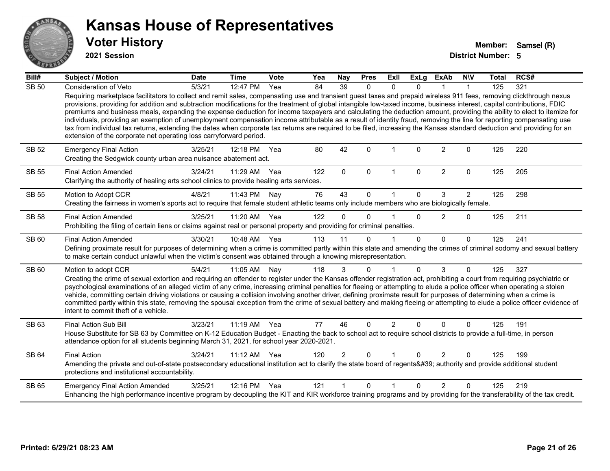

**2021 Session**

| Bill#        | <b>Subject / Motion</b>                                                                                                                                                                                                                                                                                                                                                                                                                                                                                                                                                                                                                                                                                                                                                                                                                                                                                                                            | <b>Date</b> | <b>Time</b> | Vote | Yea | Nay            | <b>Pres</b> | ExII                 | <b>ExLg</b>  | <b>ExAb</b>    | <b>NIV</b>     | <b>Total</b> | RCS# |
|--------------|----------------------------------------------------------------------------------------------------------------------------------------------------------------------------------------------------------------------------------------------------------------------------------------------------------------------------------------------------------------------------------------------------------------------------------------------------------------------------------------------------------------------------------------------------------------------------------------------------------------------------------------------------------------------------------------------------------------------------------------------------------------------------------------------------------------------------------------------------------------------------------------------------------------------------------------------------|-------------|-------------|------|-----|----------------|-------------|----------------------|--------------|----------------|----------------|--------------|------|
| <b>SB 50</b> | <b>Consideration of Veto</b>                                                                                                                                                                                                                                                                                                                                                                                                                                                                                                                                                                                                                                                                                                                                                                                                                                                                                                                       | 5/3/21      | 12:47 PM    | Yea  | 84  | 39             | 0           | $\mathbf{0}$         | 0            |                | 1              | 125          | 321  |
|              | Requiring marketplace facilitators to collect and remit sales, compensating use and transient guest taxes and prepaid wireless 911 fees, removing clickthrough nexus<br>provisions, providing for addition and subtraction modifications for the treatment of global intangible low-taxed income, business interest, capital contributions, FDIC<br>premiums and business meals, expanding the expense deduction for income taxpayers and calculating the deduction amount, providing the ability to elect to itemize for<br>individuals, providing an exemption of unemployment compensation income attributable as a result of identity fraud, removing the line for reporting compensating use<br>tax from individual tax returns, extending the dates when corporate tax returns are required to be filed, increasing the Kansas standard deduction and providing for an<br>extension of the corporate net operating loss carryforward period. |             |             |      |     |                |             |                      |              |                |                |              |      |
| SB 52        | <b>Emergency Final Action</b><br>Creating the Sedgwick county urban area nuisance abatement act.                                                                                                                                                                                                                                                                                                                                                                                                                                                                                                                                                                                                                                                                                                                                                                                                                                                   | 3/25/21     | 12:18 PM    | Yea  | 80  | 42             | $\Omega$    | 1                    | $\Omega$     | $\overline{2}$ | $\Omega$       | 125          | 220  |
| <b>SB 55</b> | <b>Final Action Amended</b><br>Clarifying the authority of healing arts school clinics to provide healing arts services.                                                                                                                                                                                                                                                                                                                                                                                                                                                                                                                                                                                                                                                                                                                                                                                                                           | 3/24/21     | 11:29 AM    | Yea  | 122 | $\mathbf{0}$   | $\mathbf 0$ | $\mathbf{1}$         | $\mathbf 0$  | $\overline{2}$ | $\mathbf 0$    | 125          | 205  |
| SB 55        | Motion to Adopt CCR                                                                                                                                                                                                                                                                                                                                                                                                                                                                                                                                                                                                                                                                                                                                                                                                                                                                                                                                | 4/8/21      | 11:43 PM    | Nay  | 76  | 43             | $\Omega$    | 1                    | $\Omega$     | 3              | $\overline{2}$ | 125          | 298  |
|              | Creating the fairness in women's sports act to require that female student athletic teams only include members who are biologically female.                                                                                                                                                                                                                                                                                                                                                                                                                                                                                                                                                                                                                                                                                                                                                                                                        |             |             |      |     |                |             |                      |              |                |                |              |      |
| <b>SB 58</b> | <b>Final Action Amended</b>                                                                                                                                                                                                                                                                                                                                                                                                                                                                                                                                                                                                                                                                                                                                                                                                                                                                                                                        | 3/25/21     | 11:20 AM    | Yea  | 122 | $\Omega$       | $\Omega$    |                      | $\Omega$     | 2              | $\Omega$       | 125          | 211  |
|              | Prohibiting the filing of certain liens or claims against real or personal property and providing for criminal penalties.                                                                                                                                                                                                                                                                                                                                                                                                                                                                                                                                                                                                                                                                                                                                                                                                                          |             |             |      |     |                |             |                      |              |                |                |              |      |
| SB 60        | <b>Final Action Amended</b>                                                                                                                                                                                                                                                                                                                                                                                                                                                                                                                                                                                                                                                                                                                                                                                                                                                                                                                        | 3/30/21     | 10:48 AM    | Yea  | 113 | 11             | $\Omega$    |                      | $\Omega$     | $\Omega$       | $\mathbf{0}$   | 125          | 241  |
|              | Defining proximate result for purposes of determining when a crime is committed partly within this state and amending the crimes of criminal sodomy and sexual battery<br>to make certain conduct unlawful when the victim's consent was obtained through a knowing misrepresentation.                                                                                                                                                                                                                                                                                                                                                                                                                                                                                                                                                                                                                                                             |             |             |      |     |                |             |                      |              |                |                |              |      |
| SB 60        | Motion to adopt CCR                                                                                                                                                                                                                                                                                                                                                                                                                                                                                                                                                                                                                                                                                                                                                                                                                                                                                                                                | 5/4/21      | 11:05 AM    | Nay  | 118 | 3              | $\Omega$    | 1                    | $\Omega$     | 3              | $\Omega$       | 125          | 327  |
|              | Creating the crime of sexual extortion and requiring an offender to register under the Kansas offender registration act, prohibiting a court from requiring psychiatric or<br>psychological examinations of an alleged victim of any crime, increasing criminal penalties for fleeing or attempting to elude a police officer when operating a stolen<br>vehicle, committing certain driving violations or causing a collision involving another driver, defining proximate result for purposes of determining when a crime is<br>committed partly within this state, removing the spousal exception from the crime of sexual battery and making fleeing or attempting to elude a police officer evidence of<br>intent to commit theft of a vehicle.                                                                                                                                                                                               |             |             |      |     |                |             |                      |              |                |                |              |      |
| SB 63        | Final Action Sub Bill                                                                                                                                                                                                                                                                                                                                                                                                                                                                                                                                                                                                                                                                                                                                                                                                                                                                                                                              | 3/23/21     | $11:19$ AM  | Yea  | 77  | 46             | $\Omega$    | 2                    | 0            | $\Omega$       | $\Omega$       | 125          | 191  |
|              | House Substitute for SB 63 by Committee on K-12 Education Budget - Enacting the back to school act to require school districts to provide a full-time, in person<br>attendance option for all students beginning March 31, 2021, for school year 2020-2021.                                                                                                                                                                                                                                                                                                                                                                                                                                                                                                                                                                                                                                                                                        |             |             |      |     |                |             |                      |              |                |                |              |      |
| SB 64        | <b>Final Action</b>                                                                                                                                                                                                                                                                                                                                                                                                                                                                                                                                                                                                                                                                                                                                                                                                                                                                                                                                | 3/24/21     | 11:12 AM    | Yea  | 120 | $\overline{2}$ | $\Omega$    | $\blacktriangleleft$ | $\Omega$     | $\overline{2}$ | 0              | 125          | 199  |
|              | Amending the private and out-of-state postsecondary educational institution act to clarify the state board of regents' authority and provide additional student<br>protections and institutional accountability.                                                                                                                                                                                                                                                                                                                                                                                                                                                                                                                                                                                                                                                                                                                                   |             |             |      |     |                |             |                      |              |                |                |              |      |
| SB 65        | <b>Emergency Final Action Amended</b>                                                                                                                                                                                                                                                                                                                                                                                                                                                                                                                                                                                                                                                                                                                                                                                                                                                                                                              | 3/25/21     | 12:16 PM    | Yea  | 121 |                | $\Omega$    | 1                    | <sup>n</sup> | $\mathfrak{p}$ | 0              | 125          | 219  |
|              | Enhancing the high performance incentive program by decoupling the KIT and KIR workforce training programs and by providing for the transferability of the tax credit.                                                                                                                                                                                                                                                                                                                                                                                                                                                                                                                                                                                                                                                                                                                                                                             |             |             |      |     |                |             |                      |              |                |                |              |      |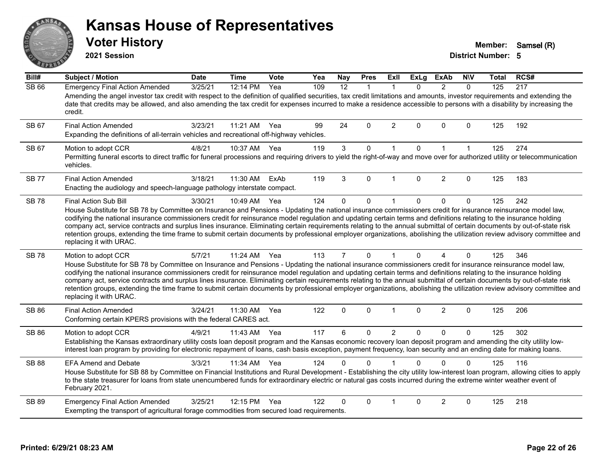**2021 Session**

**Voter History Member:** Samsel (R)

| Bill#        | <b>Subject / Motion</b>                                                                                                                                                                                                                                                                                                                                                                                                                                                                                                                                                                                                                                                                                                                               | <b>Date</b> | <b>Time</b> | Vote | Yea | <b>Nay</b>     | <b>Pres</b>  | ExII           | <b>ExLg</b> | <b>ExAb</b>    | <b>NIV</b>   | Total | RCS# |
|--------------|-------------------------------------------------------------------------------------------------------------------------------------------------------------------------------------------------------------------------------------------------------------------------------------------------------------------------------------------------------------------------------------------------------------------------------------------------------------------------------------------------------------------------------------------------------------------------------------------------------------------------------------------------------------------------------------------------------------------------------------------------------|-------------|-------------|------|-----|----------------|--------------|----------------|-------------|----------------|--------------|-------|------|
| <b>SB 66</b> | <b>Emergency Final Action Amended</b><br>Amending the angel investor tax credit with respect to the definition of qualified securities, tax credit limitations and amounts, investor requirements and extending the<br>date that credits may be allowed, and also amending the tax credit for expenses incurred to make a residence accessible to persons with a disability by increasing the<br>credit.                                                                                                                                                                                                                                                                                                                                              | 3/25/21     | 12:14 PM    | Yea  | 109 | 12             | 1            | $\mathbf 1$    | $\Omega$    | $\overline{2}$ | $\Omega$     | 125   | 217  |
| SB 67        | <b>Final Action Amended</b><br>Expanding the definitions of all-terrain vehicles and recreational off-highway vehicles.                                                                                                                                                                                                                                                                                                                                                                                                                                                                                                                                                                                                                               | 3/23/21     | 11:21 AM    | Yea  | 99  | 24             | $\Omega$     | $\overline{2}$ | $\Omega$    | $\Omega$       | $\Omega$     | 125   | 192  |
| SB 67        | Motion to adopt CCR<br>Permitting funeral escorts to direct traffic for funeral processions and requiring drivers to yield the right-of-way and move over for authorized utility or telecommunication<br>vehicles.                                                                                                                                                                                                                                                                                                                                                                                                                                                                                                                                    | 4/8/21      | 10:37 AM    | Yea  | 119 | 3              | $\mathbf 0$  | $\mathbf{1}$   | $\mathbf 0$ | $\mathbf{1}$   | $\mathbf{1}$ | 125   | 274  |
| <b>SB77</b>  | <b>Final Action Amended</b><br>Enacting the audiology and speech-language pathology interstate compact.                                                                                                                                                                                                                                                                                                                                                                                                                                                                                                                                                                                                                                               | 3/18/21     | 11:30 AM    | ExAb | 119 | 3              | $\Omega$     | $\overline{1}$ | $\Omega$    | $\overline{2}$ | $\mathbf{0}$ | 125   | 183  |
| <b>SB 78</b> | <b>Final Action Sub Bill</b><br>House Substitute for SB 78 by Committee on Insurance and Pensions - Updating the national insurance commissioners credit for insurance reinsurance model law,<br>codifying the national insurance commissioners credit for reinsurance model regulation and updating certain terms and definitions relating to the insurance holding<br>company act, service contracts and surplus lines insurance. Eliminating certain requirements relating to the annual submittal of certain documents by out-of-state risk<br>retention groups, extending the time frame to submit certain documents by professional employer organizations, abolishing the utilization review advisory committee and<br>replacing it with URAC. | 3/30/21     | 10:49 AM    | Yea  | 124 | $\Omega$       | $\mathbf 0$  | $\mathbf 1$    | $\Omega$    | $\Omega$       | $\mathbf{0}$ | 125   | 242  |
| <b>SB 78</b> | Motion to adopt CCR<br>House Substitute for SB 78 by Committee on Insurance and Pensions - Updating the national insurance commissioners credit for insurance reinsurance model law,<br>codifying the national insurance commissioners credit for reinsurance model regulation and updating certain terms and definitions relating to the insurance holding<br>company act, service contracts and surplus lines insurance. Eliminating certain requirements relating to the annual submittal of certain documents by out-of-state risk<br>retention groups, extending the time frame to submit certain documents by professional employer organizations, abolishing the utilization review advisory committee and<br>replacing it with URAC.          | 5/7/21      | 11:24 AM    | Yea  | 113 | $\overline{7}$ | $\Omega$     | $\mathbf{1}$   | $\Omega$    | 4              | $\Omega$     | 125   | 346  |
| <b>SB 86</b> | <b>Final Action Amended</b><br>Conforming certain KPERS provisions with the federal CARES act.                                                                                                                                                                                                                                                                                                                                                                                                                                                                                                                                                                                                                                                        | 3/24/21     | 11:30 AM    | Yea  | 122 | 0              | $\mathbf 0$  | $\mathbf{1}$   | 0           | $\overline{2}$ | $\mathbf 0$  | 125   | 206  |
| <b>SB 86</b> | Motion to adopt CCR<br>Establishing the Kansas extraordinary utility costs loan deposit program and the Kansas economic recovery loan deposit program and amending the city utility low-<br>interest loan program by providing for electronic repayment of loans, cash basis exception, payment frequency, loan security and an ending date for making loans.                                                                                                                                                                                                                                                                                                                                                                                         | 4/9/21      | 11:43 AM    | Yea  | 117 | 6              | $\Omega$     | $\overline{2}$ | $\Omega$    | $\Omega$       | $\Omega$     | 125   | 302  |
| <b>SB 88</b> | <b>EFA Amend and Debate</b><br>House Substitute for SB 88 by Committee on Financial Institutions and Rural Development - Establishing the city utility low-interest loan program, allowing cities to apply<br>to the state treasurer for loans from state unencumbered funds for extraordinary electric or natural gas costs incurred during the extreme winter weather event of<br>February 2021.                                                                                                                                                                                                                                                                                                                                                    | 3/3/21      | 11:34 AM    | Yea  | 124 | 0              | $\mathbf{0}$ |                | 0           | $\Omega$       | $\Omega$     | 125   | 116  |
| SB 89        | <b>Emergency Final Action Amended</b><br>Exempting the transport of agricultural forage commodities from secured load requirements.                                                                                                                                                                                                                                                                                                                                                                                                                                                                                                                                                                                                                   | 3/25/21     | 12:15 PM    | Yea  | 122 | 0              | $\Omega$     |                | $\Omega$    | $\overline{2}$ | $\Omega$     | 125   | 218  |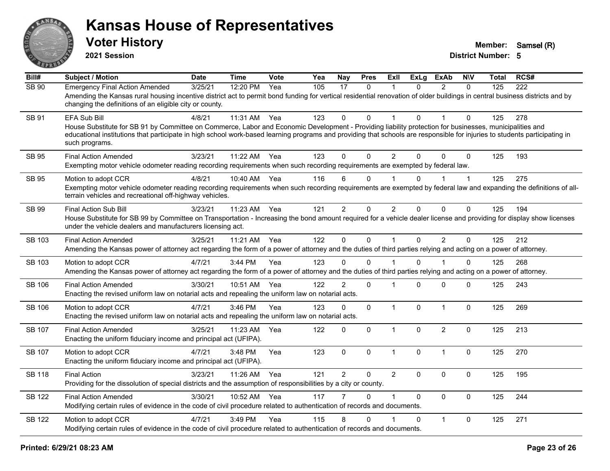

**2021 Session**

| Bill#         | <b>Subject / Motion</b>                                                                                                                                                                                                                                                                                                                                                 | <b>Date</b> | <b>Time</b> | Vote | Yea | <b>Nay</b>     | <b>Pres</b>  | Exll           | ExLg         | <b>ExAb</b>    | <b>NIV</b>   | <b>Total</b> | RCS# |
|---------------|-------------------------------------------------------------------------------------------------------------------------------------------------------------------------------------------------------------------------------------------------------------------------------------------------------------------------------------------------------------------------|-------------|-------------|------|-----|----------------|--------------|----------------|--------------|----------------|--------------|--------------|------|
| SB 90         | <b>Emergency Final Action Amended</b><br>Amending the Kansas rural housing incentive district act to permit bond funding for vertical residential renovation of older buildings in central business districts and by<br>changing the definitions of an eligible city or county.                                                                                         | 3/25/21     | 12:20 PM    | Yea  | 105 | 17             | $\mathbf{0}$ |                | $\Omega$     | $\mathcal{P}$  | $\mathbf{0}$ | 125          | 222  |
| SB 91         | EFA Sub Bill<br>House Substitute for SB 91 by Committee on Commerce, Labor and Economic Development - Providing liability protection for businesses, municipalities and<br>educational institutions that participate in high school work-based learning programs and providing that schools are responsible for injuries to students participating in<br>such programs. | 4/8/21      | 11:31 AM    | Yea  | 123 | 0              | 0            |                | $\Omega$     |                | $\Omega$     | 125          | 278  |
| SB 95         | <b>Final Action Amended</b><br>Exempting motor vehicle odometer reading recording requirements when such recording requirements are exempted by federal law.                                                                                                                                                                                                            | 3/23/21     | 11:22 AM    | Yea  | 123 | 0              | $\Omega$     | $\overline{c}$ | 0            | $\Omega$       | $\Omega$     | 125          | 193  |
| <b>SB 95</b>  | Motion to adopt CCR<br>Exempting motor vehicle odometer reading recording requirements when such recording requirements are exempted by federal law and expanding the definitions of all-<br>terrain vehicles and recreational off-highway vehicles.                                                                                                                    | 4/8/21      | 10:40 AM    | Yea  | 116 | 6              | $\Omega$     |                | $\Omega$     |                |              | 125          | 275  |
| SB 99         | Final Action Sub Bill<br>House Substitute for SB 99 by Committee on Transportation - Increasing the bond amount required for a vehicle dealer license and providing for display show licenses<br>under the vehicle dealers and manufacturers licensing act.                                                                                                             | 3/23/21     | 11:23 AM    | Yea  | 121 | $\overline{2}$ | 0            | $\overline{2}$ | $\mathbf{0}$ | $\mathbf 0$    | 0            | 125          | 194  |
| SB 103        | <b>Final Action Amended</b><br>Amending the Kansas power of attorney act regarding the form of a power of attorney and the duties of third parties relying and acting on a power of attorney.                                                                                                                                                                           | 3/25/21     | 11:21 AM    | Yea  | 122 | $\mathbf 0$    | 0            | $\mathbf{1}$   | $\mathbf 0$  | $\overline{2}$ | $\mathbf 0$  | 125          | 212  |
| SB 103        | Motion to adopt CCR<br>Amending the Kansas power of attorney act regarding the form of a power of attorney and the duties of third parties relying and acting on a power of attorney.                                                                                                                                                                                   | 4/7/21      | 3:44 PM     | Yea  | 123 | 0              | $\Omega$     |                | $\Omega$     |                | $\Omega$     | 125          | 268  |
| SB 106        | <b>Final Action Amended</b><br>Enacting the revised uniform law on notarial acts and repealing the uniform law on notarial acts.                                                                                                                                                                                                                                        | 3/30/21     | 10:51 AM    | Yea  | 122 | $\overline{2}$ | 0            | 1              | $\Omega$     | 0              | $\Omega$     | 125          | 243  |
| SB 106        | Motion to adopt CCR<br>Enacting the revised uniform law on notarial acts and repealing the uniform law on notarial acts.                                                                                                                                                                                                                                                | 4/7/21      | 3:46 PM     | Yea  | 123 | 0              | 0            | $\mathbf{1}$   | $\mathbf 0$  | $\mathbf{1}$   | $\mathbf 0$  | 125          | 269  |
| <b>SB 107</b> | <b>Final Action Amended</b><br>Enacting the uniform fiduciary income and principal act (UFIPA).                                                                                                                                                                                                                                                                         | 3/25/21     | 11:23 AM    | Yea  | 122 | 0              | 0            | $\mathbf{1}$   | $\Omega$     | $\overline{2}$ | $\mathbf 0$  | 125          | 213  |
| SB 107        | Motion to adopt CCR<br>Enacting the uniform fiduciary income and principal act (UFIPA).                                                                                                                                                                                                                                                                                 | 4/7/21      | 3:48 PM     | Yea  | 123 | $\mathbf 0$    | 0            | $\mathbf{1}$   | $\mathbf 0$  | $\overline{1}$ | $\mathbf 0$  | 125          | 270  |
| <b>SB 118</b> | <b>Final Action</b><br>Providing for the dissolution of special districts and the assumption of responsibilities by a city or county.                                                                                                                                                                                                                                   | 3/23/21     | 11:26 AM    | Yea  | 121 | $\overline{2}$ | 0            | $\overline{2}$ | $\mathbf 0$  | $\mathbf 0$    | $\mathbf 0$  | 125          | 195  |
| SB 122        | <b>Final Action Amended</b><br>Modifying certain rules of evidence in the code of civil procedure related to authentication of records and documents.                                                                                                                                                                                                                   | 3/30/21     | 10:52 AM    | Yea  | 117 | $\overline{7}$ | $\Omega$     | 1              | $\Omega$     | $\Omega$       | $\Omega$     | 125          | 244  |
| <b>SB 122</b> | Motion to adopt CCR<br>Modifying certain rules of evidence in the code of civil procedure related to authentication of records and documents.                                                                                                                                                                                                                           | 4/7/21      | 3:49 PM     | Yea  | 115 | 8              | 0            |                | 0            | 1              | 0            | 125          | 271  |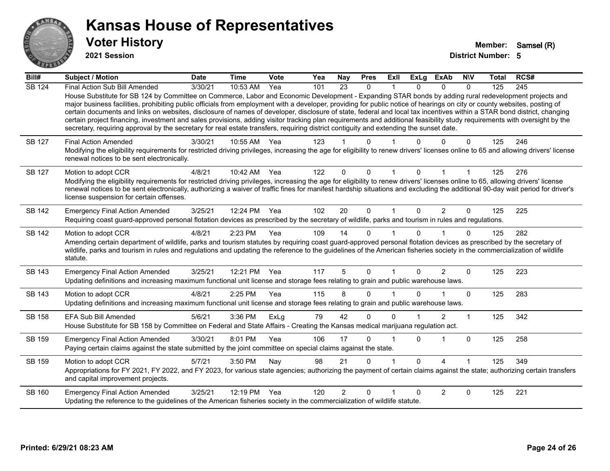

**2021 Session**

| Bill#         | Subject / Motion                                                                                                                                                                                                                                                                                                                                                                                                                                                                                                                                                                                                                                                                                                                                                                                                                                                     | <b>Date</b> | <b>Time</b> | <b>Vote</b> | Yea | <b>Nay</b>     | <b>Pres</b>  | <b>Exll</b> | <b>ExLg</b> | <b>ExAb</b>    | <b>NIV</b>   | Total | RCS# |
|---------------|----------------------------------------------------------------------------------------------------------------------------------------------------------------------------------------------------------------------------------------------------------------------------------------------------------------------------------------------------------------------------------------------------------------------------------------------------------------------------------------------------------------------------------------------------------------------------------------------------------------------------------------------------------------------------------------------------------------------------------------------------------------------------------------------------------------------------------------------------------------------|-------------|-------------|-------------|-----|----------------|--------------|-------------|-------------|----------------|--------------|-------|------|
| <b>SB 124</b> | Final Action Sub Bill Amended<br>House Substitute for SB 124 by Committee on Commerce, Labor and Economic Development - Expanding STAR bonds by adding rural redevelopment projects and<br>major business facilities, prohibiting public officials from employment with a developer, providing for public notice of hearings on city or county websites, posting of<br>certain documents and links on websites, disclosure of names of developer, disclosure of state, federal and local tax incentives within a STAR bond district, changing<br>certain project financing, investment and sales provisions, adding visitor tracking plan requirements and additional feasibility study requirements with oversight by the<br>secretary, requiring approval by the secretary for real estate transfers, requiring district contiguity and extending the sunset date. | 3/30/21     | 10:53 AM    | Yea         | 101 | 23             | $\mathbf{0}$ |             | 0           | $\Omega$       | $\mathbf{0}$ | 125   | 245  |
| <b>SB 127</b> | <b>Final Action Amended</b><br>Modifying the eligibility requirements for restricted driving privileges, increasing the age for eligibility to renew drivers' licenses online to 65 and allowing drivers' license<br>renewal notices to be sent electronically.                                                                                                                                                                                                                                                                                                                                                                                                                                                                                                                                                                                                      | 3/30/21     | 10:55 AM    | Yea         | 123 |                | 0            |             |             | U              | 0            | 125   | 246  |
| <b>SB 127</b> | Motion to adopt CCR<br>Modifying the eligibility requirements for restricted driving privileges, increasing the age for eligibility to renew drivers' licenses online to 65, allowing drivers' license<br>renewal notices to be sent electronically, authorizing a waiver of traffic fines for manifest hardship situations and excluding the additional 90-day wait period for driver's<br>license suspension for certain offenses.                                                                                                                                                                                                                                                                                                                                                                                                                                 | 4/8/21      | 10:42 AM    | Yea         | 122 | 0              | $\Omega$     |             | $\Omega$    |                |              | 125   | 276  |
| <b>SB 142</b> | <b>Emergency Final Action Amended</b><br>Requiring coast guard-approved personal flotation devices as prescribed by the secretary of wildlife, parks and tourism in rules and regulations.                                                                                                                                                                                                                                                                                                                                                                                                                                                                                                                                                                                                                                                                           | 3/25/21     | 12:24 PM    | Yea         | 102 | 20             | $\Omega$     | 1           | $\Omega$    | 2              | $\mathbf{0}$ | 125   | 225  |
| <b>SB 142</b> | Motion to adopt CCR<br>Amending certain department of wildlife, parks and tourism statutes by requiring coast guard-approved personal flotation devices as prescribed by the secretary of<br>wildlife, parks and tourism in rules and regulations and updating the reference to the guidelines of the American fisheries society in the commercialization of wildlife<br>statute.                                                                                                                                                                                                                                                                                                                                                                                                                                                                                    | 4/8/21      | 2:23 PM     | Yea         | 109 | 14             | $\Omega$     |             | 0           |                | $\Omega$     | 125   | 282  |
| SB 143        | <b>Emergency Final Action Amended</b><br>Updating definitions and increasing maximum functional unit license and storage fees relating to grain and public warehouse laws.                                                                                                                                                                                                                                                                                                                                                                                                                                                                                                                                                                                                                                                                                           | 3/25/21     | 12:21 PM    | Yea         | 117 | 5              | $\Omega$     | 1           | $\Omega$    | $\overline{2}$ | 0            | 125   | 223  |
| <b>SB 143</b> | Motion to adopt CCR<br>Updating definitions and increasing maximum functional unit license and storage fees relating to grain and public warehouse laws.                                                                                                                                                                                                                                                                                                                                                                                                                                                                                                                                                                                                                                                                                                             | 4/8/21      | 2:25 PM     | Yea         | 115 | 8              | $\Omega$     |             | 0           |                | $\mathbf 0$  | 125   | 283  |
| SB 158        | EFA Sub Bill Amended<br>House Substitute for SB 158 by Committee on Federal and State Affairs - Creating the Kansas medical marijuana regulation act.                                                                                                                                                                                                                                                                                                                                                                                                                                                                                                                                                                                                                                                                                                                | 5/6/21      | 3:36 PM     | ExLg        | 79  | 42             | 0            | $\Omega$    |             | $\overline{2}$ | 1            | 125   | 342  |
| SB 159        | <b>Emergency Final Action Amended</b><br>Paying certain claims against the state submitted by the joint committee on special claims against the state.                                                                                                                                                                                                                                                                                                                                                                                                                                                                                                                                                                                                                                                                                                               | 3/30/21     | 8:01 PM     | Yea         | 106 | 17             | 0            |             | $\Omega$    | 1              | $\mathbf 0$  | 125   | 258  |
| SB 159        | Motion to adopt CCR<br>Appropriations for FY 2021, FY 2022, and FY 2023, for various state agencies; authorizing the payment of certain claims against the state; authorizing certain transfers<br>and capital improvement projects.                                                                                                                                                                                                                                                                                                                                                                                                                                                                                                                                                                                                                                 | 5/7/21      | 3:50 PM     | Nay         | 98  | 21             | 0            |             | 0           | 4              |              | 125   | 349  |
| SB 160        | <b>Emergency Final Action Amended</b><br>Updating the reference to the guidelines of the American fisheries society in the commercialization of wildlife statute.                                                                                                                                                                                                                                                                                                                                                                                                                                                                                                                                                                                                                                                                                                    | 3/25/21     | 12:19 PM    | Yea         | 120 | $\overline{c}$ | $\Omega$     |             | U           | $\overline{2}$ | $\Omega$     | 125   | 221  |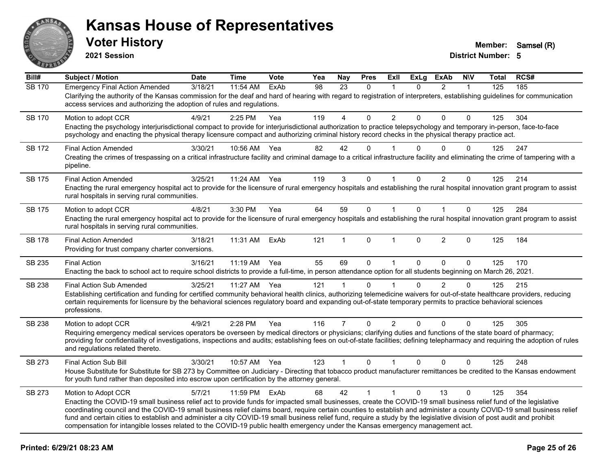

**2021 Session**

| Bill#         | <b>Subject / Motion</b>                                                                                                                                                                                                                                                                                                                                                                                                                                                                                                                                                                                                                                                       | <b>Date</b> | <b>Time</b> | Vote | Yea | Nay            | <b>Pres</b>  | ExII           | <b>ExLg</b>  | <b>ExAb</b>    | <b>NIV</b>   | <b>Total</b> | RCS# |
|---------------|-------------------------------------------------------------------------------------------------------------------------------------------------------------------------------------------------------------------------------------------------------------------------------------------------------------------------------------------------------------------------------------------------------------------------------------------------------------------------------------------------------------------------------------------------------------------------------------------------------------------------------------------------------------------------------|-------------|-------------|------|-----|----------------|--------------|----------------|--------------|----------------|--------------|--------------|------|
| <b>SB 170</b> | <b>Emergency Final Action Amended</b><br>Clarifying the authority of the Kansas commission for the deaf and hard of hearing with regard to registration of interpreters, establishing guidelines for communication<br>access services and authorizing the adoption of rules and regulations.                                                                                                                                                                                                                                                                                                                                                                                  | 3/18/21     | 11:54 AM    | ExAb | 98  | 23             | $\mathbf{0}$ |                | $\mathbf{0}$ | $\overline{2}$ | $\mathbf{1}$ | 125          | 185  |
| <b>SB 170</b> | Motion to adopt CCR<br>Enacting the psychology interjurisdictional compact to provide for interjurisdictional authorization to practice telepsychology and temporary in-person, face-to-face<br>psychology and enacting the physical therapy licensure compact and authorizing criminal history record checks in the physical therapy practice act.                                                                                                                                                                                                                                                                                                                           | 4/9/21      | 2:25 PM     | Yea  | 119 | 4              | $\Omega$     | $\overline{2}$ | $\Omega$     | $\Omega$       | $\Omega$     | 125          | 304  |
| <b>SB 172</b> | <b>Final Action Amended</b><br>Creating the crimes of trespassing on a critical infrastructure facility and criminal damage to a critical infrastructure facility and eliminating the crime of tampering with a<br>pipeline.                                                                                                                                                                                                                                                                                                                                                                                                                                                  | 3/30/21     | 10:56 AM    | Yea  | 82  | 42             | $\Omega$     |                |              | $\Omega$       | $\Omega$     | 125          | 247  |
| SB 175        | <b>Final Action Amended</b><br>Enacting the rural emergency hospital act to provide for the licensure of rural emergency hospitals and establishing the rural hospital innovation grant program to assist<br>rural hospitals in serving rural communities.                                                                                                                                                                                                                                                                                                                                                                                                                    | 3/25/21     | 11:24 AM    | Yea  | 119 | 3              | $\Omega$     |                | $\Omega$     | $\overline{2}$ | 0            | 125          | 214  |
| SB 175        | Motion to adopt CCR<br>Enacting the rural emergency hospital act to provide for the licensure of rural emergency hospitals and establishing the rural hospital innovation grant program to assist<br>rural hospitals in serving rural communities.                                                                                                                                                                                                                                                                                                                                                                                                                            | 4/8/21      | 3:30 PM     | Yea  | 64  | 59             | $\mathsf{O}$ | $\mathbf{1}$   | $\Omega$     | $\mathbf{1}$   | $\mathbf 0$  | 125          | 284  |
| <b>SB 178</b> | <b>Final Action Amended</b><br>Providing for trust company charter conversions.                                                                                                                                                                                                                                                                                                                                                                                                                                                                                                                                                                                               | 3/18/21     | 11:31 AM    | ExAb | 121 | 1              | $\mathbf{0}$ |                | 0            | $\overline{2}$ | $\mathbf{0}$ | 125          | 184  |
| SB 235        | <b>Final Action</b><br>Enacting the back to school act to require school districts to provide a full-time, in person attendance option for all students beginning on March 26, 2021.                                                                                                                                                                                                                                                                                                                                                                                                                                                                                          | 3/16/21     | 11:19 AM    | Yea  | 55  | 69             | $\mathbf{0}$ | $\mathbf{1}$   | $\Omega$     | $\Omega$       | $\mathbf 0$  | 125          | 170  |
| SB 238        | <b>Final Action Sub Amended</b><br>Establishing certification and funding for certified community behavioral health clinics, authorizing telemedicine waivers for out-of-state healthcare providers, reducing<br>certain requirements for licensure by the behavioral sciences regulatory board and expanding out-of-state temporary permits to practice behavioral sciences<br>professions.                                                                                                                                                                                                                                                                                  | 3/25/21     | 11:27 AM    | Yea  | 121 | $\mathbf 1$    | $\Omega$     |                | 0            | 2              | $\Omega$     | 125          | 215  |
| SB 238        | Motion to adopt CCR<br>Requiring emergency medical services operators be overseen by medical directors or physicians; clarifying duties and functions of the state board of pharmacy;<br>providing for confidentiality of investigations, inspections and audits; establishing fees on out-of-state facilities; defining telepharmacy and requiring the adoption of rules<br>and regulations related thereto.                                                                                                                                                                                                                                                                 | 4/9/21      | 2:28 PM     | Yea  | 116 | $\overline{7}$ | $\mathbf{0}$ | $\overline{2}$ | $\Omega$     | $\Omega$       | $\Omega$     | 125          | 305  |
| SB 273        | <b>Final Action Sub Bill</b><br>House Substitute for Substitute for SB 273 by Committee on Judiciary - Directing that tobacco product manufacturer remittances be credited to the Kansas endowment<br>for youth fund rather than deposited into escrow upon certification by the attorney general.                                                                                                                                                                                                                                                                                                                                                                            | 3/30/21     | 10:57 AM    | Yea  | 123 | $\mathbf{1}$   | $\mathbf{0}$ | $\mathbf{1}$   | $\Omega$     | $\mathbf{0}$   | $\Omega$     | 125          | 248  |
| SB 273        | Motion to Adopt CCR<br>Enacting the COVID-19 small business relief act to provide funds for impacted small businesses, create the COVID-19 small business relief fund of the legislative<br>coordinating council and the COVID-19 small business relief claims board, require certain counties to establish and administer a county COVID-19 small business relief<br>fund and certain cities to establish and administer a city COVID-19 small business relief fund, require a study by the legislative division of post audit and prohibit<br>compensation for intangible losses related to the COVID-19 public health emergency under the Kansas emergency management act. | 5/7/21      | 11:59 PM    | ExAb | 68  | 42             | $\mathbf{1}$ | $\mathbf{1}$   | $\Omega$     | 13             | $\Omega$     | 125          | 354  |